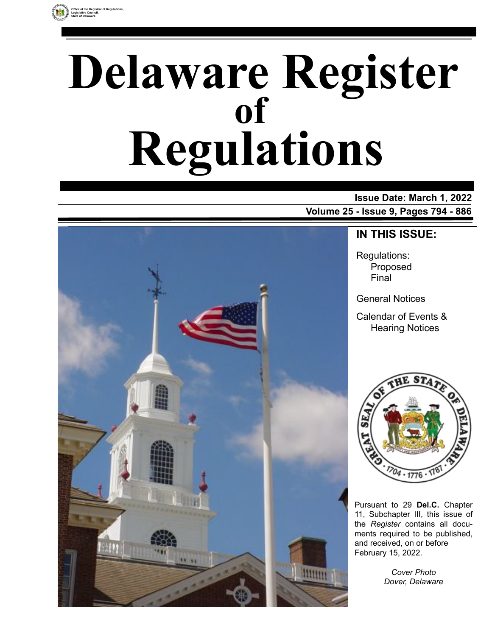

# **Delaware Register Regulations of**

### **Issue Date: March 1, 2022**

**Volume 25 - Issue 9, Pages 794 - 886**



### **IN THIS ISSUE:**

Regulations: Proposed Final

General Notices

Calendar of Events & Hearing Notices



Pursuant to 29 **Del.C.** Chapter 11, Subchapter III, this issue of the *Register* contains all documents required to be published, and received, on or before February 15, 2022.

> *Cover Photo Dover, Delaware*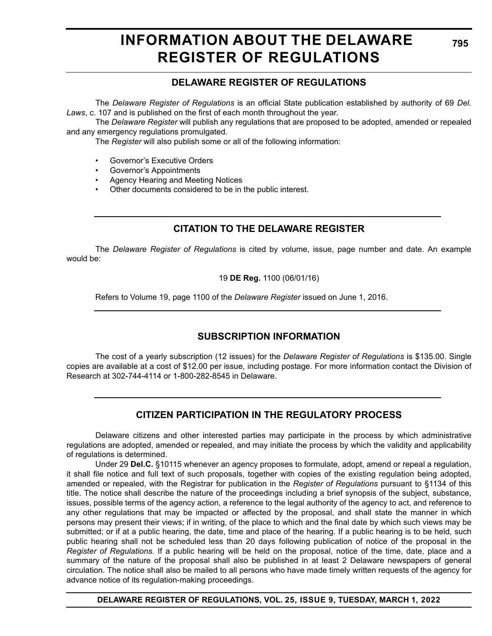### **INFORMATION ABOUT THE DELAWARE REGISTER OF REGULATIONS**

### **DELAWARE REGISTER OF REGULATIONS**

The *Delaware Register of Regulations* is an official State publication established by authority of 69 *Del. Laws*, c. 107 and is published on the first of each month throughout the year.

The *Delaware Register* will publish any regulations that are proposed to be adopted, amended or repealed and any emergency regulations promulgated.

The *Register* will also publish some or all of the following information:

- Governor's Executive Orders
- Governor's Appointments
- Agency Hearing and Meeting Notices
- Other documents considered to be in the public interest.

### **CITATION TO THE DELAWARE REGISTER**

The *Delaware Register of Regulations* is cited by volume, issue, page number and date. An example would be:

19 **DE Reg.** 1100 (06/01/16)

Refers to Volume 19, page 1100 of the *Delaware Register* issued on June 1, 2016.

### **SUBSCRIPTION INFORMATION**

The cost of a yearly subscription (12 issues) for the *Delaware Register of Regulations* is \$135.00. Single copies are available at a cost of \$12.00 per issue, including postage. For more information contact the Division of Research at 302-744-4114 or 1-800-282-8545 in Delaware.

### **CITIZEN PARTICIPATION IN THE REGULATORY PROCESS**

Delaware citizens and other interested parties may participate in the process by which administrative regulations are adopted, amended or repealed, and may initiate the process by which the validity and applicability of regulations is determined.

Under 29 **Del.C.** §10115 whenever an agency proposes to formulate, adopt, amend or repeal a regulation, it shall file notice and full text of such proposals, together with copies of the existing regulation being adopted, amended or repealed, with the Registrar for publication in the *Register of Regulations* pursuant to §1134 of this title. The notice shall describe the nature of the proceedings including a brief synopsis of the subject, substance, issues, possible terms of the agency action, a reference to the legal authority of the agency to act, and reference to any other regulations that may be impacted or affected by the proposal, and shall state the manner in which persons may present their views; if in writing, of the place to which and the final date by which such views may be submitted; or if at a public hearing, the date, time and place of the hearing. If a public hearing is to be held, such public hearing shall not be scheduled less than 20 days following publication of notice of the proposal in the *Register of Regulations*. If a public hearing will be held on the proposal, notice of the time, date, place and a summary of the nature of the proposal shall also be published in at least 2 Delaware newspapers of general circulation. The notice shall also be mailed to all persons who have made timely written requests of the agency for advance notice of its regulation-making proceedings.

**DELAWARE REGISTER OF REGULATIONS, VOL. 25, ISSUE 9, TUESDAY, MARCH 1, 2022**

**795**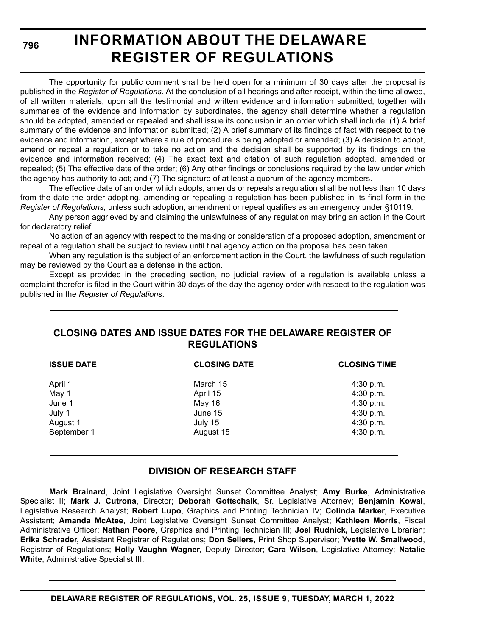**796**

### **INFORMATION ABOUT THE DELAWARE REGISTER OF REGULATIONS**

The opportunity for public comment shall be held open for a minimum of 30 days after the proposal is published in the *Register of Regulations*. At the conclusion of all hearings and after receipt, within the time allowed, of all written materials, upon all the testimonial and written evidence and information submitted, together with summaries of the evidence and information by subordinates, the agency shall determine whether a regulation should be adopted, amended or repealed and shall issue its conclusion in an order which shall include: (1) A brief summary of the evidence and information submitted; (2) A brief summary of its findings of fact with respect to the evidence and information, except where a rule of procedure is being adopted or amended; (3) A decision to adopt, amend or repeal a regulation or to take no action and the decision shall be supported by its findings on the evidence and information received; (4) The exact text and citation of such regulation adopted, amended or repealed; (5) The effective date of the order; (6) Any other findings or conclusions required by the law under which the agency has authority to act; and (7) The signature of at least a quorum of the agency members.

The effective date of an order which adopts, amends or repeals a regulation shall be not less than 10 days from the date the order adopting, amending or repealing a regulation has been published in its final form in the *Register of Regulations*, unless such adoption, amendment or repeal qualifies as an emergency under §10119.

Any person aggrieved by and claiming the unlawfulness of any regulation may bring an action in the Court for declaratory relief.

No action of an agency with respect to the making or consideration of a proposed adoption, amendment or repeal of a regulation shall be subject to review until final agency action on the proposal has been taken.

When any regulation is the subject of an enforcement action in the Court, the lawfulness of such regulation may be reviewed by the Court as a defense in the action.

Except as provided in the preceding section, no judicial review of a regulation is available unless a complaint therefor is filed in the Court within 30 days of the day the agency order with respect to the regulation was published in the *Register of Regulations*.

### **CLOSING DATES AND ISSUE DATES FOR THE DELAWARE REGISTER OF REGULATIONS**

| <b>ISSUE DATE</b>                                | <b>CLOSING DATE</b>                                  | <b>CLOSING TIME</b>                                           |
|--------------------------------------------------|------------------------------------------------------|---------------------------------------------------------------|
| April 1<br>May 1<br>June 1<br>July 1<br>August 1 | March 15<br>April 15<br>May 16<br>June 15<br>July 15 | 4:30 p.m.<br>4:30 p.m.<br>4:30 p.m.<br>4:30 p.m.<br>4:30 p.m. |
| September 1                                      | August 15                                            | 4:30 p.m.                                                     |

### **DIVISION OF RESEARCH STAFF**

**Mark Brainard**, Joint Legislative Oversight Sunset Committee Analyst; **Amy Burke**, Administrative Specialist II; **Mark J. Cutrona**, Director; **Deborah Gottschalk**, Sr. Legislative Attorney; **Benjamin Kowal**, Legislative Research Analyst; **Robert Lupo**, Graphics and Printing Technician IV; **Colinda Marker**, Executive Assistant; **Amanda McAtee**, Joint Legislative Oversight Sunset Committee Analyst; **Kathleen Morris**, Fiscal Administrative Officer; **Nathan Poore**, Graphics and Printing Technician III; **Joel Rudnick,** Legislative Librarian; **Erika Schrader,** Assistant Registrar of Regulations; **Don Sellers,** Print Shop Supervisor; **Yvette W. Smallwood**, Registrar of Regulations; **Holly Vaughn Wagner**, Deputy Director; **Cara Wilson**, Legislative Attorney; **Natalie White**, Administrative Specialist III.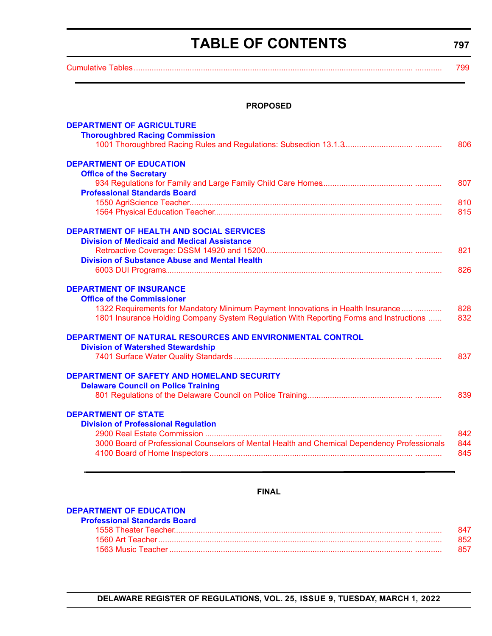### **TABLE OF CONTENTS**

**797**

<span id="page-3-0"></span>[Cumulative Tables............................................................................................................................. ............ 799](#page-5-0) 

### **PROPOSED**

| <b>DEPARTMENT OF AGRICULTURE</b><br><b>Thoroughbred Racing Commission</b>                             |     |
|-------------------------------------------------------------------------------------------------------|-----|
|                                                                                                       | 806 |
| <b>DEPARTMENT OF EDUCATION</b><br><b>Office of the Secretary</b>                                      |     |
|                                                                                                       | 807 |
| <b>Professional Standards Board</b>                                                                   |     |
|                                                                                                       | 810 |
|                                                                                                       | 815 |
| <b>DEPARTMENT OF HEALTH AND SOCIAL SERVICES</b>                                                       |     |
| <b>Division of Medicaid and Medical Assistance</b>                                                    |     |
|                                                                                                       | 821 |
| <b>Division of Substance Abuse and Mental Health</b>                                                  | 826 |
|                                                                                                       |     |
| <b>DEPARTMENT OF INSURANCE</b><br><b>Office of the Commissioner</b>                                   |     |
| 1322 Requirements for Mandatory Minimum Payment Innovations in Health Insurance                       | 828 |
| 1801 Insurance Holding Company System Regulation With Reporting Forms and Instructions                | 832 |
| DEPARTMENT OF NATURAL RESOURCES AND ENVIRONMENTAL CONTROL<br><b>Division of Watershed Stewardship</b> |     |
|                                                                                                       | 837 |
|                                                                                                       |     |
| DEPARTMENT OF SAFETY AND HOMELAND SECURITY                                                            |     |
| <b>Delaware Council on Police Training</b>                                                            |     |
|                                                                                                       | 839 |
| <b>DEPARTMENT OF STATE</b>                                                                            |     |
| <b>Division of Professional Regulation</b>                                                            |     |
|                                                                                                       | 842 |
| 3000 Board of Professional Counselors of Mental Health and Chemical Dependency Professionals          | 844 |
|                                                                                                       | 845 |
|                                                                                                       |     |

### **FINAL**

#### **[DEPARTMENT OF EDUCATION](https://www.doe.k12.de.us/domain/172)**

| Professional Standards Board |     |
|------------------------------|-----|
|                              | 847 |
|                              | 852 |
|                              | 857 |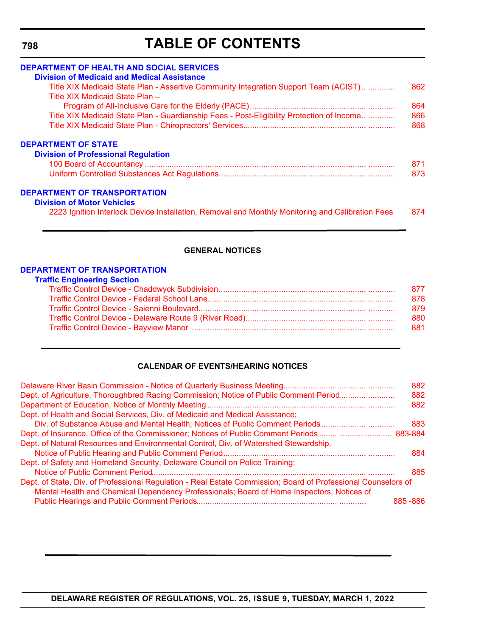<span id="page-4-0"></span>**798**

### **TABLE OF CONTENTS**

| <b>DEPARTMENT OF HEALTH AND SOCIAL SERVICES</b>                                                  |     |
|--------------------------------------------------------------------------------------------------|-----|
| <b>Division of Medicaid and Medical Assistance</b>                                               |     |
| Title XIX Medicaid State Plan - Assertive Community Integration Support Team (ACIST)             | 862 |
| Title XIX Medicaid State Plan -                                                                  |     |
|                                                                                                  | 864 |
| Title XIX Medicaid State Plan - Guardianship Fees - Post-Eligibility Protection of Income        | 866 |
|                                                                                                  | 868 |
| <b>DEPARTMENT OF STATE</b>                                                                       |     |
| <b>Division of Professional Regulation</b>                                                       |     |
|                                                                                                  | 871 |
|                                                                                                  | 873 |
| <b>DEPARTMENT OF TRANSPORTATION</b>                                                              |     |
| <b>Division of Motor Vehicles</b>                                                                |     |
| 2223 Ignition Interlock Device Installation, Removal and Monthly Monitoring and Calibration Fees | 874 |

### **GENERAL NOTICES**

#### **[DEPARTMENT OF TRANSPORTATION](https://www.deldot.gov/index.shtml) Traffic Engineering Section**

### **CALENDAR OF EVENTS/HEARING NOTICES**

|                                                                                                                                                                                                            | 882       |
|------------------------------------------------------------------------------------------------------------------------------------------------------------------------------------------------------------|-----------|
| Dept. of Agriculture, Thoroughbred Racing Commission; Notice of Public Comment Period                                                                                                                      | 882       |
|                                                                                                                                                                                                            | 882       |
| Dept. of Health and Social Services, Div. of Medicaid and Medical Assistance;                                                                                                                              |           |
| Div. of Substance Abuse and Mental Health; Notices of Public Comment Periods                                                                                                                               | 883       |
|                                                                                                                                                                                                            |           |
| Dept. of Natural Resources and Environmental Control, Div. of Watershed Stewardship,                                                                                                                       |           |
|                                                                                                                                                                                                            | 884       |
| Dept. of Safety and Homeland Security, Delaware Council on Police Training;                                                                                                                                |           |
|                                                                                                                                                                                                            | 885       |
| Dept. of State, Div. of Professional Regulation - Real Estate Commission; Board of Professional Counselors of<br>Mental Health and Chemical Dependency Professionals; Board of Home Inspectors; Notices of |           |
|                                                                                                                                                                                                            | 885 - 886 |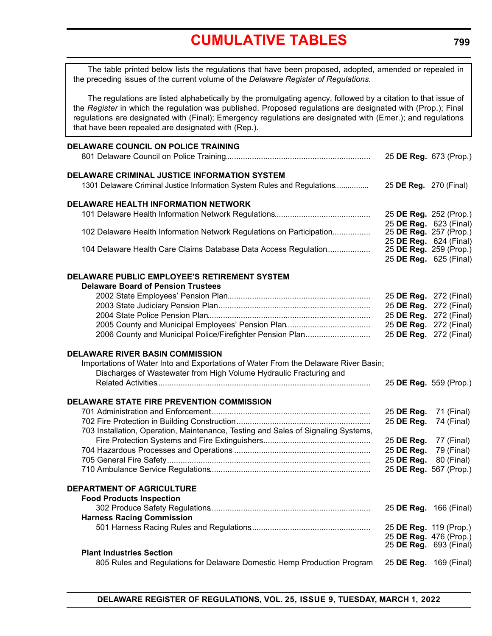### **[CUMULATIVE TABLES](#page-3-0)**

<span id="page-5-0"></span>The table printed below lists the regulations that have been proposed, adopted, amended or repealed in the preceding issues of the current volume of the *Delaware Register of Regulations*.

The regulations are listed alphabetically by the promulgating agency, followed by a citation to that issue of the *Register* in which the regulation was published. Proposed regulations are designated with (Prop.); Final regulations are designated with (Final); Emergency regulations are designated with (Emer.); and regulations that have been repealed are designated with (Rep.).

| DELAWARE COUNCIL ON POLICE TRAINING                                                                                           | 25 DE Reg. 673 (Prop.)                                  |             |
|-------------------------------------------------------------------------------------------------------------------------------|---------------------------------------------------------|-------------|
| DELAWARE CRIMINAL JUSTICE INFORMATION SYSTEM<br>1301 Delaware Criminal Justice Information System Rules and Regulations       | 25 DE Reg. 270 (Final)                                  |             |
| <b>DELAWARE HEALTH INFORMATION NETWORK</b>                                                                                    |                                                         |             |
|                                                                                                                               | 25 DE Reg. 252 (Prop.)<br>25 DE Reg. 623 (Final)        |             |
| 102 Delaware Health Information Network Regulations on Participation                                                          | 25 DE Reg. 257 (Prop.)                                  |             |
|                                                                                                                               | 25 DE Reg. 624 (Final)                                  |             |
| 104 Delaware Health Care Claims Database Data Access Regulation                                                               | 25 DE Reg. 259 (Prop.)<br>25 DE Reg. 625 (Final)        |             |
|                                                                                                                               |                                                         |             |
| DELAWARE PUBLIC EMPLOYEE'S RETIREMENT SYSTEM                                                                                  |                                                         |             |
| <b>Delaware Board of Pension Trustees</b>                                                                                     | 25 DE Reg. 272 (Final)                                  |             |
|                                                                                                                               | 25 DE Reg.                                              | 272 (Final) |
|                                                                                                                               | 25 DE Reg.                                              | 272 (Final) |
|                                                                                                                               | 25 DE Reg.                                              | 272 (Final) |
| 2006 County and Municipal Police/Firefighter Pension Plan                                                                     | 25 DE Reg. 272 (Final)                                  |             |
| <b>DELAWARE RIVER BASIN COMMISSION</b><br>Importations of Water Into and Exportations of Water From the Delaware River Basin; |                                                         |             |
| Discharges of Wastewater from High Volume Hydraulic Fracturing and                                                            |                                                         |             |
|                                                                                                                               | 25 DE Reg. 559 (Prop.)                                  |             |
|                                                                                                                               |                                                         |             |
| DELAWARE STATE FIRE PREVENTION COMMISSION                                                                                     | 25 DE Reg.                                              | 71 (Final)  |
| 703 Installation, Operation, Maintenance, Testing and Sales of Signaling Systems,                                             | 25 DE Reg.                                              | 74 (Final)  |
|                                                                                                                               | 25 DE Reg.                                              | 77 (Final)  |
|                                                                                                                               | 25 DE Reg.                                              | 79 (Final)  |
|                                                                                                                               | 25 DE Reg.                                              | 80 (Final)  |
|                                                                                                                               | 25 DE Reg. 567 (Prop.)                                  |             |
| DEPARTMENT OF AGRICULTURE                                                                                                     |                                                         |             |
| <b>Food Products Inspection</b>                                                                                               | 25 DE Reg. 166 (Final)                                  |             |
| <b>Harness Racing Commission</b>                                                                                              |                                                         |             |
|                                                                                                                               | 25 DE Reg. 119 (Prop.)                                  |             |
|                                                                                                                               | 25 DE Reg. 476 (Prop.)                                  |             |
| <b>Plant Industries Section</b><br>805 Rules and Regulations for Delaware Domestic Hemp Production Program                    | 25 DE Reg. 693 (Final)<br>25 <b>DE Reg.</b> 169 (Final) |             |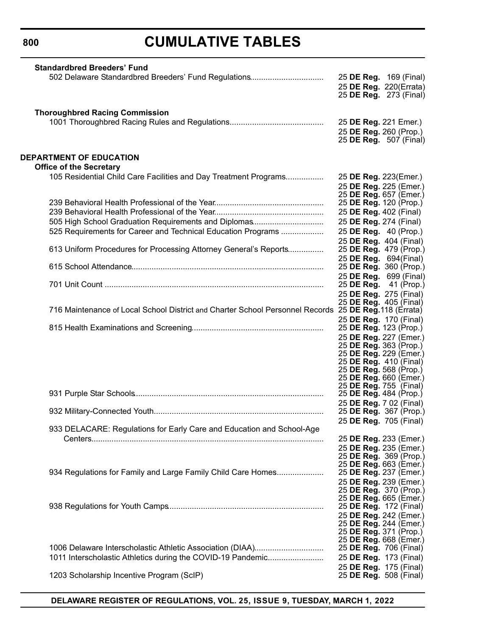**800**

### **CUMULATIVE TABLES**

| <b>Standardbred Breeders' Fund</b>                                                                   |                        |                               |
|------------------------------------------------------------------------------------------------------|------------------------|-------------------------------|
| 502 Delaware Standardbred Breeders' Fund Regulations                                                 |                        | 25 DE Reg. 169 (Final)        |
|                                                                                                      |                        | 25 DE Reg. 220(Errata)        |
|                                                                                                      |                        | 25 <b>DE Reg.</b> 273 (Final) |
|                                                                                                      |                        |                               |
| <b>Thoroughbred Racing Commission</b>                                                                |                        |                               |
|                                                                                                      | 25 DE Reg. 221 Emer.)  |                               |
|                                                                                                      | 25 DE Reg. 260 (Prop.) |                               |
|                                                                                                      |                        | 25 <b>DE Reg.</b> 507 (Final) |
|                                                                                                      |                        |                               |
| <b>DEPARTMENT OF EDUCATION</b>                                                                       |                        |                               |
|                                                                                                      |                        |                               |
| <b>Office of the Secretary</b>                                                                       |                        |                               |
| 105 Residential Child Care Facilities and Day Treatment Programs                                     | 25 DE Reg. 223(Emer.)  |                               |
|                                                                                                      |                        | 25 DE Reg. 225 (Emer.)        |
|                                                                                                      |                        | 25 DE Reg. 657 (Emer.)        |
|                                                                                                      | 25 DE Reg. 120 (Prop.) |                               |
|                                                                                                      | 25 DE Reg. 402 (Final) |                               |
| 505 High School Graduation Requirements and Diplomas                                                 | 25 DE Reg. 274 (Final) |                               |
| 525 Requirements for Career and Technical Education Programs                                         | 25 DE Reg. 40 (Prop.)  |                               |
|                                                                                                      |                        | 25 DE Reg. 404 (Final)        |
| 613 Uniform Procedures for Processing Attorney General's Reports                                     |                        | 25 <b>DE Reg.</b> 479 (Prop.) |
|                                                                                                      | 25 DE Reg. 694(Final)  |                               |
|                                                                                                      |                        | 25 DE Reg. 360 (Prop.)        |
|                                                                                                      |                        | 25 DE Reg. 699 (Final)        |
|                                                                                                      |                        | 25 <b>DE Reg.</b> 41 (Prop.)  |
|                                                                                                      | 25 DE Reg. 275 (Final) |                               |
|                                                                                                      | 25 DE Reg. 405 (Final) |                               |
| 716 Maintenance of Local School District and Charter School Personnel Records 25 DE Reg.118 (Errata) |                        |                               |
|                                                                                                      | 25 DE Reg. 170 (Final) |                               |
|                                                                                                      | 25 DE Reg. 123 (Prop.) |                               |
|                                                                                                      |                        |                               |
|                                                                                                      | 25 DE Reg. 363 (Prop.) | 25 DE Reg. 227 (Emer.)        |
|                                                                                                      |                        | 25 DE Reg. 229 (Emer.)        |
|                                                                                                      | 25 DE Reg. 410 (Final) |                               |
|                                                                                                      | 25 DE Reg. 568 (Prop.) |                               |
|                                                                                                      |                        | 25 DE Reg. 660 (Emer.)        |
|                                                                                                      | 25 DE Reg. 755 (Final) |                               |
|                                                                                                      | 25 DE Reg. 484 (Prop.) |                               |
|                                                                                                      |                        | 25 DE Reg. 7 02 (Final)       |
|                                                                                                      |                        | 25 DE Reg. 367 (Prop.)        |
|                                                                                                      |                        | 25 DE Reg. 705 (Final)        |
| 933 DELACARE: Regulations for Early Care and Education and School-Age                                |                        |                               |
|                                                                                                      |                        | 25 DE Reg. 233 (Emer.)        |
|                                                                                                      |                        | 25 DE Reg. 235 (Emer.)        |
|                                                                                                      |                        | 25 DE Reg. 369 (Prop.)        |
|                                                                                                      |                        | 25 DE Reg. 663 (Emer.)        |
| 934 Regulations for Family and Large Family Child Care Homes                                         |                        | 25 DE Reg. 237 (Emer.)        |
|                                                                                                      |                        | 25 DE Reg. 239 (Emer.)        |
|                                                                                                      |                        | 25 DE Reg. 370 (Prop.)        |
|                                                                                                      |                        | 25 DE Reg. 665 (Emer.)        |
|                                                                                                      | 25 DE Reg. 172 (Final) |                               |
|                                                                                                      |                        | 25 DE Reg. 242 (Emer.)        |
|                                                                                                      |                        | 25 DE Reg. 244 (Emer.)        |
|                                                                                                      | 25 DE Reg. 371 (Prop.) |                               |
|                                                                                                      |                        | 25 DE Reg. 668 (Emer.)        |
| 1006 Delaware Interscholastic Athletic Association (DIAA)                                            | 25 DE Reg. 706 (Final) |                               |
| 1011 Interscholastic Athletics during the COVID-19 Pandemic                                          | 25 DE Reg. 173 (Final) |                               |
|                                                                                                      | 25 DE Reg. 175 (Final) |                               |
| 1203 Scholarship Incentive Program (ScIP)                                                            |                        | 25 DE Reg. 508 (Final)        |
|                                                                                                      |                        |                               |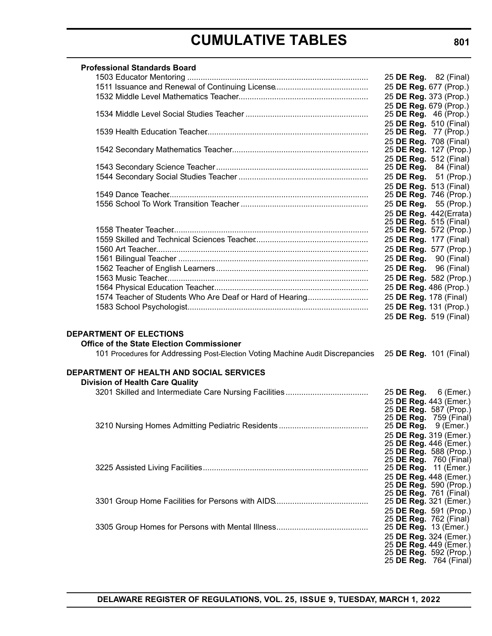| <b>Professional Standards Board</b>                                                                                                                                                         |                                                  |
|---------------------------------------------------------------------------------------------------------------------------------------------------------------------------------------------|--------------------------------------------------|
|                                                                                                                                                                                             | 25 <b>DE Reg.</b> 82 (Final)                     |
|                                                                                                                                                                                             | 25 DE Reg. 677 (Prop.)                           |
|                                                                                                                                                                                             | 25 DE Reg. 373 (Prop.)                           |
|                                                                                                                                                                                             | 25 DE Reg. 679 (Prop.)                           |
|                                                                                                                                                                                             | 25 <b>DE Reg.</b> 46 (Prop.)                     |
|                                                                                                                                                                                             | 25 DE Reg. 510 (Final)                           |
|                                                                                                                                                                                             | 25 <b>DE Reg.</b> 77 (Prop.)                     |
|                                                                                                                                                                                             | 25 DE Reg. 708 (Final)                           |
|                                                                                                                                                                                             | 25 DE Reg. 127 (Prop.)                           |
|                                                                                                                                                                                             | 25 DE Reg. 512 (Final)                           |
|                                                                                                                                                                                             | 25 <b>DE Reg.</b> 84 (Final)                     |
|                                                                                                                                                                                             | 25 DE Reg. 51 (Prop.)                            |
|                                                                                                                                                                                             | 25 DE Reg. 513 (Final)                           |
|                                                                                                                                                                                             | 25 DE Reg. 746 (Prop.)                           |
|                                                                                                                                                                                             | 25 DE Reg. 55 (Prop.)                            |
|                                                                                                                                                                                             | 25 DE Reg. 442(Errata)                           |
|                                                                                                                                                                                             | 25 DE Reg. 515 (Final)                           |
|                                                                                                                                                                                             | 25 DE Reg. 572 (Prop.)                           |
|                                                                                                                                                                                             | 25 DE Reg. 177 (Final)                           |
|                                                                                                                                                                                             | 25 DE Reg. 577 (Prop.)                           |
|                                                                                                                                                                                             | 25 <b>DE Reg.</b> 90 (Final)                     |
|                                                                                                                                                                                             | 25 <b>DE Reg.</b> 96 (Final)                     |
|                                                                                                                                                                                             | 25 DE Reg. 582 (Prop.)                           |
|                                                                                                                                                                                             | 25 DE Reg. 486 (Prop.)                           |
| 1574 Teacher of Students Who Are Deaf or Hard of Hearing                                                                                                                                    | 25 DE Reg. 178 (Final)                           |
|                                                                                                                                                                                             | 25 DE Reg. 131 (Prop.)                           |
|                                                                                                                                                                                             | 25 DE Reg. 519 (Final)                           |
| <b>DEPARTMENT OF ELECTIONS</b><br><b>Office of the State Election Commissioner</b><br>101 Procedures for Addressing Post-Election Voting Machine Audit Discrepancies 25 DE Reg. 101 (Final) |                                                  |
| <b>DEPARTMENT OF HEALTH AND SOCIAL SERVICES</b>                                                                                                                                             |                                                  |
| <b>Division of Health Care Quality</b>                                                                                                                                                      |                                                  |
|                                                                                                                                                                                             | 25 DE Reg. 6 (Emer.)                             |
|                                                                                                                                                                                             | 25 DE Reg. 443 (Emer.)                           |
|                                                                                                                                                                                             | 25 DE Reg. 587 (Prop.)                           |
|                                                                                                                                                                                             | 25 <b>DE Reg.</b> 759 (Final)                    |
|                                                                                                                                                                                             | 25 DE Reg. 9 (Emer.)                             |
|                                                                                                                                                                                             | 25 DE Reg. 319 (Emer.)<br>25 DE Reg. 446 (Emer.) |
|                                                                                                                                                                                             | 25 DE Reg. 588 (Prop.)                           |
|                                                                                                                                                                                             | 25 DE Reg. 760 (Final)                           |
|                                                                                                                                                                                             | 25 DE Reg. 11 (Emer.)                            |
|                                                                                                                                                                                             | 25 DE Reg. 448 (Emer.)                           |
|                                                                                                                                                                                             | 25 DE Reg. 590 (Prop.)                           |
|                                                                                                                                                                                             | 25 DE Reg. 761 (Final)                           |
|                                                                                                                                                                                             | 25 DE Reg. 321 (Emer.)                           |
|                                                                                                                                                                                             | 25 DE Reg. 591 (Prop.)                           |
|                                                                                                                                                                                             | 25 DE Reg. 762 (Final)                           |
|                                                                                                                                                                                             | 25 DE Reg. 13 (Emer.)                            |
|                                                                                                                                                                                             | 25 DE Reg. 324 (Emer.)                           |
|                                                                                                                                                                                             | 25 DE Reg. 449 (Emer.)<br>25 DE Reg. 592 (Prop.) |
|                                                                                                                                                                                             | 25 DE Reg. 764 (Final)                           |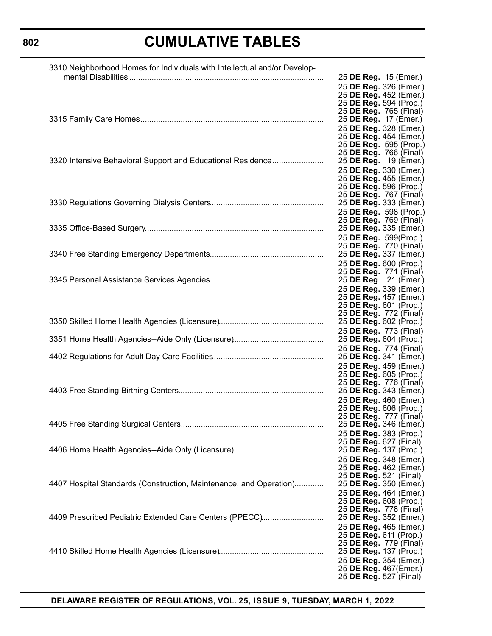### 

| 3310 Neighborhood Homes for Individuals with Intellectual and/or Develop- |                                                         |
|---------------------------------------------------------------------------|---------------------------------------------------------|
|                                                                           | 25 DE Reg. 15 (Emer.)                                   |
|                                                                           | 25 DE Reg. 326 (Emer.)                                  |
|                                                                           | 25 DE Reg. 452 (Emer.)<br>25 DE Reg. 594 (Prop.)        |
|                                                                           | 25 DE Reg. 765 (Final)                                  |
|                                                                           | 25 DE Reg. 17 (Emer.)                                   |
|                                                                           | 25 DE Reg. 328 (Emer.)                                  |
|                                                                           | 25 DE Reg. 454 (Emer.)                                  |
|                                                                           | 25 DE Reg. 595 (Prop.)<br>25 DE Reg. 766 (Final)        |
| 3320 Intensive Behavioral Support and Educational Residence               | 25 DE Reg. 19 (Emer.)                                   |
|                                                                           | 25 DE Reg. 330 (Emer.)                                  |
|                                                                           | 25 DE Reg. 455 (Emer.)                                  |
|                                                                           | 25 DE Reg. 596 (Prop.)                                  |
|                                                                           | 25 DE Reg. 767 (Final)<br>25 DE Reg. 333 (Emer.)        |
|                                                                           | 25 DE Reg. 598 (Prop.)                                  |
|                                                                           | 25 DE Reg. 769 (Final)                                  |
|                                                                           | 25 DE Reg. 335 (Emer.)                                  |
|                                                                           | 25 DE Reg. 599(Prop.)                                   |
|                                                                           | 25 DE Reg. 770 (Final)                                  |
|                                                                           | 25 DE Reg. 337 (Emer.)                                  |
|                                                                           | 25 DE Reg. 600 (Prop.)<br>25 DE Reg. 771 (Final)        |
|                                                                           | 25 DE Reg 21 (Emer.)                                    |
|                                                                           | 25 DE Reg. 339 (Emer.)                                  |
|                                                                           | 25 DE Reg. 457 (Emer.)                                  |
|                                                                           | 25 DE Reg. 601 (Prop.)<br>25 DE Reg. 772 (Final)        |
|                                                                           | 25 <b>DE Reg.</b> 602 (Prop.)                           |
|                                                                           | 25 DE Reg. 773 (Final)                                  |
|                                                                           | 25 DE Reg. 604 (Prop.)                                  |
|                                                                           | 25 DE Reg. 774 (Final)                                  |
|                                                                           | 25 DE Reg. 341 (Emer.)                                  |
|                                                                           | 25 DE Reg. 459 (Emer.)<br>25 DE Reg. 605 (Prop.)        |
|                                                                           | 25 DE Reg. 776 (Final)                                  |
|                                                                           | 25 DE Reg. 343 (Emer.)                                  |
|                                                                           | 25 DE Reg. 460 (Emer.)                                  |
|                                                                           | 25 DE Reg. 606 (Prop.)                                  |
|                                                                           | 25 <b>DE Reg.</b> 777 (Final)<br>25 DE Reg. 346 (Emer.) |
|                                                                           | 25 DE Reg. 383 (Prop.)                                  |
|                                                                           | 25 DE Reg. 627 (Final)                                  |
|                                                                           | 25 DE Reg. 137 (Prop.)                                  |
|                                                                           | 25 DE Reg. 348 (Emer.)                                  |
|                                                                           | 25 DE Reg. 462 (Emer.)<br>25 DE Reg. 521 (Final)        |
| 4407 Hospital Standards (Construction, Maintenance, and Operation)        | 25 DE Reg. 350 (Emer.)                                  |
|                                                                           | 25 DE Reg. 464 (Emer.)                                  |
|                                                                           | 25 DE Reg. 608 (Prop.)                                  |
|                                                                           | 25 DE Reg. 778 (Final)                                  |
| 4409 Prescribed Pediatric Extended Care Centers (PPECC)                   | 25 DE Reg. 352 (Emer.)                                  |
|                                                                           | 25 DE Reg. 465 (Emer.)<br>25 DE Reg. 611 (Prop.)        |
|                                                                           | 25 DE Reg. 779 (Final)                                  |
|                                                                           | 25 DE Reg. 137 (Prop.)                                  |
|                                                                           | 25 DE Reg. 354 (Emer.)                                  |
|                                                                           | 25 DE Reg. 467(Emer.)                                   |
|                                                                           | 25 DE Reg. 527 (Final)                                  |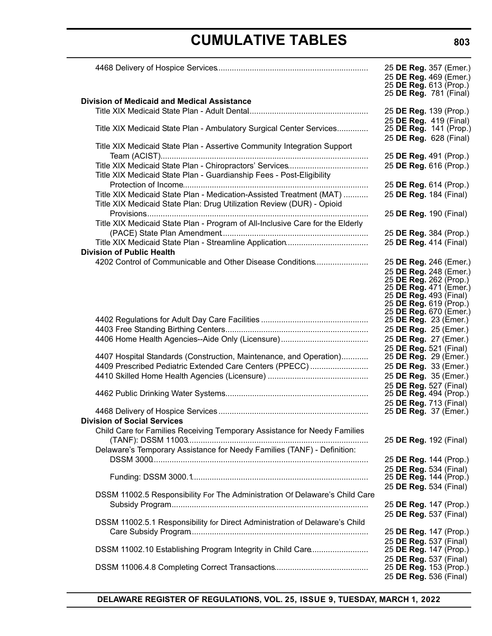|                                                                               | 25 DE Reg. 357 (Emer.)<br>25 DE Reg. 469 (Emer.) |  |
|-------------------------------------------------------------------------------|--------------------------------------------------|--|
|                                                                               | 25 DE Reg. 613 (Prop.)<br>25 DE Reg. 781 (Final) |  |
| <b>Division of Medicaid and Medical Assistance</b>                            |                                                  |  |
|                                                                               | 25 DE Reg. 139 (Prop.)<br>25 DE Reg. 419 (Final) |  |
| Title XIX Medicaid State Plan - Ambulatory Surgical Center Services           | 25 DE Reg. 141 (Prop.)                           |  |
|                                                                               | 25 DE Reg. 628 (Final)                           |  |
| Title XIX Medicaid State Plan - Assertive Community Integration Support       |                                                  |  |
|                                                                               | 25 DE Reg. 491 (Prop.)                           |  |
|                                                                               | 25 DE Reg. 616 (Prop.)                           |  |
| Title XIX Medicaid State Plan - Guardianship Fees - Post-Eligibility          |                                                  |  |
| Title XIX Medicaid State Plan - Medication-Assisted Treatment (MAT)           | 25 DE Reg. 614 (Prop.)<br>25 DE Reg. 184 (Final) |  |
| Title XIX Medicaid State Plan: Drug Utilization Review (DUR) - Opioid         |                                                  |  |
|                                                                               | 25 DE Reg. 190 (Final)                           |  |
| Title XIX Medicaid State Plan - Program of All-Inclusive Care for the Elderly |                                                  |  |
|                                                                               | 25 DE Reg. 384 (Prop.)                           |  |
|                                                                               | 25 DE Reg. 414 (Final)                           |  |
| <b>Division of Public Health</b>                                              |                                                  |  |
| 4202 Control of Communicable and Other Disease Conditions                     | 25 DE Reg. 246 (Emer.)                           |  |
|                                                                               | 25 DE Reg. 248 (Emer.)                           |  |
|                                                                               | 25 DE Reg. 262 (Prop.)<br>25 DE Reg. 471 (Emer.) |  |
|                                                                               | 25 DE Reg. 493 (Final)                           |  |
|                                                                               | 25 DE Reg. 619 (Prop.)                           |  |
|                                                                               | 25 DE Reg. 670 (Emer.)<br>25 DE Reg. 23 (Emer.)  |  |
|                                                                               | 25 DE Reg. 25 (Emer.)                            |  |
|                                                                               | 25 DE Reg. 27 (Emer.)                            |  |
|                                                                               | 25 DE Reg. 521 (Final)                           |  |
| 4407 Hospital Standards (Construction, Maintenance, and Operation)            | 25 DE Reg. 29 (Emer.)                            |  |
| 4409 Prescribed Pediatric Extended Care Centers (PPECC)                       | 25 DE Reg. 33 (Emer.)                            |  |
|                                                                               | 25 DE Reg. 35 (Emer.)                            |  |
|                                                                               | 25 DE Reg. 527 (Final)<br>25 DE Reg. 494 (Prop.) |  |
|                                                                               | 25 DE Reg. 713 (Final)                           |  |
|                                                                               | 25 DE Reg. 37 (Emer.)                            |  |
| <b>Division of Social Services</b>                                            |                                                  |  |
| Child Care for Families Receiving Temporary Assistance for Needy Families     |                                                  |  |
|                                                                               | 25 DE Reg. 192 (Final)                           |  |
| Delaware's Temporary Assistance for Needy Families (TANF) - Definition:       |                                                  |  |
|                                                                               | 25 DE Reg. 144 (Prop.)<br>25 DE Reg. 534 (Final) |  |
|                                                                               | 25 DE Reg. 144 (Prop.)                           |  |
|                                                                               | 25 DE Reg. 534 (Final)                           |  |
| DSSM 11002.5 Responsibility For The Administration Of Delaware's Child Care   |                                                  |  |
|                                                                               | 25 DE Reg. 147 (Prop.)                           |  |
|                                                                               | 25 DE Reg. 537 (Final)                           |  |
| DSSM 11002.5.1 Responsibility for Direct Administration of Delaware's Child   |                                                  |  |
|                                                                               | 25 DE Reg. 147 (Prop.)<br>25 DE Reg. 537 (Final) |  |
| DSSM 11002.10 Establishing Program Integrity in Child Care                    | 25 DE Reg. 147 (Prop.)                           |  |
|                                                                               | 25 DE Reg. 537 (Final)                           |  |
|                                                                               | 25 DE Reg. 153 (Prop.)                           |  |
|                                                                               | 25 DE Reg. 536 (Final)                           |  |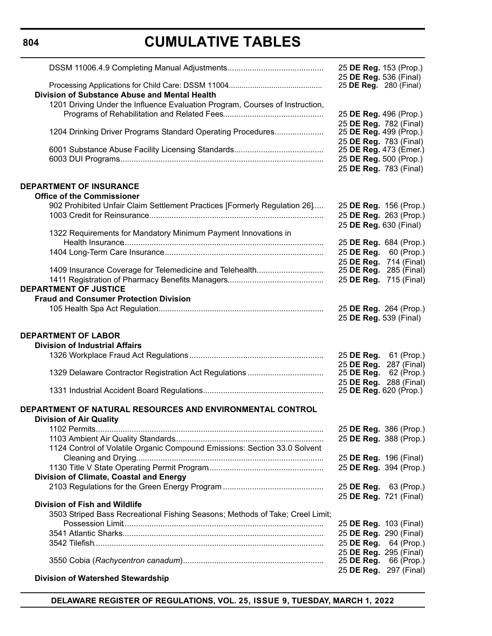**804**

### **CUMULATIVE TABLES**

|                                                                               | 25 DE Reg. 153 (Prop.)                                  |                        |
|-------------------------------------------------------------------------------|---------------------------------------------------------|------------------------|
|                                                                               | 25 DE Reg. 536 (Final)<br>25 <b>DE Reg.</b> 280 (Final) |                        |
| Division of Substance Abuse and Mental Health                                 |                                                         |                        |
| 1201 Driving Under the Influence Evaluation Program, Courses of Instruction,  |                                                         |                        |
|                                                                               | 25 DE Reg. 496 (Prop.)                                  |                        |
|                                                                               | 25 DE Reg. 782 (Final)                                  |                        |
| 1204 Drinking Driver Programs Standard Operating Procedures                   | 25 DE Reg. 499 (Prop.)                                  |                        |
|                                                                               | 25 DE Reg. 783 (Final)                                  |                        |
|                                                                               | 25 DE Reg. 473 (Emer.)                                  |                        |
|                                                                               | 25 DE Reg. 500 (Prop.)                                  |                        |
|                                                                               | 25 DE Reg. 783 (Final)                                  |                        |
|                                                                               |                                                         |                        |
| <b>DEPARTMENT OF INSURANCE</b>                                                |                                                         |                        |
| <b>Office of the Commissioner</b>                                             |                                                         |                        |
| 902 Prohibited Unfair Claim Settlement Practices [Formerly Regulation 26]     | 25 DE Reg. 156 (Prop.)                                  |                        |
|                                                                               | 25 DE Reg. 263 (Prop.)                                  |                        |
|                                                                               | 25 DE Reg. 630 (Final)                                  |                        |
| 1322 Requirements for Mandatory Minimum Payment Innovations in                |                                                         |                        |
|                                                                               | 25 DE Reg. 684 (Prop.)                                  |                        |
|                                                                               | 25 DE Reg.                                              | 60 (Prop.)             |
|                                                                               | 25 DE Reg.                                              | 714 (Final)            |
| 1409 Insurance Coverage for Telemedicine and Telehealth                       | 25 <b>DE Reg.</b> 285 (Final)                           |                        |
| <b>DEPARTMENT OF JUSTICE</b>                                                  | 25 DE Reg. 715 (Final)                                  |                        |
|                                                                               |                                                         |                        |
| <b>Fraud and Consumer Protection Division</b>                                 |                                                         |                        |
|                                                                               |                                                         | 25 DE Reg. 264 (Prop.) |
|                                                                               |                                                         |                        |
|                                                                               | 25 DE Reg. 539 (Final)                                  |                        |
| <b>DEPARTMENT OF LABOR</b>                                                    |                                                         |                        |
| <b>Division of Industrial Affairs</b>                                         |                                                         |                        |
|                                                                               | 25 DE Reg.                                              | 61 (Prop.)             |
|                                                                               | 25 DE Reg.                                              | 287 (Final)            |
| 1329 Delaware Contractor Registration Act Regulations                         | 25 DE Reg.                                              | 62 (Prop.)             |
|                                                                               | 25 DE Reg. 288 (Final)                                  |                        |
|                                                                               | 25 DE Reg. 620 (Prop.)                                  |                        |
|                                                                               |                                                         |                        |
| DEPARTMENT OF NATURAL RESOURCES AND ENVIRONMENTAL CONTROL                     |                                                         |                        |
| <b>Division of Air Quality</b>                                                |                                                         |                        |
|                                                                               | 25 DE Reg. 386 (Prop.)                                  |                        |
|                                                                               | 25 DE Reg. 388 (Prop.)                                  |                        |
| 1124 Control of Volatile Organic Compound Emissions: Section 33.0 Solvent     |                                                         |                        |
|                                                                               | 25 DE Reg. 196 (Final)                                  |                        |
|                                                                               | 25 DE Reg. 394 (Prop.)                                  |                        |
| Division of Climate, Coastal and Energy                                       |                                                         |                        |
|                                                                               | 25 DE Reg. 63 (Prop.)                                   |                        |
|                                                                               | 25 DE Reg. 721 (Final)                                  |                        |
| <b>Division of Fish and Wildlife</b>                                          |                                                         |                        |
| 3503 Striped Bass Recreational Fishing Seasons; Methods of Take; Creel Limit; |                                                         |                        |
|                                                                               | 25 DE Reg. 103 (Final)                                  |                        |
|                                                                               | 25 DE Reg. 290 (Final)                                  |                        |
|                                                                               | 25 DE Reg.                                              | 64 (Prop.)             |
|                                                                               | 25 DE Reg. 295 (Final)                                  |                        |
|                                                                               | 25 DE Reg.                                              | 66 (Prop.)             |
| <b>Division of Watershed Stewardship</b>                                      | 25 DE Reg. 297 (Final)                                  |                        |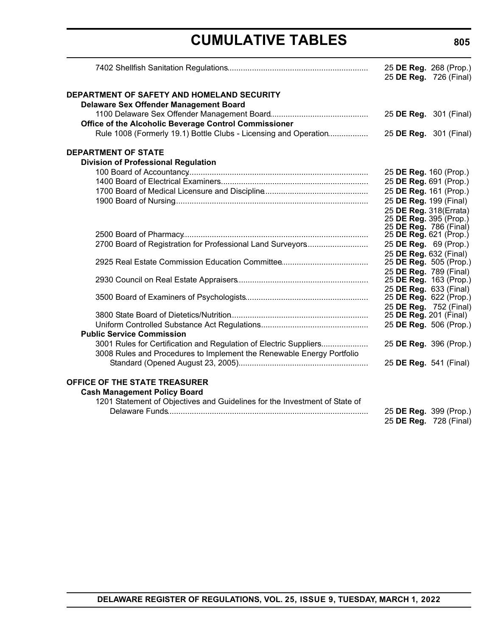|                                                                                             |                        | 25 DE Reg. 268 (Prop.)<br>25 DE Reg. 726 (Final) |
|---------------------------------------------------------------------------------------------|------------------------|--------------------------------------------------|
| DEPARTMENT OF SAFETY AND HOMELAND SECURITY<br><b>Delaware Sex Offender Management Board</b> |                        |                                                  |
| Office of the Alcoholic Beverage Control Commissioner                                       |                        | 25 DE Reg. 301 (Final)                           |
| Rule 1008 (Formerly 19.1) Bottle Clubs - Licensing and Operation                            |                        | 25 DE Reg. 301 (Final)                           |
| <b>DEPARTMENT OF STATE</b>                                                                  |                        |                                                  |
| <b>Division of Professional Regulation</b>                                                  |                        |                                                  |
|                                                                                             | 25 DE Reg. 160 (Prop.) |                                                  |
|                                                                                             | 25 DE Reg. 691 (Prop.) |                                                  |
|                                                                                             | 25 DE Reg. 161 (Prop.) |                                                  |
|                                                                                             | 25 DE Reg. 199 (Final) |                                                  |
|                                                                                             | 25 DE Reg. 318(Errata) |                                                  |
|                                                                                             | 25 DE Reg. 395 (Prop.) |                                                  |
|                                                                                             | 25 DE Reg. 786 (Final) |                                                  |
|                                                                                             | 25 DE Reg. 621 (Prop.) |                                                  |
| 2700 Board of Registration for Professional Land Surveyors                                  | 25 DE Reg. 69 (Prop.)  |                                                  |
|                                                                                             | 25 DE Reg. 632 (Final) |                                                  |
|                                                                                             | 25 DE Reg. 789 (Final) | 25 DE Reg. 505 (Prop.)                           |
|                                                                                             |                        | 25 DE Reg. 163 (Prop.)                           |
|                                                                                             |                        | 25 DE Reg. 633 (Final)                           |
|                                                                                             |                        | 25 DE Reg. 622 (Prop.)                           |
|                                                                                             |                        | 25 DE Reg. 752 (Final)                           |
|                                                                                             | 25 DE Reg. 201 (Final) |                                                  |
|                                                                                             |                        | 25 DE Reg. 506 (Prop.)                           |
| <b>Public Service Commission</b>                                                            |                        |                                                  |
| 3001 Rules for Certification and Regulation of Electric Suppliers                           |                        | 25 DE Reg. 396 (Prop.)                           |
| 3008 Rules and Procedures to Implement the Renewable Energy Portfolio                       |                        |                                                  |
|                                                                                             | 25 DE Reg. 541 (Final) |                                                  |
| OFFICE OF THE STATE TREASURER                                                               |                        |                                                  |
| <b>Cash Management Policy Board</b>                                                         |                        |                                                  |
| 1201 Statement of Objectives and Guidelines for the Investment of State of                  |                        |                                                  |
|                                                                                             |                        | 25 DE Reg. 399 (Prop.)                           |
|                                                                                             |                        | 25 DE Reg. 728 (Final)                           |
|                                                                                             |                        |                                                  |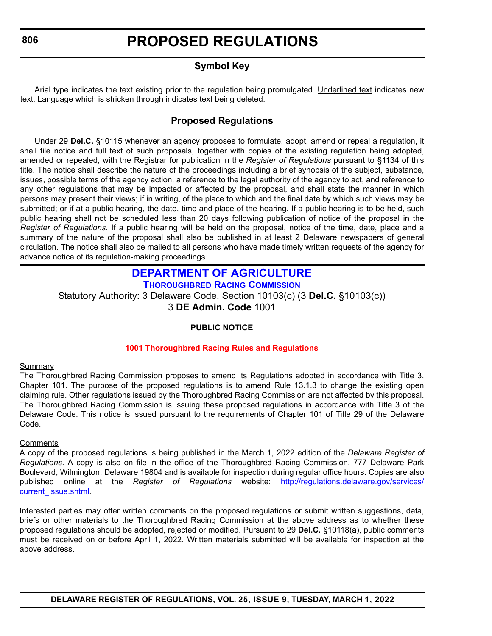### **Symbol Key**

<span id="page-12-0"></span>Arial type indicates the text existing prior to the regulation being promulgated. Underlined text indicates new text. Language which is stricken through indicates text being deleted.

### **Proposed Regulations**

Under 29 **Del.C.** §10115 whenever an agency proposes to formulate, adopt, amend or repeal a regulation, it shall file notice and full text of such proposals, together with copies of the existing regulation being adopted, amended or repealed, with the Registrar for publication in the *Register of Regulations* pursuant to §1134 of this title. The notice shall describe the nature of the proceedings including a brief synopsis of the subject, substance, issues, possible terms of the agency action, a reference to the legal authority of the agency to act, and reference to any other regulations that may be impacted or affected by the proposal, and shall state the manner in which persons may present their views; if in writing, of the place to which and the final date by which such views may be submitted; or if at a public hearing, the date, time and place of the hearing. If a public hearing is to be held, such public hearing shall not be scheduled less than 20 days following publication of notice of the proposal in the *Register of Regulations*. If a public hearing will be held on the proposal, notice of the time, date, place and a summary of the nature of the proposal shall also be published in at least 2 Delaware newspapers of general circulation. The notice shall also be mailed to all persons who have made timely written requests of the agency for advance notice of its regulation-making proceedings.

### **[DEPARTMENT OF AGRICULTURE](https://agriculture.delaware.gov/thoroughbred-racing-commission/) THOROUGHBRED RACING COMMISSION**

Statutory Authority: 3 Delaware Code, Section 10103(c) (3 **Del.C.** §10103(c)) 3 **DE Admin. Code** 1001

### **PUBLIC NOTICE**

### **[1001 Thoroughbred Racing](#page-3-0) Rules and Regulations**

### **Summary**

The Thoroughbred Racing Commission proposes to amend its Regulations adopted in accordance with Title 3, Chapter 101. The purpose of the proposed regulations is to amend Rule 13.1.3 to change the existing open claiming rule. Other regulations issued by the Thoroughbred Racing Commission are not affected by this proposal. The Thoroughbred Racing Commission is issuing these proposed regulations in accordance with Title 3 of the Delaware Code. This notice is issued pursuant to the requirements of Chapter 101 of Title 29 of the Delaware Code.

### **Comments**

A copy of the proposed regulations is being published in the March 1, 2022 edition of the *Delaware Register of Regulations*. A copy is also on file in the office of the Thoroughbred Racing Commission, 777 Delaware Park Boulevard, Wilmington, Delaware 19804 and is available for inspection during regular office hours. Copies are also published online at the *Register of Regulations* website: [http://regulations.delaware.gov/services/](http://regulations.delaware.gov/services/current_issue.shtml) [current\\_issue.shtml](http://regulations.delaware.gov/services/current_issue.shtml).

Interested parties may offer written comments on the proposed regulations or submit written suggestions, data, briefs or other materials to the Thoroughbred Racing Commission at the above address as to whether these proposed regulations should be adopted, rejected or modified. Pursuant to 29 **Del.C.** §10118(a), public comments must be received on or before April 1, 2022. Written materials submitted will be available for inspection at the above address.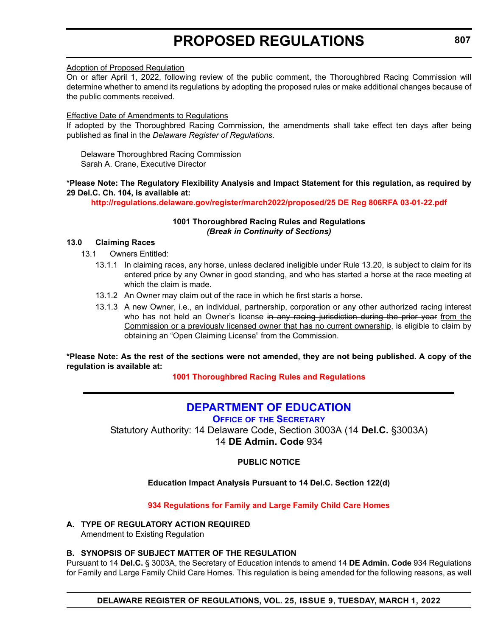### <span id="page-13-0"></span>Adoption of Proposed Regulation

On or after April 1, 2022, following review of the public comment, the Thoroughbred Racing Commission will determine whether to amend its regulations by adopting the proposed rules or make additional changes because of the public comments received.

### Effective Date of Amendments to Regulations

If adopted by the Thoroughbred Racing Commission, the amendments shall take effect ten days after being published as final in the *Delaware Register of Regulations*.

Delaware Thoroughbred Racing Commission Sarah A. Crane, Executive Director

### **\*Please Note: The Regulatory Flexibility Analysis and Impact Statement for this regulation, as required by 29 Del.C. Ch. 104, is available at:**

**<http://regulations.delaware.gov/register/march2022/proposed/25 DE Reg 806RFA 03-01-22.pdf>**

### **1001 Thoroughbred Racing Rules and Regulations** *(Break in Continuity of Sections)*

### **13.0 Claiming Races**

13.1 Owners Entitled:

- 13.1.1 In claiming races, any horse, unless declared ineligible under Rule 13.20, is subject to claim for its entered price by any Owner in good standing, and who has started a horse at the race meeting at which the claim is made.
- 13.1.2 An Owner may claim out of the race in which he first starts a horse.
- 13.1.3 A new Owner, i.e., an individual, partnership, corporation or any other authorized racing interest who has not held an Owner's license in any racing jurisdiction during the prior year from the Commission or a previously licensed owner that has no current ownership, is eligible to claim by obtaining an "Open Claiming License" from the Commission.

**\*Please Note: As the rest of the sections were not amended, they are not being published. A copy of the regulation is available at:**

### **[1001 Thoroughbred Racing](http://regulations.delaware.gov/register/march2022/proposed/25 DE Reg 806 03-01-22.htm) Rules and Regulations**

### **[DEPARTMENT OF EDUCATION](https://www.doe.k12.de.us/Page/11)**

**OFFICE OF THE SECRETARY**

Statutory Authority: 14 Delaware Code, Section 3003A (14 **Del.C.** §3003A) 14 **DE Admin. Code** 934

**PUBLIC NOTICE**

### **Education Impact Analysis Pursuant to 14 Del.C. Section 122(d)**

**[934 Regulations for Family and Large Family Child Care Homes](#page-3-0)**

### **A. TYPE OF REGULATORY ACTION REQUIRED**

Amendment to Existing Regulation

### **B. SYNOPSIS OF SUBJECT MATTER OF THE REGULATION**

Pursuant to 14 **Del.C.** § 3003A, the Secretary of Education intends to amend 14 **DE Admin. Code** 934 Regulations for Family and Large Family Child Care Homes. This regulation is being amended for the following reasons, as well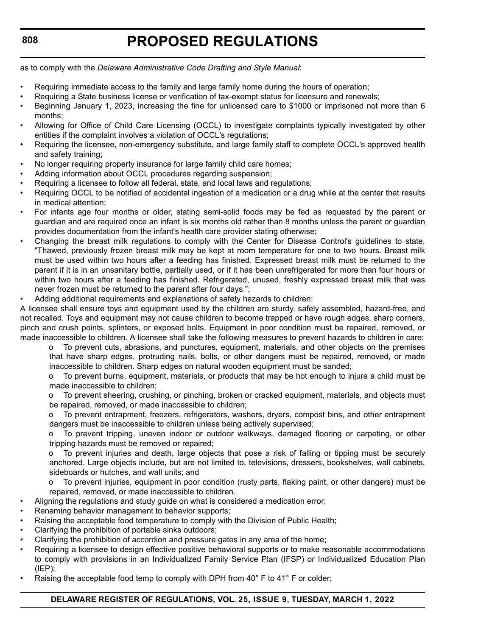as to comply with the *Delaware Administrative Code Drafting and Style Manual*:

- Requiring immediate access to the family and large family home during the hours of operation;
- Requiring a State business license or verification of tax-exempt status for licensure and renewals;
- Beginning January 1, 2023, increasing the fine for unlicensed care to \$1000 or imprisoned not more than 6 months;
- Allowing for Office of Child Care Licensing (OCCL) to investigate complaints typically investigated by other entities if the complaint involves a violation of OCCL's regulations;
- Requiring the licensee, non-emergency substitute, and large family staff to complete OCCL's approved health and safety training;
- No longer requiring property insurance for large family child care homes;
- Adding information about OCCL procedures regarding suspension:
- Requiring a licensee to follow all federal, state, and local laws and regulations;
- Requiring OCCL to be notified of accidental ingestion of a medication or a drug while at the center that results in medical attention;
- For infants age four months or older, stating semi-solid foods may be fed as requested by the parent or guardian and are required once an infant is six months old rather than 8 months unless the parent or guardian provides documentation from the infant's health care provider stating otherwise;
- Changing the breast milk regulations to comply with the Center for Disease Control's guidelines to state, "Thawed, previously frozen breast milk may be kept at room temperature for one to two hours. Breast milk must be used within two hours after a feeding has finished. Expressed breast milk must be returned to the parent if it is in an unsanitary bottle, partially used, or if it has been unrefrigerated for more than four hours or within two hours after a feeding has finished. Refrigerated, unused, freshly expressed breast milk that was never frozen must be returned to the parent after four days.";
- Adding additional requirements and explanations of safety hazards to children:

A licensee shall ensure toys and equipment used by the children are sturdy, safely assembled, hazard-free, and not recalled. Toys and equipment may not cause children to become trapped or have rough edges, sharp corners, pinch and crush points, splinters, or exposed bolts. Equipment in poor condition must be repaired, removed, or made inaccessible to children. A licensee shall take the following measures to prevent hazards to children in care:

o To prevent cuts, abrasions, and punctures, equipment, materials, and other objects on the premises that have sharp edges, protruding nails, bolts, or other dangers must be repaired, removed, or made inaccessible to children. Sharp edges on natural wooden equipment must be sanded;

o To prevent burns, equipment, materials, or products that may be hot enough to injure a child must be made inaccessible to children;

o To prevent sheering, crushing, or pinching, broken or cracked equipment, materials, and objects must be repaired, removed, or made inaccessible to children;

o To prevent entrapment, freezers, refrigerators, washers, dryers, compost bins, and other entrapment dangers must be inaccessible to children unless being actively supervised;

o To prevent tripping, uneven indoor or outdoor walkways, damaged flooring or carpeting, or other tripping hazards must be removed or repaired;

To prevent injuries and death, large objects that pose a risk of falling or tipping must be securely anchored. Large objects include, but are not limited to, televisions, dressers, bookshelves, wall cabinets, sideboards or hutches, and wall units; and

o To prevent injuries, equipment in poor condition (rusty parts, flaking paint, or other dangers) must be repaired, removed, or made inaccessible to children.

- Aligning the regulations and study guide on what is considered a medication error;
- Renaming behavior management to behavior supports;
- Raising the acceptable food temperature to comply with the Division of Public Health;
- Clarifying the prohibition of portable sinks outdoors;
- Clarifying the prohibition of accordion and pressure gates in any area of the home;
- Requiring a licensee to design effective positive behavioral supports or to make reasonable accommodations to comply with provisions in an Individualized Family Service Plan (IFSP) or Individualized Education Plan (IEP);
- Raising the acceptable food temp to comply with DPH from  $40^{\circ}$  F to  $41^{\circ}$  F or colder;

### **DELAWARE REGISTER OF REGULATIONS, VOL. 25, ISSUE 9, TUESDAY, MARCH 1, 2022**

**808**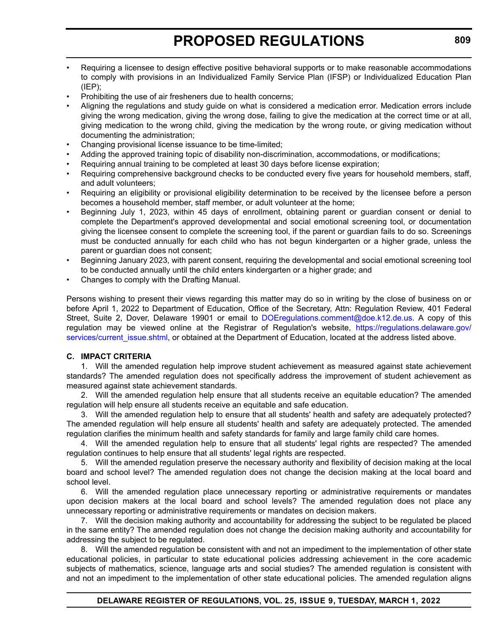- Requiring a licensee to design effective positive behavioral supports or to make reasonable accommodations to comply with provisions in an Individualized Family Service Plan (IFSP) or Individualized Education Plan  $(IEP);$
- Prohibiting the use of air fresheners due to health concerns;
- Aligning the regulations and study guide on what is considered a medication error. Medication errors include giving the wrong medication, giving the wrong dose, failing to give the medication at the correct time or at all, giving medication to the wrong child, giving the medication by the wrong route, or giving medication without documenting the administration;
- Changing provisional license issuance to be time-limited;
- Adding the approved training topic of disability non-discrimination, accommodations, or modifications;
- Requiring annual training to be completed at least 30 days before license expiration;
- Requiring comprehensive background checks to be conducted every five years for household members, staff, and adult volunteers;
- Requiring an eligibility or provisional eligibility determination to be received by the licensee before a person becomes a household member, staff member, or adult volunteer at the home;
- Beginning July 1, 2023, within 45 days of enrollment, obtaining parent or guardian consent or denial to complete the Department's approved developmental and social emotional screening tool, or documentation giving the licensee consent to complete the screening tool, if the parent or guardian fails to do so. Screenings must be conducted annually for each child who has not begun kindergarten or a higher grade, unless the parent or guardian does not consent;
- Beginning January 2023, with parent consent, requiring the developmental and social emotional screening tool to be conducted annually until the child enters kindergarten or a higher grade; and
- Changes to comply with the Drafting Manual.

Persons wishing to present their views regarding this matter may do so in writing by the close of business on or before April 1, 2022 to Department of Education, Office of the Secretary, Attn: Regulation Review, 401 Federal Street, Suite 2, Dover, Delaware 19901 or email to [DOEregulations.comment@doe.k12.de.us](mailto:DOEregulations.comment@doe.k12.de.us). A copy of this regulation may be viewed online at the Registrar of Regulation's website, [https://regulations.delaware.gov/](https://regulations.delaware.gov/services/current_issue.shtml) [services/current\\_issue.shtml,](https://regulations.delaware.gov/services/current_issue.shtml) or obtained at the Department of Education, located at the address listed above.

### **C. IMPACT CRITERIA**

1. Will the amended regulation help improve student achievement as measured against state achievement standards? The amended regulation does not specifically address the improvement of student achievement as measured against state achievement standards.

2. Will the amended regulation help ensure that all students receive an equitable education? The amended regulation will help ensure all students receive an equitable and safe education.

3. Will the amended regulation help to ensure that all students' health and safety are adequately protected? The amended regulation will help ensure all students' health and safety are adequately protected. The amended regulation clarifies the minimum health and safety standards for family and large family child care homes.

4. Will the amended regulation help to ensure that all students' legal rights are respected? The amended regulation continues to help ensure that all students' legal rights are respected.

5. Will the amended regulation preserve the necessary authority and flexibility of decision making at the local board and school level? The amended regulation does not change the decision making at the local board and school level.

6. Will the amended regulation place unnecessary reporting or administrative requirements or mandates upon decision makers at the local board and school levels? The amended regulation does not place any unnecessary reporting or administrative requirements or mandates on decision makers.

7. Will the decision making authority and accountability for addressing the subject to be regulated be placed in the same entity? The amended regulation does not change the decision making authority and accountability for addressing the subject to be regulated.

8. Will the amended regulation be consistent with and not an impediment to the implementation of other state educational policies, in particular to state educational policies addressing achievement in the core academic subjects of mathematics, science, language arts and social studies? The amended regulation is consistent with and not an impediment to the implementation of other state educational policies. The amended regulation aligns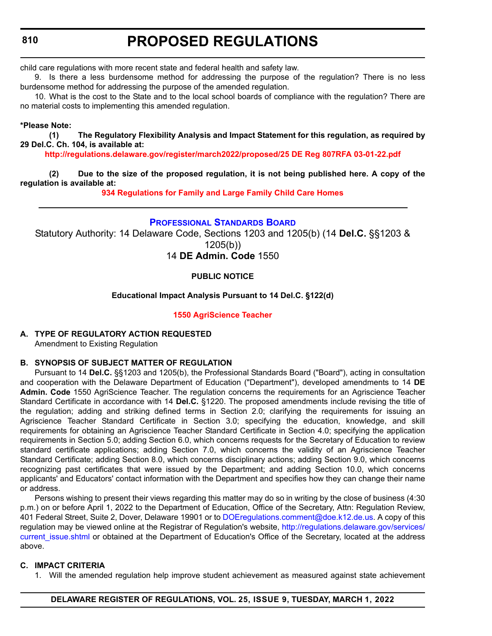<span id="page-16-0"></span>child care regulations with more recent state and federal health and safety law.

9. Is there a less burdensome method for addressing the purpose of the regulation? There is no less burdensome method for addressing the purpose of the amended regulation.

10. What is the cost to the State and to the local school boards of compliance with the regulation? There are no material costs to implementing this amended regulation.

### **\*Please Note:**

**(1) The Regulatory Flexibility Analysis and Impact Statement for this regulation, as required by 29 Del.C. Ch. 104, is available at:**

**<http://regulations.delaware.gov/register/march2022/proposed/25 DE Reg 807RFA 03-01-22.pdf>**

**(2) Due to the size of the proposed regulation, it is not being published here. A copy of the regulation is available at:**

**[934 Regulations for Family and Large Family Child Care Homes](http://regulations.delaware.gov/register/march2022/proposed/25 DE Reg 807 03-01-22.htm)**

### **[PROFESSIONAL STANDARDS BOARD](https://www.doe.k12.de.us/domain/172)**

Statutory Authority: 14 Delaware Code, Sections 1203 and 1205(b) (14 **Del.C.** §§1203 & 1205(b)) 14 **DE Admin. Code** 1550

### **PUBLIC NOTICE**

### **Educational Impact Analysis Pursuant to 14 Del.C. §122(d)**

### **[1550 AgriScience Teacher](#page-3-0)**

### **A. TYPE OF REGULATORY ACTION REQUESTED**

Amendment to Existing Regulation

### **B. SYNOPSIS OF SUBJECT MATTER OF REGULATION**

Pursuant to 14 **Del.C.** §§1203 and 1205(b), the Professional Standards Board ("Board"), acting in consultation and cooperation with the Delaware Department of Education ("Department"), developed amendments to 14 **DE Admin. Code** 1550 AgriScience Teacher. The regulation concerns the requirements for an Agriscience Teacher Standard Certificate in accordance with 14 **Del.C.** §1220. The proposed amendments include revising the title of the regulation; adding and striking defined terms in Section 2.0; clarifying the requirements for issuing an Agriscience Teacher Standard Certificate in Section 3.0; specifying the education, knowledge, and skill requirements for obtaining an Agriscience Teacher Standard Certificate in Section 4.0; specifying the application requirements in Section 5.0; adding Section 6.0, which concerns requests for the Secretary of Education to review standard certificate applications; adding Section 7.0, which concerns the validity of an Agriscience Teacher Standard Certificate; adding Section 8.0, which concerns disciplinary actions; adding Section 9.0, which concerns recognizing past certificates that were issued by the Department; and adding Section 10.0, which concerns applicants' and Educators' contact information with the Department and specifies how they can change their name or address.

Persons wishing to present their views regarding this matter may do so in writing by the close of business (4:30 p.m.) on or before April 1, 2022 to the Department of Education, Office of the Secretary, Attn: Regulation Review, 401 Federal Street, Suite 2, Dover, Delaware 19901 or to [DOEregulations.comment@doe.k12.de.us.](
mailto:DOEregulations.comment@doe.k12.de.us) A copy of this regulation may be viewed online at the Registrar of Regulation's website, [http://regulations.delaware.gov/services/](http://regulations.delaware.gov/services/current_issue.shtml) current issue.shtml or obtained at the Department of Education's Office of the Secretary, located at the address above.

### **C. IMPACT CRITERIA**

1. Will the amended regulation help improve student achievement as measured against state achievement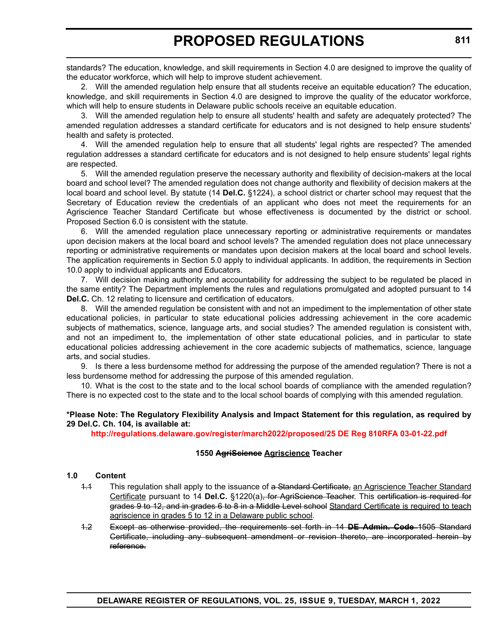standards? The education, knowledge, and skill requirements in Section 4.0 are designed to improve the quality of the educator workforce, which will help to improve student achievement.

2. Will the amended regulation help ensure that all students receive an equitable education? The education, knowledge, and skill requirements in Section 4.0 are designed to improve the quality of the educator workforce, which will help to ensure students in Delaware public schools receive an equitable education.

3. Will the amended regulation help to ensure all students' health and safety are adequately protected? The amended regulation addresses a standard certificate for educators and is not designed to help ensure students' health and safety is protected.

4. Will the amended regulation help to ensure that all students' legal rights are respected? The amended regulation addresses a standard certificate for educators and is not designed to help ensure students' legal rights are respected.

5. Will the amended regulation preserve the necessary authority and flexibility of decision-makers at the local board and school level? The amended regulation does not change authority and flexibility of decision makers at the local board and school level. By statute (14 **Del.C.** §1224), a school district or charter school may request that the Secretary of Education review the credentials of an applicant who does not meet the requirements for an Agriscience Teacher Standard Certificate but whose effectiveness is documented by the district or school. Proposed Section 6.0 is consistent with the statute.

6. Will the amended regulation place unnecessary reporting or administrative requirements or mandates upon decision makers at the local board and school levels? The amended regulation does not place unnecessary reporting or administrative requirements or mandates upon decision makers at the local board and school levels. The application requirements in Section 5.0 apply to individual applicants. In addition, the requirements in Section 10.0 apply to individual applicants and Educators.

7. Will decision making authority and accountability for addressing the subject to be regulated be placed in the same entity? The Department implements the rules and regulations promulgated and adopted pursuant to 14 **Del.C.** Ch. 12 relating to licensure and certification of educators.

8. Will the amended regulation be consistent with and not an impediment to the implementation of other state educational policies, in particular to state educational policies addressing achievement in the core academic subjects of mathematics, science, language arts, and social studies? The amended regulation is consistent with, and not an impediment to, the implementation of other state educational policies, and in particular to state educational policies addressing achievement in the core academic subjects of mathematics, science, language arts, and social studies.

9. Is there a less burdensome method for addressing the purpose of the amended regulation? There is not a less burdensome method for addressing the purpose of this amended regulation.

10. What is the cost to the state and to the local school boards of compliance with the amended regulation? There is no expected cost to the state and to the local school boards of complying with this amended regulation.

### **\*Please Note: The Regulatory Flexibility Analysis and Impact Statement for this regulation, as required by 29 Del.C. Ch. 104, is available at:**

**<http://regulations.delaware.gov/register/march2022/proposed/25 DE Reg 810RFA 03-01-22.pdf>**

### **1550 AgriScience Agriscience Teacher**

### **1.0 Content**

- 1.1 This regulation shall apply to the issuance of a Standard Certificate, an Agriscience Teacher Standard Certificate pursuant to 14 **Del.C.** §1220(a), for AgriScience Teacher. This certification is required for grades 9 to 12, and in grades 6 to 8 in a Middle Level school Standard Certificate is required to teach agriscience in grades 5 to 12 in a Delaware public school.
- 1.2 Except as otherwise provided, the requirements set forth in 14 **DE Admin. Code** 1505 Standard Certificate, including any subsequent amendment or revision thereto, are incorporated herein by reference.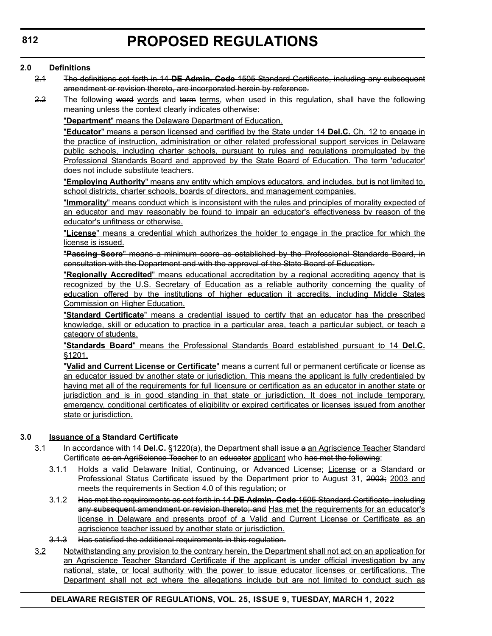### **2.0 Definitions**

- 2.1 The definitions set forth in 14 **DE Admin. Code** 1505 Standard Certificate, including any subsequent amendment or revision thereto, are incorporated herein by reference.
- 2.2 The following word words and term terms, when used in this regulation, shall have the following meaning unless the context clearly indicates otherwise:

"**Department**" means the Delaware Department of Education.

"**Educator**" means a person licensed and certified by the State under 14 **Del.C.** Ch. 12 to engage in the practice of instruction, administration or other related professional support services in Delaware public schools, including charter schools, pursuant to rules and regulations promulgated by the Professional Standards Board and approved by the State Board of Education. The term 'educator' does not include substitute teachers.

"**Employing Authority**" means any entity which employs educators, and includes, but is not limited to, school districts, charter schools, boards of directors, and management companies.

"**Immorality**" means conduct which is inconsistent with the rules and principles of morality expected of an educator and may reasonably be found to impair an educator's effectiveness by reason of the educator's unfitness or otherwise.

"**License**" means a credential which authorizes the holder to engage in the practice for which the license is issued.

"**Passing Score**" means a minimum score as established by the Professional Standards Board, in consultation with the Department and with the approval of the State Board of Education.

"**Regionally Accredited**" means educational accreditation by a regional accrediting agency that is recognized by the U.S. Secretary of Education as a reliable authority concerning the quality of education offered by the institutions of higher education it accredits, including Middle States Commission on Higher Education.

"**Standard Certificate**" means a credential issued to certify that an educator has the prescribed knowledge, skill or education to practice in a particular area, teach a particular subject, or teach a category of students.

"**Standards Board**" means the Professional Standards Board established pursuant to 14 **Del.C.** §1201.

"**Valid and Current License or Certificate**" means a current full or permanent certificate or license as an educator issued by another state or jurisdiction. This means the applicant is fully credentialed by having met all of the requirements for full licensure or certification as an educator in another state or jurisdiction and is in good standing in that state or jurisdiction. It does not include temporary, emergency, conditional certificates of eligibility or expired certificates or licenses issued from another state or jurisdiction.

### **3.0 Issuance of a Standard Certificate**

- 3.1 In accordance with 14 **Del.C.** §1220(a), the Department shall issue a an Agriscience Teacher Standard Certificate as an AgriScience Teacher to an educator applicant who has met the following:
	- 3.1.1 Holds a valid Delaware Initial, Continuing, or Advanced License; License or a Standard or Professional Status Certificate issued by the Department prior to August 31, 2003; 2003 and meets the requirements in Section 4.0 of this regulation; or
	- 3.1.2 Has met the requirements as set forth in 14 **DE Admin. Code** 1505 Standard Certificate, including any subsequent amendment or revision thereto; and Has met the requirements for an educator's license in Delaware and presents proof of a Valid and Current License or Certificate as an agriscience teacher issued by another state or jurisdiction.
	- 3.1.3 Has satisfied the additional requirements in this regulation.
- 3.2 Notwithstanding any provision to the contrary herein, the Department shall not act on an application for an Agriscience Teacher Standard Certificate if the applicant is under official investigation by any national, state, or local authority with the power to issue educator licenses or certifications. The Department shall not act where the allegations include but are not limited to conduct such as

### **DELAWARE REGISTER OF REGULATIONS, VOL. 25, ISSUE 9, TUESDAY, MARCH 1, 2022**

**812**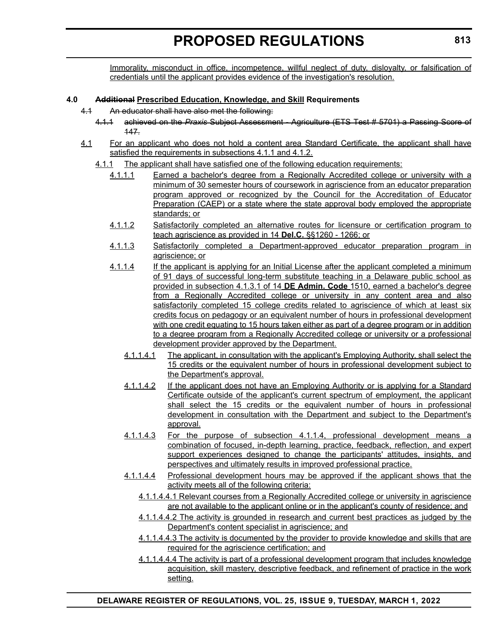Immorality, misconduct in office, incompetence, willful neglect of duty, disloyalty, or falsification of credentials until the applicant provides evidence of the investigation's resolution.

### **4.0 Additional Prescribed Education, Knowledge, and Skill Requirements**

- 4.1 An educator shall have also met the following:
	- 4.1.1 achieved on the *Praxis* Subject Assessment Agriculture (ETS Test # 5701) a Passing Score of 147.
- 4.1 For an applicant who does not hold a content area Standard Certificate, the applicant shall have satisfied the requirements in subsections 4.1.1 and 4.1.2.
	- 4.1.1 The applicant shall have satisfied one of the following education requirements:
		- 4.1.1.1 Earned a bachelor's degree from a Regionally Accredited college or university with a minimum of 30 semester hours of coursework in agriscience from an educator preparation program approved or recognized by the Council for the Accreditation of Educator Preparation (CAEP) or a state where the state approval body employed the appropriate standards; or
		- 4.1.1.2 Satisfactorily completed an alternative routes for licensure or certification program to teach agriscience as provided in 14 **Del.C.** §§1260 - 1266; or
		- 4.1.1.3 Satisfactorily completed a Department-approved educator preparation program in agriscience; or
		- 4.1.1.4 If the applicant is applying for an Initial License after the applicant completed a minimum of 91 days of successful long-term substitute teaching in a Delaware public school as provided in subsection 4.1.3.1 of 14 **DE Admin. Code** 1510, earned a bachelor's degree from a Regionally Accredited college or university in any content area and also satisfactorily completed 15 college credits related to agriscience of which at least six credits focus on pedagogy or an equivalent number of hours in professional development with one credit equating to 15 hours taken either as part of a degree program or in addition to a degree program from a Regionally Accredited college or university or a professional development provider approved by the Department.
			- 4.1.1.4.1 The applicant, in consultation with the applicant's Employing Authority, shall select the 15 credits or the equivalent number of hours in professional development subject to the Department's approval.
			- 4.1.1.4.2 If the applicant does not have an Employing Authority or is applying for a Standard Certificate outside of the applicant's current spectrum of employment, the applicant shall select the 15 credits or the equivalent number of hours in professional development in consultation with the Department and subject to the Department's approval.
			- 4.1.1.4.3 For the purpose of subsection 4.1.1.4, professional development means a combination of focused, in-depth learning, practice, feedback, reflection, and expert support experiences designed to change the participants' attitudes, insights, and perspectives and ultimately results in improved professional practice.
			- 4.1.1.4.4 Professional development hours may be approved if the applicant shows that the activity meets all of the following criteria:
				- 4.1.1.4.4.1 Relevant courses from a Regionally Accredited college or university in agriscience are not available to the applicant online or in the applicant's county of residence; and
				- 4.1.1.4.4.2 The activity is grounded in research and current best practices as judged by the Department's content specialist in agriscience; and
				- 4.1.1.4.4.3 The activity is documented by the provider to provide knowledge and skills that are required for the agriscience certification; and
				- 4.1.1.4.4.4 The activity is part of a professional development program that includes knowledge acquisition, skill mastery, descriptive feedback, and refinement of practice in the work setting.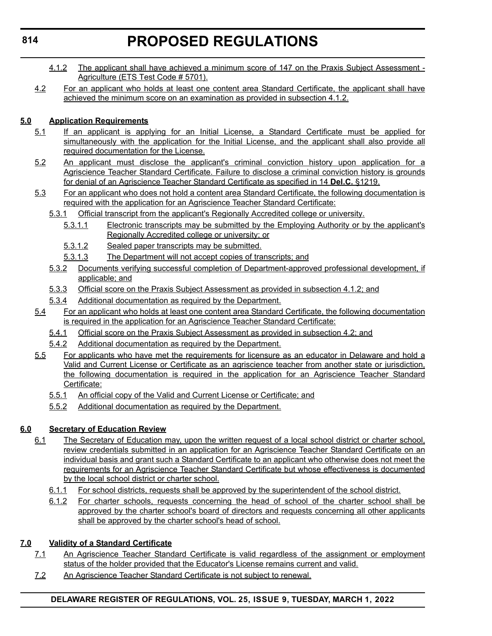- 4.1.2 The applicant shall have achieved a minimum score of 147 on the Praxis Subject Assessment -Agriculture (ETS Test Code # 5701).
- 4.2 For an applicant who holds at least one content area Standard Certificate, the applicant shall have achieved the minimum score on an examination as provided in subsection 4.1.2.

### **5.0 Application Requirements**

- 5.1 If an applicant is applying for an Initial License, a Standard Certificate must be applied for simultaneously with the application for the Initial License, and the applicant shall also provide all required documentation for the License.
- 5.2 An applicant must disclose the applicant's criminal conviction history upon application for a Agriscience Teacher Standard Certificate. Failure to disclose a criminal conviction history is grounds for denial of an Agriscience Teacher Standard Certificate as specified in 14 **Del.C.** §1219.
- 5.3 For an applicant who does not hold a content area Standard Certificate, the following documentation is required with the application for an Agriscience Teacher Standard Certificate:
	- 5.3.1 Official transcript from the applicant's Regionally Accredited college or university.
		- 5.3.1.1 Electronic transcripts may be submitted by the Employing Authority or by the applicant's Regionally Accredited college or university; or
		- 5.3.1.2 Sealed paper transcripts may be submitted.
		- 5.3.1.3 The Department will not accept copies of transcripts; and
	- 5.3.2 Documents verifying successful completion of Department-approved professional development, if applicable; and
	- 5.3.3 Official score on the Praxis Subject Assessment as provided in subsection 4.1.2; and
	- 5.3.4 Additional documentation as required by the Department.
- 5.4 For an applicant who holds at least one content area Standard Certificate, the following documentation is required in the application for an Agriscience Teacher Standard Certificate:
	- 5.4.1 Official score on the Praxis Subject Assessment as provided in subsection 4.2; and
	- 5.4.2 Additional documentation as required by the Department.
- 5.5 For applicants who have met the requirements for licensure as an educator in Delaware and hold a Valid and Current License or Certificate as an agriscience teacher from another state or jurisdiction, the following documentation is required in the application for an Agriscience Teacher Standard Certificate:
	- 5.5.1 An official copy of the Valid and Current License or Certificate; and
	- 5.5.2 Additional documentation as required by the Department.

### **6.0 Secretary of Education Review**

- 6.1 The Secretary of Education may, upon the written request of a local school district or charter school, review credentials submitted in an application for an Agriscience Teacher Standard Certificate on an individual basis and grant such a Standard Certificate to an applicant who otherwise does not meet the requirements for an Agriscience Teacher Standard Certificate but whose effectiveness is documented by the local school district or charter school.
	- 6.1.1 For school districts, requests shall be approved by the superintendent of the school district.
	- 6.1.2 For charter schools, requests concerning the head of school of the charter school shall be approved by the charter school's board of directors and requests concerning all other applicants shall be approved by the charter school's head of school.

### **7.0 Validity of a Standard Certificate**

- 7.1 An Agriscience Teacher Standard Certificate is valid regardless of the assignment or employment status of the holder provided that the Educator's License remains current and valid.
- 7.2 An Agriscience Teacher Standard Certificate is not subject to renewal.

### **DELAWARE REGISTER OF REGULATIONS, VOL. 25, ISSUE 9, TUESDAY, MARCH 1, 2022**

**814**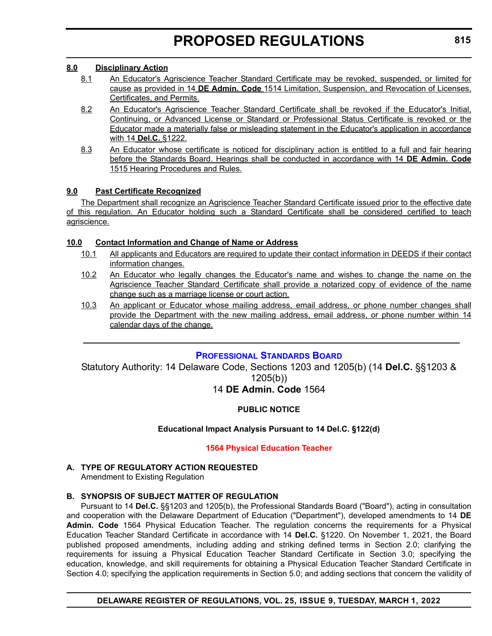### <span id="page-21-0"></span>**8.0 Disciplinary Action**

- 8.1 An Educator's Agriscience Teacher Standard Certificate may be revoked, suspended, or limited for cause as provided in 14 **DE Admin. Code** 1514 Limitation, Suspension, and Revocation of Licenses, Certificates, and Permits.
- 8.2 An Educator's Agriscience Teacher Standard Certificate shall be revoked if the Educator's Initial, Continuing, or Advanced License or Standard or Professional Status Certificate is revoked or the Educator made a materially false or misleading statement in the Educator's application in accordance with 14 **Del.C.** §1222.
- 8.3 An Educator whose certificate is noticed for disciplinary action is entitled to a full and fair hearing before the Standards Board. Hearings shall be conducted in accordance with 14 **DE Admin. Code** 1515 Hearing Procedures and Rules.

### **9.0 Past Certificate Recognized**

The Department shall recognize an Agriscience Teacher Standard Certificate issued prior to the effective date of this regulation. An Educator holding such a Standard Certificate shall be considered certified to teach agriscience.

### **10.0 Contact Information and Change of Name or Address**

- 10.1 All applicants and Educators are required to update their contact information in DEEDS if their contact information changes.
- 10.2 An Educator who legally changes the Educator's name and wishes to change the name on the Agriscience Teacher Standard Certificate shall provide a notarized copy of evidence of the name change such as a marriage license or court action.
- 10.3 An applicant or Educator whose mailing address, email address, or phone number changes shall provide the Department with the new mailing address, email address, or phone number within 14 calendar days of the change.

### **[PROFESSIONAL STANDARDS BOARD](https://www.doe.k12.de.us/domain/172)**

Statutory Authority: 14 Delaware Code, Sections 1203 and 1205(b) (14 **Del.C.** §§1203 & 1205(b)) 14 **DE Admin. Code** 1564

### **PUBLIC NOTICE**

### **Educational Impact Analysis Pursuant to 14 Del.C. §122(d)**

### **[1564 Physical Education Teacher](#page-4-0)**

### **A. TYPE OF REGULATORY ACTION REQUESTED**

Amendment to Existing Regulation

### **B. SYNOPSIS OF SUBJECT MATTER OF REGULATION**

Pursuant to 14 **Del.C.** §§1203 and 1205(b), the Professional Standards Board ("Board"), acting in consultation and cooperation with the Delaware Department of Education ("Department"), developed amendments to 14 **DE Admin. Code** 1564 Physical Education Teacher. The regulation concerns the requirements for a Physical Education Teacher Standard Certificate in accordance with 14 **Del.C.** §1220. On November 1, 2021, the Board published proposed amendments, including adding and striking defined terms in Section 2.0; clarifying the requirements for issuing a Physical Education Teacher Standard Certificate in Section 3.0; specifying the education, knowledge, and skill requirements for obtaining a Physical Education Teacher Standard Certificate in Section 4.0; specifying the application requirements in Section 5.0; and adding sections that concern the validity of

**815**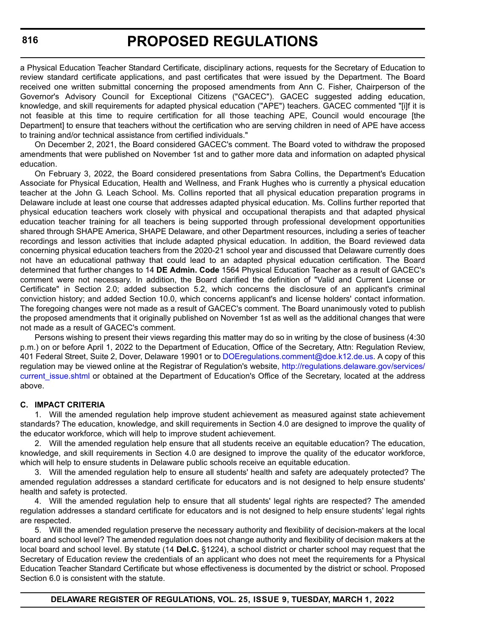a Physical Education Teacher Standard Certificate, disciplinary actions, requests for the Secretary of Education to review standard certificate applications, and past certificates that were issued by the Department. The Board received one written submittal concerning the proposed amendments from Ann C. Fisher, Chairperson of the Governor's Advisory Council for Exceptional Citizens ("GACEC"). GACEC suggested adding education, knowledge, and skill requirements for adapted physical education ("APE") teachers. GACEC commented "[i]f it is not feasible at this time to require certification for all those teaching APE, Council would encourage [the Department] to ensure that teachers without the certification who are serving children in need of APE have access to training and/or technical assistance from certified individuals."

On December 2, 2021, the Board considered GACEC's comment. The Board voted to withdraw the proposed amendments that were published on November 1st and to gather more data and information on adapted physical education.

On February 3, 2022, the Board considered presentations from Sabra Collins, the Department's Education Associate for Physical Education, Health and Wellness, and Frank Hughes who is currently a physical education teacher at the John G. Leach School. Ms. Collins reported that all physical education preparation programs in Delaware include at least one course that addresses adapted physical education. Ms. Collins further reported that physical education teachers work closely with physical and occupational therapists and that adapted physical education teacher training for all teachers is being supported through professional development opportunities shared through SHAPE America, SHAPE Delaware, and other Department resources, including a series of teacher recordings and lesson activities that include adapted physical education. In addition, the Board reviewed data concerning physical education teachers from the 2020-21 school year and discussed that Delaware currently does not have an educational pathway that could lead to an adapted physical education certification. The Board determined that further changes to 14 **DE Admin. Code** 1564 Physical Education Teacher as a result of GACEC's comment were not necessary. In addition, the Board clarified the definition of "Valid and Current License or Certificate" in Section 2.0; added subsection 5.2, which concerns the disclosure of an applicant's criminal conviction history; and added Section 10.0, which concerns applicant's and license holders' contact information. The foregoing changes were not made as a result of GACEC's comment. The Board unanimously voted to publish the proposed amendments that it originally published on November 1st as well as the additional changes that were not made as a result of GACEC's comment.

Persons wishing to present their views regarding this matter may do so in writing by the close of business (4:30 p.m.) on or before April 1, 2022 to the Department of Education, Office of the Secretary, Attn: Regulation Review, 401 Federal Street, Suite 2, Dover, Delaware 19901 or to [DOEregulations.comment@doe.k12.de.us.](
mailto:DOEregulations.comment@doe.k12.de.us) A copy of this regulation may be viewed online at the Registrar of Regulation's website, [http://regulations.delaware.gov/services/](http://regulations.delaware.gov/services/current_issue.shtml) current issue.shtml or obtained at the Department of Education's Office of the Secretary, located at the address above.

### **C. IMPACT CRITERIA**

1. Will the amended regulation help improve student achievement as measured against state achievement standards? The education, knowledge, and skill requirements in Section 4.0 are designed to improve the quality of the educator workforce, which will help to improve student achievement.

2. Will the amended regulation help ensure that all students receive an equitable education? The education, knowledge, and skill requirements in Section 4.0 are designed to improve the quality of the educator workforce, which will help to ensure students in Delaware public schools receive an equitable education.

3. Will the amended regulation help to ensure all students' health and safety are adequately protected? The amended regulation addresses a standard certificate for educators and is not designed to help ensure students' health and safety is protected.

4. Will the amended regulation help to ensure that all students' legal rights are respected? The amended regulation addresses a standard certificate for educators and is not designed to help ensure students' legal rights are respected.

5. Will the amended regulation preserve the necessary authority and flexibility of decision-makers at the local board and school level? The amended regulation does not change authority and flexibility of decision makers at the local board and school level. By statute (14 **Del.C.** §1224), a school district or charter school may request that the Secretary of Education review the credentials of an applicant who does not meet the requirements for a Physical Education Teacher Standard Certificate but whose effectiveness is documented by the district or school. Proposed Section 6.0 is consistent with the statute.

**DELAWARE REGISTER OF REGULATIONS, VOL. 25, ISSUE 9, TUESDAY, MARCH 1, 2022**

**816**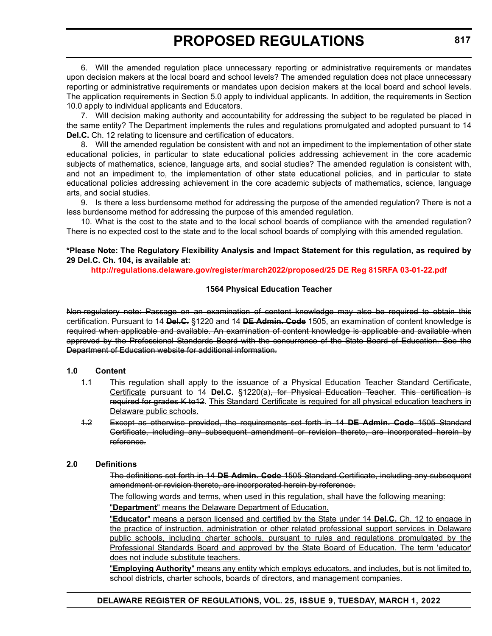6. Will the amended regulation place unnecessary reporting or administrative requirements or mandates upon decision makers at the local board and school levels? The amended regulation does not place unnecessary reporting or administrative requirements or mandates upon decision makers at the local board and school levels. The application requirements in Section 5.0 apply to individual applicants. In addition, the requirements in Section 10.0 apply to individual applicants and Educators.

7. Will decision making authority and accountability for addressing the subject to be regulated be placed in the same entity? The Department implements the rules and regulations promulgated and adopted pursuant to 14 **Del.C.** Ch. 12 relating to licensure and certification of educators.

8. Will the amended regulation be consistent with and not an impediment to the implementation of other state educational policies, in particular to state educational policies addressing achievement in the core academic subjects of mathematics, science, language arts, and social studies? The amended regulation is consistent with, and not an impediment to, the implementation of other state educational policies, and in particular to state educational policies addressing achievement in the core academic subjects of mathematics, science, language arts, and social studies.

9. Is there a less burdensome method for addressing the purpose of the amended regulation? There is not a less burdensome method for addressing the purpose of this amended regulation.

10. What is the cost to the state and to the local school boards of compliance with the amended regulation? There is no expected cost to the state and to the local school boards of complying with this amended regulation.

### **\*Please Note: The Regulatory Flexibility Analysis and Impact Statement for this regulation, as required by 29 Del.C. Ch. 104, is available at:**

**<http://regulations.delaware.gov/register/march2022/proposed/25 DE Reg 815RFA 03-01-22.pdf>**

### **1564 Physical Education Teacher**

Non-regulatory note: Passage on an examination of content knowledge may also be required to obtain this certification. Pursuant to 14 **Del.C.** §1220 and 14 **DE Admin. Code** 1505, an examination of content knowledge is required when applicable and available. An examination of content knowledge is applicable and available when approved by the Professional Standards Board with the concurrence of the State Board of Education. See the Department of Education website for additional information.

### **1.0 Content**

- 1.1 This regulation shall apply to the issuance of a Physical Education Teacher Standard Certificate, Certificate pursuant to 14 **Del.C.** §1220(a), for Physical Education Teacher. This certification is required for grades K to12. This Standard Certificate is required for all physical education teachers in Delaware public schools.
- 1.2 Except as otherwise provided, the requirements set forth in 14 **DE Admin. Code** 1505 Standard Certificate, including any subsequent amendment or revision thereto, are incorporated herein by reference.

### **2.0 Definitions**

The definitions set forth in 14 **DE Admin. Code** 1505 Standard Certificate, including any subsequent amendment or revision thereto, are incorporated herein by reference.

The following words and terms, when used in this regulation, shall have the following meaning:

"**Department**" means the Delaware Department of Education.

"**Educator**" means a person licensed and certified by the State under 14 **Del.C.** Ch. 12 to engage in the practice of instruction, administration or other related professional support services in Delaware public schools, including charter schools, pursuant to rules and regulations promulgated by the Professional Standards Board and approved by the State Board of Education. The term 'educator' does not include substitute teachers.

"**Employing Authority**" means any entity which employs educators, and includes, but is not limited to, school districts, charter schools, boards of directors, and management companies.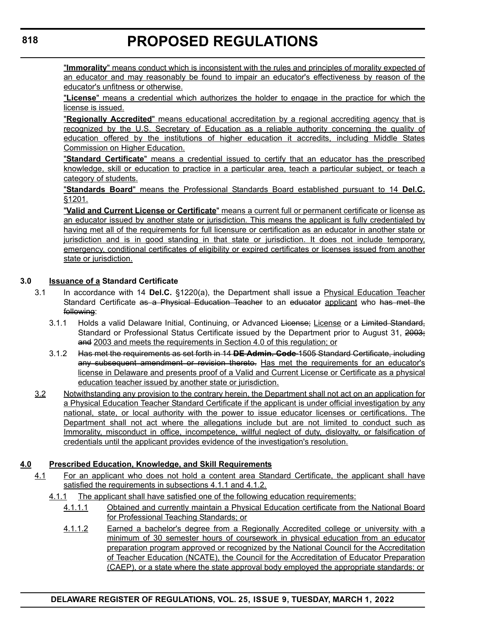"**Immorality**" means conduct which is inconsistent with the rules and principles of morality expected of an educator and may reasonably be found to impair an educator's effectiveness by reason of the educator's unfitness or otherwise.

"**License**" means a credential which authorizes the holder to engage in the practice for which the license is issued.

"**Regionally Accredited**" means educational accreditation by a regional accrediting agency that is recognized by the U.S. Secretary of Education as a reliable authority concerning the quality of education offered by the institutions of higher education it accredits, including Middle States Commission on Higher Education.

"**Standard Certificate**" means a credential issued to certify that an educator has the prescribed knowledge, skill or education to practice in a particular area, teach a particular subject, or teach a category of students.

"**Standards Board**" means the Professional Standards Board established pursuant to 14 **Del.C.** §1201.

"**Valid and Current License or Certificate**" means a current full or permanent certificate or license as an educator issued by another state or jurisdiction. This means the applicant is fully credentialed by having met all of the requirements for full licensure or certification as an educator in another state or jurisdiction and is in good standing in that state or jurisdiction. It does not include temporary, emergency, conditional certificates of eligibility or expired certificates or licenses issued from another state or jurisdiction.

### **3.0 Issuance of a Standard Certificate**

- 3.1 In accordance with 14 **Del.C.** §1220(a), the Department shall issue a Physical Education Teacher Standard Certificate as a Physical Education Teacher to an educator applicant who has met the following:
	- 3.1.1 Holds a valid Delaware Initial, Continuing, or Advanced License; License or a Limited Standard, Standard or Professional Status Certificate issued by the Department prior to August 31, 2003; and 2003 and meets the requirements in Section 4.0 of this regulation; or
	- 3.1.2 Has met the requirements as set forth in 14 **DE Admin. Code** 1505 Standard Certificate, including any subsequent amendment or revision thereto. Has met the requirements for an educator's license in Delaware and presents proof of a Valid and Current License or Certificate as a physical education teacher issued by another state or jurisdiction.
- 3.2 Notwithstanding any provision to the contrary herein, the Department shall not act on an application for a Physical Education Teacher Standard Certificate if the applicant is under official investigation by any national, state, or local authority with the power to issue educator licenses or certifications. The Department shall not act where the allegations include but are not limited to conduct such as Immorality, misconduct in office, incompetence, willful neglect of duty, disloyalty, or falsification of credentials until the applicant provides evidence of the investigation's resolution.

### **4.0 Prescribed Education, Knowledge, and Skill Requirements**

- 4.1 For an applicant who does not hold a content area Standard Certificate, the applicant shall have satisfied the requirements in subsections 4.1.1 and 4.1.2.
	- 4.1.1 The applicant shall have satisfied one of the following education requirements:
		- 4.1.1.1 Obtained and currently maintain a Physical Education certificate from the National Board for Professional Teaching Standards; or
		- 4.1.1.2 Earned a bachelor's degree from a Regionally Accredited college or university with a minimum of 30 semester hours of coursework in physical education from an educator preparation program approved or recognized by the National Council for the Accreditation of Teacher Education (NCATE), the Council for the Accreditation of Educator Preparation (CAEP), or a state where the state approval body employed the appropriate standards; or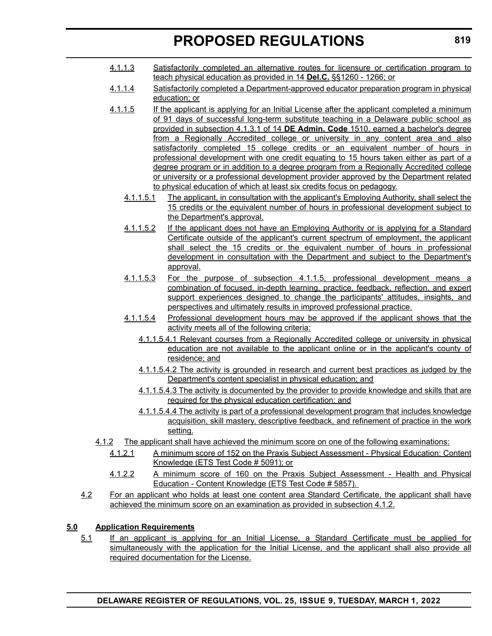- 4.1.1.3 Satisfactorily completed an alternative routes for licensure or certification program to teach physical education as provided in 14 **Del.C.** §§1260 - 1266; or
- 4.1.1.4 Satisfactorily completed a Department-approved educator preparation program in physical education; or
- 4.1.1.5 If the applicant is applying for an Initial License after the applicant completed a minimum of 91 days of successful long-term substitute teaching in a Delaware public school as provided in subsection 4.1.3.1 of 14 **DE Admin. Code** 1510, earned a bachelor's degree from a Regionally Accredited college or university in any content area and also satisfactorily completed 15 college credits or an equivalent number of hours in professional development with one credit equating to 15 hours taken either as part of a degree program or in addition to a degree program from a Regionally Accredited college or university or a professional development provider approved by the Department related to physical education of which at least six credits focus on pedagogy.
	- 4.1.1.5.1 The applicant, in consultation with the applicant's Employing Authority, shall select the 15 credits or the equivalent number of hours in professional development subject to the Department's approval.
	- 4.1.1.5.2 If the applicant does not have an Employing Authority or is applying for a Standard Certificate outside of the applicant's current spectrum of employment, the applicant shall select the 15 credits or the equivalent number of hours in professional development in consultation with the Department and subject to the Department's approval.
	- 4.1.1.5.3 For the purpose of subsection 4.1.1.5, professional development means a combination of focused, in-depth learning, practice, feedback, reflection, and expert support experiences designed to change the participants' attitudes, insights, and perspectives and ultimately results in improved professional practice.
	- 4.1.1.5.4 Professional development hours may be approved if the applicant shows that the activity meets all of the following criteria:
		- 4.1.1.5.4.1 Relevant courses from a Regionally Accredited college or university in physical education are not available to the applicant online or in the applicant's county of residence; and
		- 4.1.1.5.4.2 The activity is grounded in research and current best practices as judged by the Department's content specialist in physical education; and
		- 4.1.1.5.4.3 The activity is documented by the provider to provide knowledge and skills that are required for the physical education certification; and
		- 4.1.1.5.4.4 The activity is part of a professional development program that includes knowledge acquisition, skill mastery, descriptive feedback, and refinement of practice in the work setting.
- 4.1.2 The applicant shall have achieved the minimum score on one of the following examinations:
	- 4.1.2.1 A minimum score of 152 on the Praxis Subject Assessment Physical Education: Content Knowledge (ETS Test Code # 5091); or
	- 4.1.2.2 A minimum score of 160 on the Praxis Subject Assessment Health and Physical Education - Content Knowledge (ETS Test Code # 5857).
- 4.2 For an applicant who holds at least one content area Standard Certificate, the applicant shall have achieved the minimum score on an examination as provided in subsection 4.1.2.

### **5.0 Application Requirements**

5.1 If an applicant is applying for an Initial License, a Standard Certificate must be applied for simultaneously with the application for the Initial License, and the applicant shall also provide all required documentation for the License.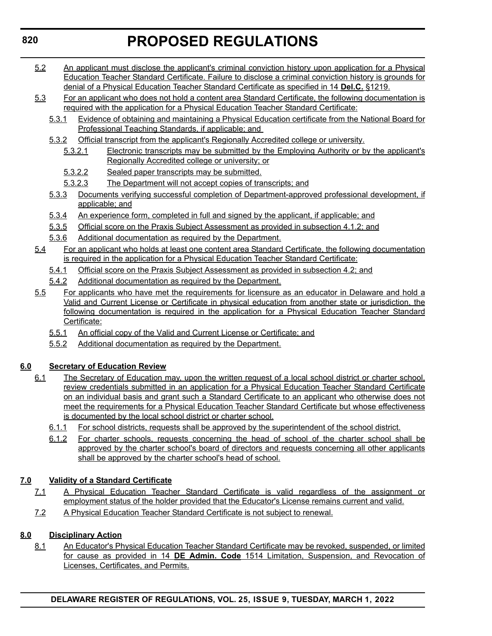- 5.2 An applicant must disclose the applicant's criminal conviction history upon application for a Physical Education Teacher Standard Certificate. Failure to disclose a criminal conviction history is grounds for denial of a Physical Education Teacher Standard Certificate as specified in 14 **Del.C.** §1219.
- 5.3 For an applicant who does not hold a content area Standard Certificate, the following documentation is required with the application for a Physical Education Teacher Standard Certificate:
	- 5.3.1 Evidence of obtaining and maintaining a Physical Education certificate from the National Board for Professional Teaching Standards, if applicable; and
	- 5.3.2 Official transcript from the applicant's Regionally Accredited college or university.
		- 5.3.2.1 Electronic transcripts may be submitted by the Employing Authority or by the applicant's Regionally Accredited college or university; or
		- 5.3.2.2 Sealed paper transcripts may be submitted.
		- 5.3.2.3 The Department will not accept copies of transcripts; and
	- 5.3.3 Documents verifying successful completion of Department-approved professional development, if applicable; and
	- 5.3.4 An experience form, completed in full and signed by the applicant, if applicable; and
	- 5.3.5 Official score on the Praxis Subject Assessment as provided in subsection 4.1.2; and
	- 5.3.6 Additional documentation as required by the Department.
- 5.4 For an applicant who holds at least one content area Standard Certificate, the following documentation is required in the application for a Physical Education Teacher Standard Certificate:
	- 5.4.1 Official score on the Praxis Subject Assessment as provided in subsection 4.2; and
	- 5.4.2 Additional documentation as required by the Department.
- 5.5 For applicants who have met the requirements for licensure as an educator in Delaware and hold a Valid and Current License or Certificate in physical education from another state or jurisdiction, the following documentation is required in the application for a Physical Education Teacher Standard Certificate:
	- 5.5.1 An official copy of the Valid and Current License or Certificate; and
	- 5.5.2 Additional documentation as required by the Department.

### **6.0 Secretary of Education Review**

- 6.1 The Secretary of Education may, upon the written request of a local school district or charter school, review credentials submitted in an application for a Physical Education Teacher Standard Certificate on an individual basis and grant such a Standard Certificate to an applicant who otherwise does not meet the requirements for a Physical Education Teacher Standard Certificate but whose effectiveness is documented by the local school district or charter school.
	- 6.1.1 For school districts, requests shall be approved by the superintendent of the school district.
	- 6.1.2 For charter schools, requests concerning the head of school of the charter school shall be approved by the charter school's board of directors and requests concerning all other applicants shall be approved by the charter school's head of school.

### **7.0 Validity of a Standard Certificate**

- 7.1 A Physical Education Teacher Standard Certificate is valid regardless of the assignment or employment status of the holder provided that the Educator's License remains current and valid.
- 7.2 A Physical Education Teacher Standard Certificate is not subject to renewal.

### **8.0 Disciplinary Action**

8.1 An Educator's Physical Education Teacher Standard Certificate may be revoked, suspended, or limited for cause as provided in 14 **DE Admin. Code** 1514 Limitation, Suspension, and Revocation of Licenses, Certificates, and Permits.

### **820**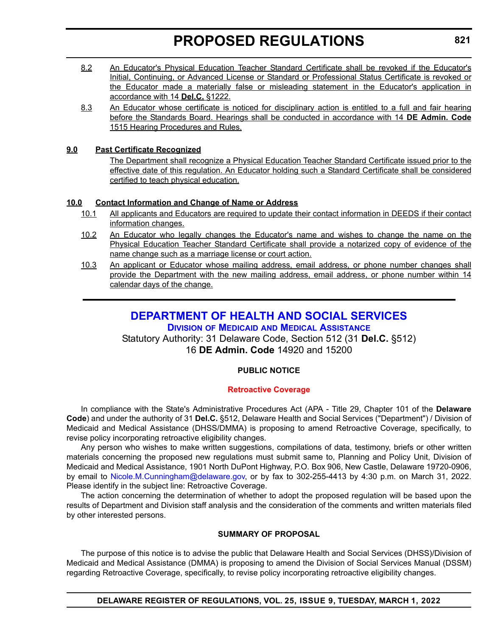- <span id="page-27-0"></span>8.2 An Educator's Physical Education Teacher Standard Certificate shall be revoked if the Educator's Initial, Continuing, or Advanced License or Standard or Professional Status Certificate is revoked or the Educator made a materially false or misleading statement in the Educator's application in accordance with 14 **Del.C.** §1222.
- 8.3 An Educator whose certificate is noticed for disciplinary action is entitled to a full and fair hearing before the Standards Board. Hearings shall be conducted in accordance with 14 **DE Admin. Code** 1515 Hearing Procedures and Rules.

### **9.0 Past Certificate Recognized**

The Department shall recognize a Physical Education Teacher Standard Certificate issued prior to the effective date of this regulation. An Educator holding such a Standard Certificate shall be considered certified to teach physical education.

### **10.0 Contact Information and Change of Name or Address**

- 10.1 All applicants and Educators are required to update their contact information in DEEDS if their contact information changes.
- 10.2 An Educator who legally changes the Educator's name and wishes to change the name on the Physical Education Teacher Standard Certificate shall provide a notarized copy of evidence of the name change such as a marriage license or court action.
- 10.3 An applicant or Educator whose mailing address, email address, or phone number changes shall provide the Department with the new mailing address, email address, or phone number within 14 calendar days of the change.

### **[DEPARTMENT OF HEALTH AND SOCIAL SERVICES](https://www.dhss.delaware.gov/dhss/dmma/)**

**DIVISION OF MEDICAID AND MEDICAL ASSISTANCE**

Statutory Authority: 31 Delaware Code, Section 512 (31 **Del.C.** §512) 16 **DE Admin. Code** 14920 and 15200

### **PUBLIC NOTICE**

### **[Retroactive Coverage](#page-3-0)**

In compliance with the State's Administrative Procedures Act (APA - Title 29, Chapter 101 of the **Delaware Code**) and under the authority of 31 **Del.C.** §512, Delaware Health and Social Services ("Department") / Division of Medicaid and Medical Assistance (DHSS/DMMA) is proposing to amend Retroactive Coverage, specifically, to revise policy incorporating retroactive eligibility changes.

Any person who wishes to make written suggestions, compilations of data, testimony, briefs or other written materials concerning the proposed new regulations must submit same to, Planning and Policy Unit, Division of Medicaid and Medical Assistance, 1901 North DuPont Highway, P.O. Box 906, New Castle, Delaware 19720-0906, by email to [Nicole.M.Cunningham@delaware.gov,](mailto:Nicole.M.Cunningham@delaware.gov) or by fax to 302-255-4413 by 4:30 p.m. on March 31, 2022. Please identify in the subject line: Retroactive Coverage.

The action concerning the determination of whether to adopt the proposed regulation will be based upon the results of Department and Division staff analysis and the consideration of the comments and written materials filed by other interested persons.

### **SUMMARY OF PROPOSAL**

The purpose of this notice is to advise the public that Delaware Health and Social Services (DHSS)/Division of Medicaid and Medical Assistance (DMMA) is proposing to amend the Division of Social Services Manual (DSSM) regarding Retroactive Coverage, specifically, to revise policy incorporating retroactive eligibility changes.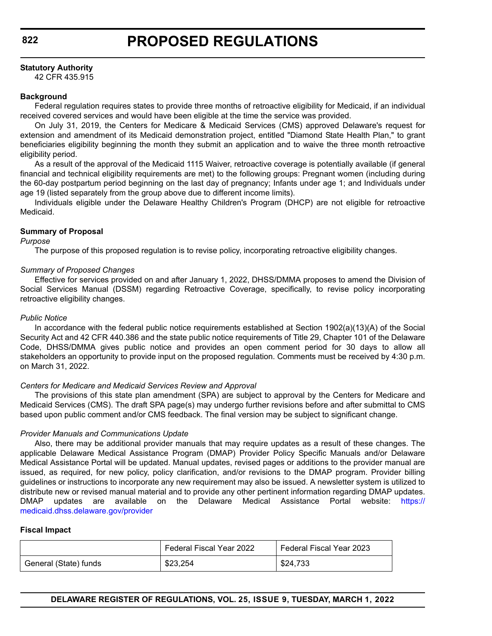### **Statutory Authority**

42 CFR 435.915

### **Background**

Federal regulation requires states to provide three months of retroactive eligibility for Medicaid, if an individual received covered services and would have been eligible at the time the service was provided.

On July 31, 2019, the Centers for Medicare & Medicaid Services (CMS) approved Delaware's request for extension and amendment of its Medicaid demonstration project, entitled "Diamond State Health Plan," to grant beneficiaries eligibility beginning the month they submit an application and to waive the three month retroactive eligibility period.

As a result of the approval of the Medicaid 1115 Waiver, retroactive coverage is potentially available (if general financial and technical eligibility requirements are met) to the following groups: Pregnant women (including during the 60-day postpartum period beginning on the last day of pregnancy; Infants under age 1; and Individuals under age 19 (listed separately from the group above due to different income limits).

Individuals eligible under the Delaware Healthy Children's Program (DHCP) are not eligible for retroactive Medicaid.

### **Summary of Proposal**

### *Purpose*

The purpose of this proposed regulation is to revise policy, incorporating retroactive eligibility changes.

### *Summary of Proposed Changes*

Effective for services provided on and after January 1, 2022, DHSS/DMMA proposes to amend the Division of Social Services Manual (DSSM) regarding Retroactive Coverage, specifically, to revise policy incorporating retroactive eligibility changes.

### *Public Notice*

In accordance with the federal public notice requirements established at Section 1902(a)(13)(A) of the Social Security Act and 42 CFR 440.386 and the state public notice requirements of Title 29, Chapter 101 of the Delaware Code, DHSS/DMMA gives public notice and provides an open comment period for 30 days to allow all stakeholders an opportunity to provide input on the proposed regulation. Comments must be received by 4:30 p.m. on March 31, 2022.

### *Centers for Medicare and Medicaid Services Review and Approval*

The provisions of this state plan amendment (SPA) are subject to approval by the Centers for Medicare and Medicaid Services (CMS). The draft SPA page(s) may undergo further revisions before and after submittal to CMS based upon public comment and/or CMS feedback. The final version may be subject to significant change.

### *Provider Manuals and Communications Update*

Also, there may be additional provider manuals that may require updates as a result of these changes. The applicable Delaware Medical Assistance Program (DMAP) Provider Policy Specific Manuals and/or Delaware Medical Assistance Portal will be updated. Manual updates, revised pages or additions to the provider manual are issued, as required, for new policy, policy clarification, and/or revisions to the DMAP program. Provider billing guidelines or instructions to incorporate any new requirement may also be issued. A newsletter system is utilized to distribute new or revised manual material and to provide any other pertinent information regarding DMAP updates. DMAP updates are available on the Delaware Medical Assistance Portal website: [https://](https://medicaid.dhss.delaware.gov/provider) [medicaid.dhss.delaware.gov/provider](https://medicaid.dhss.delaware.gov/provider)

### **Fiscal Impact**

|                       | Federal Fiscal Year 2022 | <b>Federal Fiscal Year 2023</b> |
|-----------------------|--------------------------|---------------------------------|
| General (State) funds | \$23,254                 | \$24,733                        |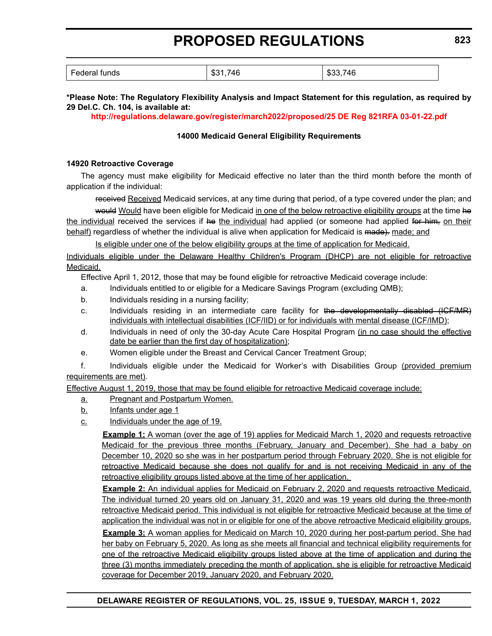| $\overline{\phantom{0}}$<br>Federal funds | 746<br>ሰዓላ<br>ึง⊾ | 746<br>. m.c<br><br>കാക |
|-------------------------------------------|-------------------|-------------------------|
|                                           |                   |                         |

### **\*Please Note: The Regulatory Flexibility Analysis and Impact Statement for this regulation, as required by 29 Del.C. Ch. 104, is available at:**

**<http://regulations.delaware.gov/register/march2022/proposed/25 DE Reg 821RFA 03-01-22.pdf>**

### **14000 Medicaid General Eligibility Requirements**

### **14920 Retroactive Coverage**

The agency must make eligibility for Medicaid effective no later than the third month before the month of application if the individual:

received Received Medicaid services, at any time during that period, of a type covered under the plan; and

would Would have been eligible for Medicaid in one of the below retroactive eligibility groups at the time he the individual received the services if he the individual had applied (or someone had applied for him, on their behalf) regardless of whether the individual is alive when application for Medicaid is made). made; and

Is eligible under one of the below eligibility groups at the time of application for Medicaid.

Individuals eligible under the Delaware Healthy Children's Program (DHCP) are not eligible for retroactive Medicaid.

Effective April 1, 2012, those that may be found eligible for retroactive Medicaid coverage include:

- a. Individuals entitled to or eligible for a Medicare Savings Program (excluding QMB);
- b. Individuals residing in a nursing facility;
- c. Individuals residing in an intermediate care facility for the developmentally disabled (ICF/MR) individuals with intellectual disabilities (ICF/IID) or for individuals with mental disease (ICF/IMD);
- d. Individuals in need of only the 30-day Acute Care Hospital Program (in no case should the effective date be earlier than the first day of hospitalization);
- e. Women eligible under the Breast and Cervical Cancer Treatment Group;

f. Individuals eligible under the Medicaid for Worker's with Disabilities Group (provided premium requirements are met).

Effective August 1, 2019, those that may be found eligible for retroactive Medicaid coverage include:

- a. Pregnant and Postpartum Women.
- b. Infants under age 1
- c. Individuals under the age of 19.

**Example 1:** A woman (over the age of 19) applies for Medicaid March 1, 2020 and requests retroactive Medicaid for the previous three months (February, January and December). She had a baby on December 10, 2020 so she was in her postpartum period through February 2020. She is not eligible for retroactive Medicaid because she does not qualify for and is not receiving Medicaid in any of the retroactive eligibility groups listed above at the time of her application.

**Example 2:** An individual applies for Medicaid on February 2, 2020 and requests retroactive Medicaid. The individual turned 20 years old on January 31, 2020 and was 19 years old during the three-month retroactive Medicaid period. This individual is not eligible for retroactive Medicaid because at the time of application the individual was not in or eligible for one of the above retroactive Medicaid eligibility groups. **Example 3:** A woman applies for Medicaid on March 10, 2020 during her post-partum period. She had her baby on February 5, 2020. As long as she meets all financial and technical eligibility requirements for

one of the retroactive Medicaid eligibility groups listed above at the time of application and during the three (3) months immediately preceding the month of application, she is eligible for retroactive Medicaid coverage for December 2019, January 2020, and February 2020.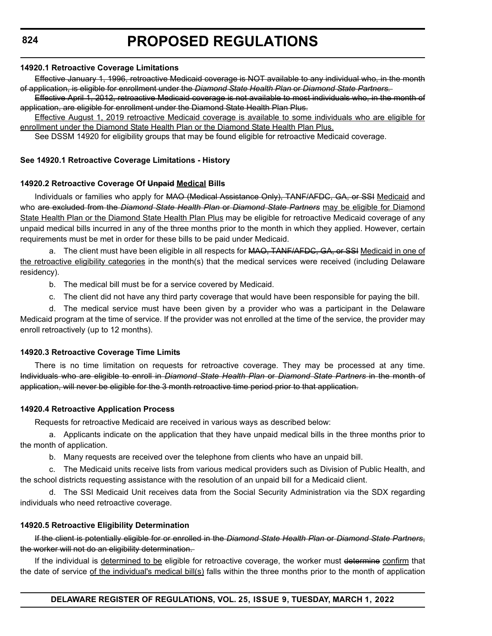#### **14920.1 Retroactive Coverage Limitations**

Effective January 1, 1996, retroactive Medicaid coverage is NOT available to any individual who, in the month of application, is eligible for enrollment under the *Diamond State Health Plan* or *Diamond State Partners.*

Effective April 1, 2012, retroactive Medicaid coverage is not available to most individuals who, in the month of application, are eligible for enrollment under the Diamond State Health Plan Plus.

Effective August 1, 2019 retroactive Medicaid coverage is available to some individuals who are eligible for enrollment under the Diamond State Health Plan or the Diamond State Health Plan Plus.

See DSSM 14920 for eligibility groups that may be found eligible for retroactive Medicaid coverage.

#### **See 14920.1 Retroactive Coverage Limitations - History**

#### **14920.2 Retroactive Coverage Of Unpaid Medical Bills**

Individuals or families who apply for MAO (Medical Assistance Only), TANF/AFDC, GA, or SSI Medicaid and who are excluded from the *Diamond State Health Plan* or *Diamond State Partners* may be eligible for Diamond State Health Plan or the Diamond State Health Plan Plus may be eligible for retroactive Medicaid coverage of any unpaid medical bills incurred in any of the three months prior to the month in which they applied. However, certain requirements must be met in order for these bills to be paid under Medicaid.

a. The client must have been eligible in all respects for MAO, TANF/AFDC, GA, or SSI Medicaid in one of the retroactive eligibility categories in the month(s) that the medical services were received (including Delaware residency).

- b. The medical bill must be for a service covered by Medicaid.
- c. The client did not have any third party coverage that would have been responsible for paying the bill.

d. The medical service must have been given by a provider who was a participant in the Delaware Medicaid program at the time of service. If the provider was not enrolled at the time of the service, the provider may enroll retroactively (up to 12 months).

#### **14920.3 Retroactive Coverage Time Limits**

There is no time limitation on requests for retroactive coverage. They may be processed at any time. Individuals who are eligible to enroll in *Diamond State Health Plan* or *Diamond State Partners* in the month of application, will never be eligible for the 3 month retroactive time period prior to that application.

#### **14920.4 Retroactive Application Process**

Requests for retroactive Medicaid are received in various ways as described below:

a. Applicants indicate on the application that they have unpaid medical bills in the three months prior to the month of application.

b. Many requests are received over the telephone from clients who have an unpaid bill.

c. The Medicaid units receive lists from various medical providers such as Division of Public Health, and the school districts requesting assistance with the resolution of an unpaid bill for a Medicaid client.

d. The SSI Medicaid Unit receives data from the Social Security Administration via the SDX regarding individuals who need retroactive coverage.

#### **14920.5 Retroactive Eligibility Determination**

If the client is potentially eligible for or enrolled in the *Diamond State Health Plan* or *Diamond State Partners*, the worker will not do an eligibility determination.

If the individual is determined to be eligible for retroactive coverage, the worker must determine confirm that the date of service of the individual's medical bill(s) falls within the three months prior to the month of application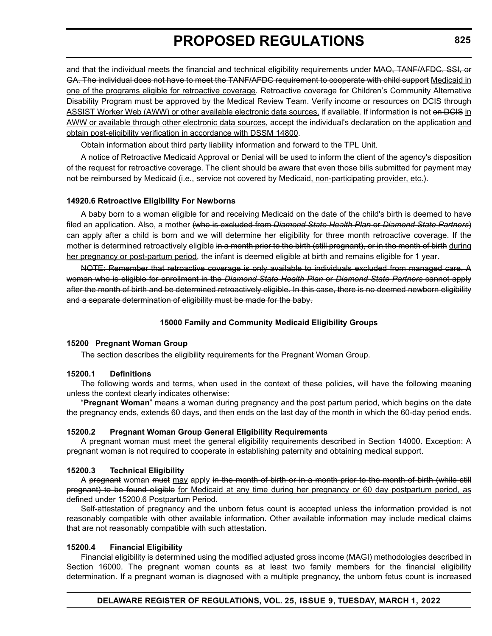and that the individual meets the financial and technical eligibility requirements under MAO, TANF/AFDC, SSI, or GA. The individual does not have to meet the TANF/AFDC requirement to cooperate with child support Medicaid in one of the programs eligible for retroactive coverage. Retroactive coverage for Children's Community Alternative Disability Program must be approved by the Medical Review Team. Verify income or resources on DCIS through ASSIST Worker Web (AWW) or other available electronic data sources, if available. If information is not on DCIS in AWW or available through other electronic data sources, accept the individual's declaration on the application and obtain post-eligibility verification in accordance with DSSM 14800.

Obtain information about third party liability information and forward to the TPL Unit.

A notice of Retroactive Medicaid Approval or Denial will be used to inform the client of the agency's disposition of the request for retroactive coverage. The client should be aware that even those bills submitted for payment may not be reimbursed by Medicaid (i.e., service not covered by Medicaid, non-participating provider, etc.).

### **14920.6 Retroactive Eligibility For Newborns**

A baby born to a woman eligible for and receiving Medicaid on the date of the child's birth is deemed to have filed an application. Also, a mother (who is excluded from *Diamond State Health Plan* or *Diamond State Partners*) can apply after a child is born and we will determine her eligibility for three month retroactive coverage. If the mother is determined retroactively eligible in a month prior to the birth (still pregnant), or in the month of birth during her pregnancy or post-partum period, the infant is deemed eligible at birth and remains eligible for 1 year.

NOTE: Remember that retroactive coverage is only available to individuals excluded from managed care. A woman who is eligible for enrollment in the *Diamond State Health Plan* or *Diamond State Partners* cannot apply after the month of birth and be determined retroactively eligible. In this case, there is no deemed newborn eligibility and a separate determination of eligibility must be made for the baby.

### **15000 Family and Community Medicaid Eligibility Groups**

### **15200 Pregnant Woman Group**

The section describes the eligibility requirements for the Pregnant Woman Group.

### **15200.1 Definitions**

The following words and terms, when used in the context of these policies, will have the following meaning unless the context clearly indicates otherwise:

"**Pregnant Woman**" means a woman during pregnancy and the post partum period, which begins on the date the pregnancy ends, extends 60 days, and then ends on the last day of the month in which the 60-day period ends.

### **15200.2 Pregnant Woman Group General Eligibility Requirements**

A pregnant woman must meet the general eligibility requirements described in Section 14000. Exception: A pregnant woman is not required to cooperate in establishing paternity and obtaining medical support.

### **15200.3 Technical Eligibility**

A pregnant woman must may apply in the month of birth or in a month prior to the month of birth (while still pregnant) to be found eligible for Medicaid at any time during her pregnancy or 60 day postpartum period, as defined under 15200.6 Postpartum Period.

Self-attestation of pregnancy and the unborn fetus count is accepted unless the information provided is not reasonably compatible with other available information. Other available information may include medical claims that are not reasonably compatible with such attestation.

### **15200.4 Financial Eligibility**

Financial eligibility is determined using the modified adjusted gross income (MAGI) methodologies described in Section 16000. The pregnant woman counts as at least two family members for the financial eligibility determination. If a pregnant woman is diagnosed with a multiple pregnancy, the unborn fetus count is increased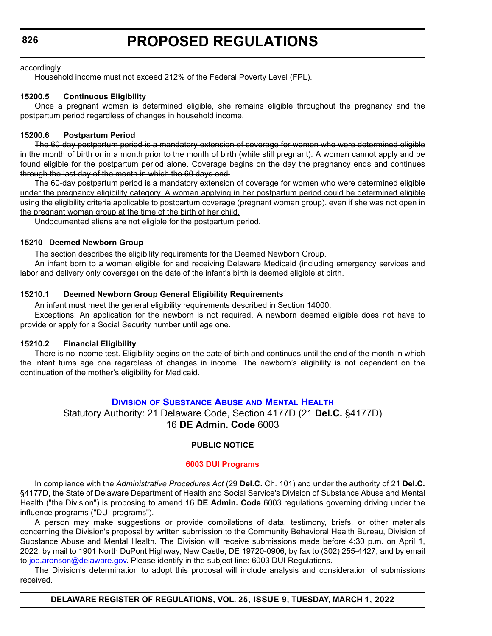<span id="page-32-0"></span>**826**

### **PROPOSED REGULATIONS**

accordingly.

Household income must not exceed 212% of the Federal Poverty Level (FPL).

### **15200.5 Continuous Eligibility**

Once a pregnant woman is determined eligible, she remains eligible throughout the pregnancy and the postpartum period regardless of changes in household income.

### **15200.6 Postpartum Period**

The 60-day postpartum period is a mandatory extension of coverage for women who were determined eligible in the month of birth or in a month prior to the month of birth (while still pregnant). A woman cannot apply and be found eligible for the postpartum period alone. Coverage begins on the day the pregnancy ends and continues through the last day of the month in which the 60 days end.

The 60-day postpartum period is a mandatory extension of coverage for women who were determined eligible under the pregnancy eligibility category. A woman applying in her postpartum period could be determined eligible using the eligibility criteria applicable to postpartum coverage (pregnant woman group), even if she was not open in the pregnant woman group at the time of the birth of her child.

Undocumented aliens are not eligible for the postpartum period.

### **15210 Deemed Newborn Group**

The section describes the eligibility requirements for the Deemed Newborn Group.

An infant born to a woman eligible for and receiving Delaware Medicaid (including emergency services and labor and delivery only coverage) on the date of the infant's birth is deemed eligible at birth.

### **15210.1 Deemed Newborn Group General Eligibility Requirements**

An infant must meet the general eligibility requirements described in Section 14000.

Exceptions: An application for the newborn is not required. A newborn deemed eligible does not have to provide or apply for a Social Security number until age one.

### **15210.2 Financial Eligibility**

There is no income test. Eligibility begins on the date of birth and continues until the end of the month in which the infant turns age one regardless of changes in income. The newborn's eligibility is not dependent on the continuation of the mother's eligibility for Medicaid.

### **DIVISION [OF SUBSTANCE ABUSE](https://dhss.delaware.gov/dsamh/) AND MENTAL HEALTH** Statutory Authority: 21 Delaware Code, Section 4177D (21 **Del.C.** §4177D)

16 **DE Admin. Code** 6003

### **PUBLIC NOTICE**

### **[6003 DUI Programs](#page-3-0)**

In compliance with the *Administrative Procedures Act* (29 **Del.C.** Ch. 101) and under the authority of 21 **Del.C.** §4177D, the State of Delaware Department of Health and Social Service's Division of Substance Abuse and Mental Health ("the Division") is proposing to amend 16 **DE Admin. Code** 6003 regulations governing driving under the influence programs ("DUI programs").

A person may make suggestions or provide compilations of data, testimony, briefs, or other materials concerning the Division's proposal by written submission to the Community Behavioral Health Bureau, Division of Substance Abuse and Mental Health. The Division will receive submissions made before 4:30 p.m. on April 1, 2022, by mail to 1901 North DuPont Highway, New Castle, DE 19720-0906, by fax to (302) 255-4427, and by email to [joe.aronson@delaware.gov.](
mailto:joe.aronson@delaware.gov) Please identify in the subject line: 6003 DUI Regulations.

The Division's determination to adopt this proposal will include analysis and consideration of submissions received.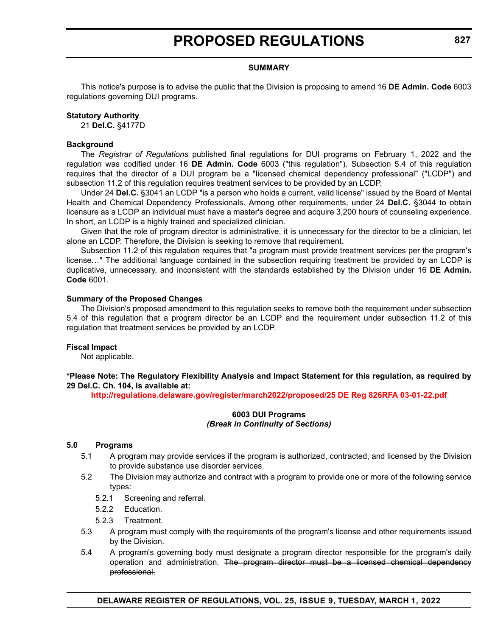### **SUMMARY**

This notice's purpose is to advise the public that the Division is proposing to amend 16 **DE Admin. Code** 6003 regulations governing DUI programs.

#### **Statutory Authority**

21 **Del.C.** §4177D

### **Background**

The *Registrar of Regulations* published final regulations for DUI programs on February 1, 2022 and the regulation was codified under 16 **DE Admin. Code** 6003 ("this regulation"). Subsection 5.4 of this regulation requires that the director of a DUI program be a "licensed chemical dependency professional" ("LCDP") and subsection 11.2 of this regulation requires treatment services to be provided by an LCDP.

Under 24 **Del.C.** §3041 an LCDP "is a person who holds a current, valid license" issued by the Board of Mental Health and Chemical Dependency Professionals. Among other requirements, under 24 **Del.C.** §3044 to obtain licensure as a LCDP an individual must have a master's degree and acquire 3,200 hours of counseling experience. In short, an LCDP is a highly trained and specialized clinician.

Given that the role of program director is administrative, it is unnecessary for the director to be a clinician, let alone an LCDP. Therefore, the Division is seeking to remove that requirement.

Subsection 11.2 of this regulation requires that "a program must provide treatment services per the program's license…" The additional language contained in the subsection requiring treatment be provided by an LCDP is duplicative, unnecessary, and inconsistent with the standards established by the Division under 16 **DE Admin. Code** 6001.

#### **Summary of the Proposed Changes**

The Division's proposed amendment to this regulation seeks to remove both the requirement under subsection 5.4 of this regulation that a program director be an LCDP and the requirement under subsection 11.2 of this regulation that treatment services be provided by an LCDP.

### **Fiscal Impact**

Not applicable.

**\*Please Note: The Regulatory Flexibility Analysis and Impact Statement for this regulation, as required by 29 Del.C. Ch. 104, is available at:**

**<http://regulations.delaware.gov/register/march2022/proposed/25 DE Reg 826RFA 03-01-22.pdf>**

### **6003 DUI Programs** *(Break in Continuity of Sections)*

#### **5.0 Programs**

- 5.1 A program may provide services if the program is authorized, contracted, and licensed by the Division to provide substance use disorder services.
- 5.2 The Division may authorize and contract with a program to provide one or more of the following service types:
	- 5.2.1 Screening and referral.
	- 5.2.2 Education.
	- 5.2.3 Treatment.
- 5.3 A program must comply with the requirements of the program's license and other requirements issued by the Division.
- 5.4 A program's governing body must designate a program director responsible for the program's daily operation and administration. The program director must be a licensed chemical dependency professional.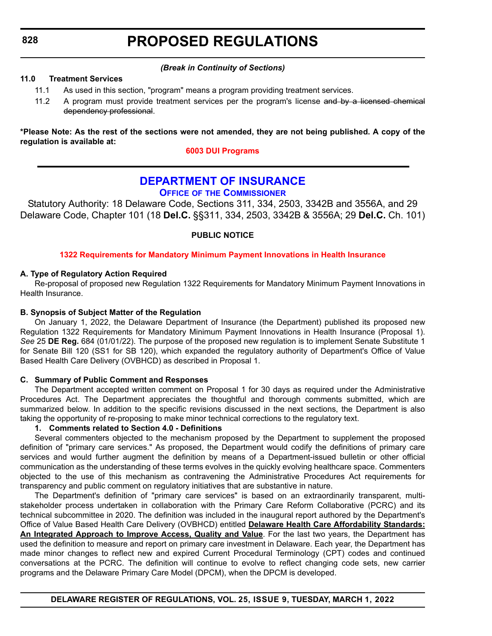### *(Break in Continuity of Sections)*

### <span id="page-34-0"></span>**11.0 Treatment Services**

- 11.1 As used in this section, "program" means a program providing treatment services.
- 11.2 A program must provide treatment services per the program's license and by a licensed chemical dependency professional.

**\*Please Note: As the rest of the sections were not amended, they are not being published. A copy of the regulation is available at:**

### **[6003 DUI Programs](http://regulations.delaware.gov/register/march2022/proposed/25 DE Reg 826 03-01-22.htm)**

### **[DEPARTMENT OF INSURANCE](https://insurance.delaware.gov/)**

### **OFFICE OF THE COMMISSIONER**

Statutory Authority: 18 Delaware Code, Sections 311, 334, 2503, 3342B and 3556A, and 29 Delaware Code, Chapter 101 (18 **Del.C.** §§311, 334, 2503, 3342B & 3556A; 29 **Del.C.** Ch. 101)

**PUBLIC NOTICE**

### **[1322 Requirements for Mandatory Minimum Payment Innovations in Health Insurance](#page-3-0)**

### **A. Type of Regulatory Action Required**

Re-proposal of proposed new Regulation 1322 Requirements for Mandatory Minimum Payment Innovations in Health Insurance.

### **B. Synopsis of Subject Matter of the Regulation**

On January 1, 2022, the Delaware Department of Insurance (the Department) published its proposed new Regulation 1322 Requirements for Mandatory Minimum Payment Innovations in Health Insurance (Proposal 1). *See* 25 **DE Reg.** 684 (01/01/22). The purpose of the proposed new regulation is to implement Senate Substitute 1 for Senate Bill 120 (SS1 for SB 120), which expanded the regulatory authority of Department's Office of Value Based Health Care Delivery (OVBHCD) as described in Proposal 1.

### **C. Summary of Public Comment and Responses**

The Department accepted written comment on Proposal 1 for 30 days as required under the Administrative Procedures Act. The Department appreciates the thoughtful and thorough comments submitted, which are summarized below. In addition to the specific revisions discussed in the next sections, the Department is also taking the opportunity of re-proposing to make minor technical corrections to the regulatory text.

### **1. Comments related to Section 4.0 - Definitions**

Several commenters objected to the mechanism proposed by the Department to supplement the proposed definition of "primary care services." As proposed, the Department would codify the definitions of primary care services and would further augment the definition by means of a Department-issued bulletin or other official communication as the understanding of these terms evolves in the quickly evolving healthcare space. Commenters objected to the use of this mechanism as contravening the Administrative Procedures Act requirements for transparency and public comment on regulatory initiatives that are substantive in nature.

The Department's definition of "primary care services" is based on an extraordinarily transparent, multistakeholder process undertaken in collaboration with the Primary Care Reform Collaborative (PCRC) and its technical subcommittee in 2020. The definition was included in the inaugural report authored by the Department's Office of Value Based Health Care Delivery (OVBHCD) entitled **Delaware Health Care Affordability Standards: An Integrated Approach to Improve Access, Quality and Value**. For the last two years, the Department has used the definition to measure and report on primary care investment in Delaware. Each year, the Department has made minor changes to reflect new and expired Current Procedural Terminology (CPT) codes and continued conversations at the PCRC. The definition will continue to evolve to reflect changing code sets, new carrier programs and the Delaware Primary Care Model (DPCM), when the DPCM is developed.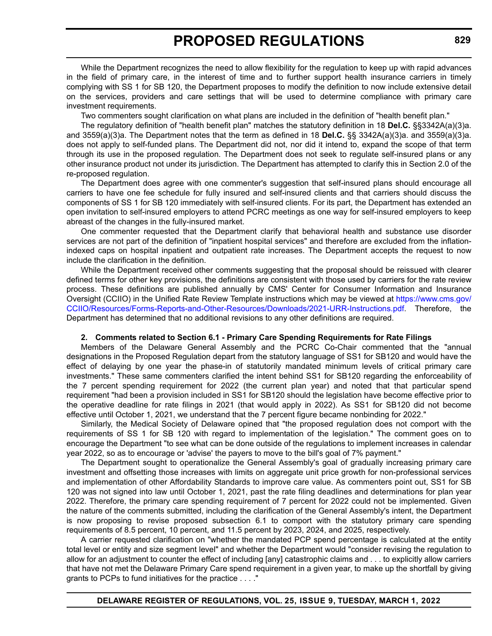While the Department recognizes the need to allow flexibility for the regulation to keep up with rapid advances in the field of primary care, in the interest of time and to further support health insurance carriers in timely complying with SS 1 for SB 120, the Department proposes to modify the definition to now include extensive detail on the services, providers and care settings that will be used to determine compliance with primary care investment requirements.

Two commenters sought clarification on what plans are included in the definition of "health benefit plan."

The regulatory definition of "health benefit plan" matches the statutory definition in 18 **Del.C.** §§3342A(a)(3)a. and 3559(a)(3)a. The Department notes that the term as defined in 18 **Del.C.** §§ 3342A(a)(3)a. and 3559(a)(3)a. does not apply to self-funded plans. The Department did not, nor did it intend to, expand the scope of that term through its use in the proposed regulation. The Department does not seek to regulate self-insured plans or any other insurance product not under its jurisdiction. The Department has attempted to clarify this in Section 2.0 of the re-proposed regulation.

The Department does agree with one commenter's suggestion that self-insured plans should encourage all carriers to have one fee schedule for fully insured and self-insured clients and that carriers should discuss the components of SS 1 for SB 120 immediately with self-insured clients. For its part, the Department has extended an open invitation to self-insured employers to attend PCRC meetings as one way for self-insured employers to keep abreast of the changes in the fully-insured market.

One commenter requested that the Department clarify that behavioral health and substance use disorder services are not part of the definition of "inpatient hospital services" and therefore are excluded from the inflationindexed caps on hospital inpatient and outpatient rate increases. The Department accepts the request to now include the clarification in the definition.

While the Department received other comments suggesting that the proposal should be reissued with clearer defined terms for other key provisions, the definitions are consistent with those used by carriers for the rate review process. These definitions are published annually by CMS' Center for Consumer Information and Insurance Oversight (CCIIO) in the Unified Rate Review Template instructions which may be viewed at [https://www.cms.gov/](https://www.cms.gov/CCIIO/Resources/Forms-Reports-and-Other-Resources/Downloads/2021-URR-Instructions.pdf) [CCIIO/Resources/Forms-Reports-and-Other-Resources/Downloads/2021-URR-Instructions.pdf](https://www.cms.gov/CCIIO/Resources/Forms-Reports-and-Other-Resources/Downloads/2021-URR-Instructions.pdf). Therefore, the Department has determined that no additional revisions to any other definitions are required.

#### **2. Comments related to Section 6.1 - Primary Care Spending Requirements for Rate Filings**

Members of the Delaware General Assembly and the PCRC Co-Chair commented that the "annual designations in the Proposed Regulation depart from the statutory language of SS1 for SB120 and would have the effect of delaying by one year the phase-in of statutorily mandated minimum levels of critical primary care investments." These same commenters clarified the intent behind SS1 for SB120 regarding the enforceability of the 7 percent spending requirement for 2022 (the current plan year) and noted that that particular spend requirement "had been a provision included in SS1 for SB120 should the legislation have become effective prior to the operative deadline for rate filings in 2021 (that would apply in 2022). As SS1 for SB120 did not become effective until October 1, 2021, we understand that the 7 percent figure became nonbinding for 2022."

Similarly, the Medical Society of Delaware opined that "the proposed regulation does not comport with the requirements of SS 1 for SB 120 with regard to implementation of the legislation." The comment goes on to encourage the Department "to see what can be done outside of the regulations to implement increases in calendar year 2022, so as to encourage or 'advise' the payers to move to the bill's goal of 7% payment."

The Department sought to operationalize the General Assembly's goal of gradually increasing primary care investment and offsetting those increases with limits on aggregate unit price growth for non-professional services and implementation of other Affordability Standards to improve care value. As commenters point out, SS1 for SB 120 was not signed into law until October 1, 2021, past the rate filing deadlines and determinations for plan year 2022. Therefore, the primary care spending requirement of 7 percent for 2022 could not be implemented. Given the nature of the comments submitted, including the clarification of the General Assembly's intent, the Department is now proposing to revise proposed subsection 6.1 to comport with the statutory primary care spending requirements of 8.5 percent, 10 percent, and 11.5 percent by 2023, 2024, and 2025, respectively.

A carrier requested clarification on "whether the mandated PCP spend percentage is calculated at the entity total level or entity and size segment level" and whether the Department would "consider revising the regulation to allow for an adjustment to counter the effect of including [any] catastrophic claims and . . . to explicitly allow carriers that have not met the Delaware Primary Care spend requirement in a given year, to make up the shortfall by giving grants to PCPs to fund initiatives for the practice . . . ."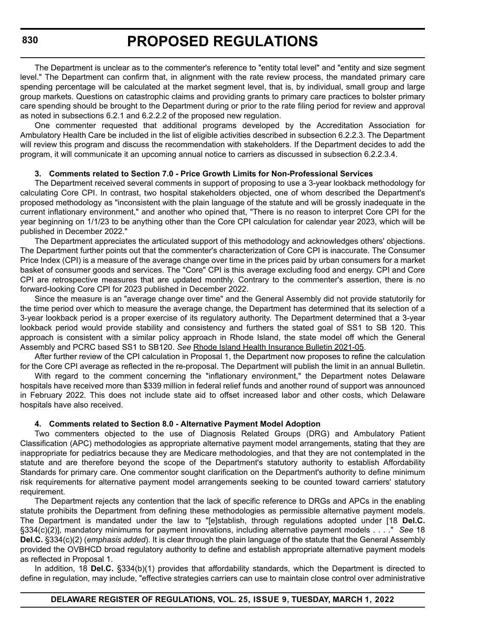The Department is unclear as to the commenter's reference to "entity total level" and "entity and size segment level." The Department can confirm that, in alignment with the rate review process, the mandated primary care spending percentage will be calculated at the market segment level, that is, by individual, small group and large group markets. Questions on catastrophic claims and providing grants to primary care practices to bolster primary care spending should be brought to the Department during or prior to the rate filing period for review and approval as noted in subsections 6.2.1 and 6.2.2.2 of the proposed new regulation.

One commenter requested that additional programs developed by the Accreditation Association for Ambulatory Health Care be included in the list of eligible activities described in subsection 6.2.2.3. The Department will review this program and discuss the recommendation with stakeholders. If the Department decides to add the program, it will communicate it an upcoming annual notice to carriers as discussed in subsection 6.2.2.3.4.

### **3. Comments related to Section 7.0 - Price Growth Limits for Non-Professional Services**

The Department received several comments in support of proposing to use a 3-year lookback methodology for calculating Core CPI. In contrast, two hospital stakeholders objected, one of whom described the Department's proposed methodology as "inconsistent with the plain language of the statute and will be grossly inadequate in the current inflationary environment," and another who opined that, "There is no reason to interpret Core CPI for the year beginning on 1/1/23 to be anything other than the Core CPI calculation for calendar year 2023, which will be published in December 2022."

 The Department appreciates the articulated support of this methodology and acknowledges others' objections. The Department further points out that the commenter's characterization of Core CPI is inaccurate. The Consumer Price Index (CPI) is a measure of the average change over time in the prices paid by urban consumers for a market basket of consumer goods and services. The "Core" CPI is this average excluding food and energy. CPI and Core CPI are retrospective measures that are updated monthly. Contrary to the commenter's assertion, there is no forward-looking Core CPI for 2023 published in December 2022.

Since the measure is an "average change over time" and the General Assembly did not provide statutorily for the time period over which to measure the average change, the Department has determined that its selection of a 3-year lookback period is a proper exercise of its regulatory authority. The Department determined that a 3-year lookback period would provide stability and consistency and furthers the stated goal of SS1 to SB 120. This approach is consistent with a similar policy approach in Rhode Island, the state model off which the General Assembly and PCRC based SS1 to SB120. *See* Rhode Island Health Insurance Bulletin 2021-05.

After further review of the CPI calculation in Proposal 1, the Department now proposes to refine the calculation for the Core CPI average as reflected in the re-proposal. The Department will publish the limit in an annual Bulletin.

With regard to the comment concerning the "inflationary environment," the Department notes Delaware hospitals have received more than \$339 million in federal relief funds and another round of support was announced in February 2022. This does not include state aid to offset increased labor and other costs, which Delaware hospitals have also received.

### **4. Comments related to Section 8.0 - Alternative Payment Model Adoption**

Two commenters objected to the use of Diagnosis Related Groups (DRG) and Ambulatory Patient Classification (APC) methodologies as appropriate alternative payment model arrangements, stating that they are inappropriate for pediatrics because they are Medicare methodologies, and that they are not contemplated in the statute and are therefore beyond the scope of the Department's statutory authority to establish Affordability Standards for primary care. One commentor sought clarification on the Department's authority to define minimum risk requirements for alternative payment model arrangements seeking to be counted toward carriers' statutory requirement.

The Department rejects any contention that the lack of specific reference to DRGs and APCs in the enabling statute prohibits the Department from defining these methodologies as permissible alternative payment models. The Department is mandated under the law to "[e]stablish, through regulations adopted under [18 **Del.C.** §334(c)(2)], mandatory minimums for payment innovations, including alternative payment models . . . ." *See* 18 **Del.C.** §334(c)(2) (*emphasis added*). It is clear through the plain language of the statute that the General Assembly provided the OVBHCD broad regulatory authority to define and establish appropriate alternative payment models as reflected in Proposal 1.

In addition, 18 **Del.C.** §334(b)(1) provides that affordability standards, which the Department is directed to define in regulation, may include, "effective strategies carriers can use to maintain close control over administrative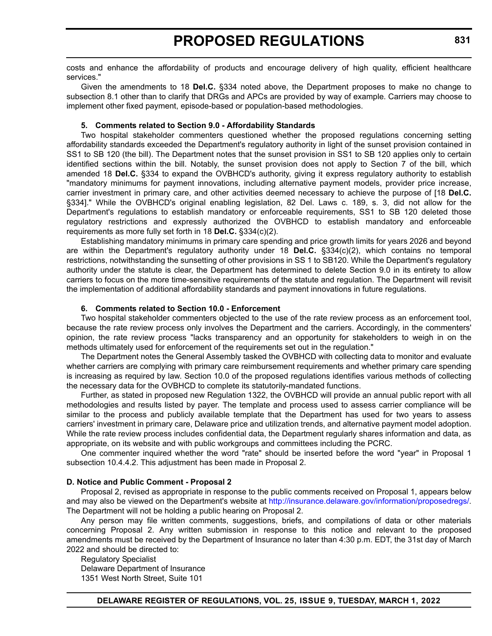costs and enhance the affordability of products and encourage delivery of high quality, efficient healthcare services."

Given the amendments to 18 **Del.C.** §334 noted above, the Department proposes to make no change to subsection 8.1 other than to clarify that DRGs and APCs are provided by way of example. Carriers may choose to implement other fixed payment, episode-based or population-based methodologies.

### **5. Comments related to Section 9.0 - Affordability Standards**

Two hospital stakeholder commenters questioned whether the proposed regulations concerning setting affordability standards exceeded the Department's regulatory authority in light of the sunset provision contained in SS1 to SB 120 (the bill). The Department notes that the sunset provision in SS1 to SB 120 applies only to certain identified sections within the bill. Notably, the sunset provision does not apply to Section 7 of the bill, which amended 18 **Del.C.** §334 to expand the OVBHCD's authority, giving it express regulatory authority to establish "mandatory minimums for payment innovations, including alternative payment models, provider price increase, carrier investment in primary care, and other activities deemed necessary to achieve the purpose of [18 **Del.C.** §334]." While the OVBHCD's original enabling legislation, 82 Del. Laws c. 189, s. 3, did not allow for the Department's regulations to establish mandatory or enforceable requirements, SS1 to SB 120 deleted those regulatory restrictions and expressly authorized the OVBHCD to establish mandatory and enforceable requirements as more fully set forth in 18 **Del.C.** §334(c)(2).

Establishing mandatory minimums in primary care spending and price growth limits for years 2026 and beyond are within the Department's regulatory authority under 18 **Del.C.** §334(c)(2), which contains no temporal restrictions, notwithstanding the sunsetting of other provisions in SS 1 to SB120. While the Department's regulatory authority under the statute is clear, the Department has determined to delete Section 9.0 in its entirety to allow carriers to focus on the more time-sensitive requirements of the statute and regulation. The Department will revisit the implementation of additional affordability standards and payment innovations in future regulations.

### **6. Comments related to Section 10.0 - Enforcement**

Two hospital stakeholder commenters objected to the use of the rate review process as an enforcement tool, because the rate review process only involves the Department and the carriers. Accordingly, in the commenters' opinion, the rate review process "lacks transparency and an opportunity for stakeholders to weigh in on the methods ultimately used for enforcement of the requirements set out in the regulation."

The Department notes the General Assembly tasked the OVBHCD with collecting data to monitor and evaluate whether carriers are complying with primary care reimbursement requirements and whether primary care spending is increasing as required by law. Section 10.0 of the proposed regulations identifies various methods of collecting the necessary data for the OVBHCD to complete its statutorily-mandated functions.

Further, as stated in proposed new Regulation 1322, the OVBHCD will provide an annual public report with all methodologies and results listed by payer. The template and process used to assess carrier compliance will be similar to the process and publicly available template that the Department has used for two years to assess carriers' investment in primary care, Delaware price and utilization trends, and alternative payment model adoption. While the rate review process includes confidential data, the Department regularly shares information and data, as appropriate, on its website and with public workgroups and committees including the PCRC.

One commenter inquired whether the word "rate" should be inserted before the word "year" in Proposal 1 subsection 10.4.4.2. This adjustment has been made in Proposal 2.

## **D. Notice and Public Comment - Proposal 2**

Proposal 2, revised as appropriate in response to the public comments received on Proposal 1, appears below and may also be viewed on the Department's website at <http://insurance.delaware.gov/information/proposedregs/>. The Department will not be holding a public hearing on Proposal 2.

Any person may file written comments, suggestions, briefs, and compilations of data or other materials concerning Proposal 2. Any written submission in response to this notice and relevant to the proposed amendments must be received by the Department of Insurance no later than 4:30 p.m. EDT, the 31st day of March 2022 and should be directed to:

Regulatory Specialist Delaware Department of Insurance 1351 West North Street, Suite 101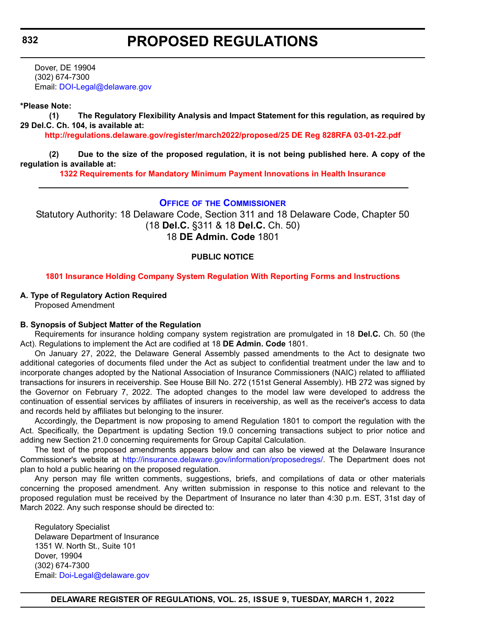Dover, DE 19904 (302) 674-7300 Email: [DOI-Legal@delaware.gov](mailto:DOI-Legal@delaware.gov)

### **\*Please Note:**

**(1) The Regulatory Flexibility Analysis and Impact Statement for this regulation, as required by 29 Del.C. Ch. 104, is available at:**

**<http://regulations.delaware.gov/register/march2022/proposed/25 DE Reg 828RFA 03-01-22.pdf>**

**(2) Due to the size of the proposed regulation, it is not being published here. A copy of the regulation is available at:**

**[1322 Requirements for Mandatory Minimum Payment Innovations in Health Insurance](http://regulations.delaware.gov/register/march2022/proposed/25 DE Reg 828 03-01-22.htm)**

### **OFFICE OF [THE COMMISSIONER](https://insurance.delaware.gov/)**

Statutory Authority: 18 Delaware Code, Section 311 and 18 Delaware Code, Chapter 50 (18 **Del.C.** §311 & 18 **Del.C.** Ch. 50) 18 **DE Admin. Code** 1801

### **PUBLIC NOTICE**

#### **[1801 Insurance Holding Company System Regulation With Reporting Forms and Instructions](#page-3-0)**

### **A. Type of Regulatory Action Required**

Proposed Amendment

#### **B. Synopsis of Subject Matter of the Regulation**

Requirements for insurance holding company system registration are promulgated in 18 **Del.C.** Ch. 50 (the Act). Regulations to implement the Act are codified at 18 **DE Admin. Code** 1801.

On January 27, 2022, the Delaware General Assembly passed amendments to the Act to designate two additional categories of documents filed under the Act as subject to confidential treatment under the law and to incorporate changes adopted by the National Association of Insurance Commissioners (NAIC) related to affiliated transactions for insurers in receivership. See House Bill No. 272 (151st General Assembly). HB 272 was signed by the Governor on February 7, 2022. The adopted changes to the model law were developed to address the continuation of essential services by affiliates of insurers in receivership, as well as the receiver's access to data and records held by affiliates but belonging to the insurer.

Accordingly, the Department is now proposing to amend Regulation 1801 to comport the regulation with the Act. Specifically, the Department is updating Section 19.0 concerning transactions subject to prior notice and adding new Section 21.0 concerning requirements for Group Capital Calculation.

The text of the proposed amendments appears below and can also be viewed at the Delaware Insurance Commissioner's website at <http://insurance.delaware.gov/information/proposedregs/>. The Department does not plan to hold a public hearing on the proposed regulation.

Any person may file written comments, suggestions, briefs, and compilations of data or other materials concerning the proposed amendment. Any written submission in response to this notice and relevant to the proposed regulation must be received by the Department of Insurance no later than 4:30 p.m. EST, 31st day of March 2022. Any such response should be directed to:

Regulatory Specialist Delaware Department of Insurance 1351 W. North St., Suite 101 Dover, 19904 (302) 674-7300 Email: [Doi-Legal@delaware.gov](mailto:Doi-Legal@delaware.gov)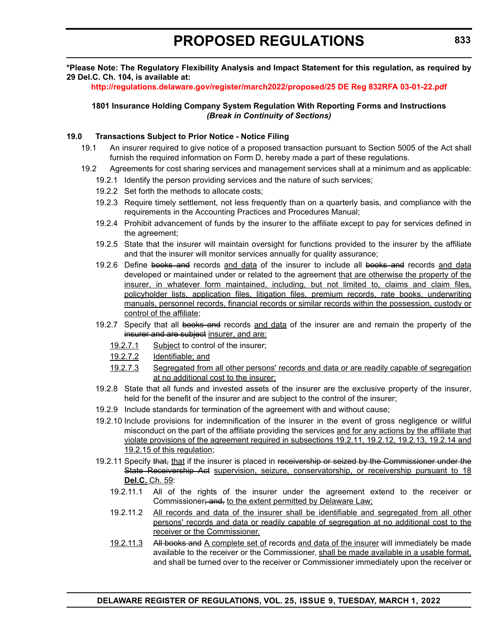## **\*Please Note: The Regulatory Flexibility Analysis and Impact Statement for this regulation, as required by 29 Del.C. Ch. 104, is available at:**

## **<http://regulations.delaware.gov/register/march2022/proposed/25 DE Reg 832RFA 03-01-22.pdf>**

**1801 Insurance Holding Company System Regulation With Reporting Forms and Instructions** *(Break in Continuity of Sections)*

# **19.0 Transactions Subject to Prior Notice - Notice Filing**

- 19.1 An insurer required to give notice of a proposed transaction pursuant to Section 5005 of the Act shall furnish the required information on Form D, hereby made a part of these regulations.
- 19.2 Agreements for cost sharing services and management services shall at a minimum and as applicable:
	- 19.2.1 Identify the person providing services and the nature of such services;
	- 19.2.2 Set forth the methods to allocate costs;
	- 19.2.3 Require timely settlement, not less frequently than on a quarterly basis, and compliance with the requirements in the Accounting Practices and Procedures Manual;
	- 19.2.4 Prohibit advancement of funds by the insurer to the affiliate except to pay for services defined in the agreement;
	- 19.2.5 State that the insurer will maintain oversight for functions provided to the insurer by the affiliate and that the insurer will monitor services annually for quality assurance;
	- 19.2.6 Define books and records and data of the insurer to include all books and records and data developed or maintained under or related to the agreement that are otherwise the property of the insurer, in whatever form maintained, including, but not limited to, claims and claim files, policyholder lists, application files, litigation files, premium records, rate books, underwriting manuals, personnel records, financial records or similar records within the possession, custody or control of the affiliate;
	- 19.2.7 Specify that all books and records and data of the insurer are and remain the property of the insurer and are subject insurer, and are:
		- 19.2.7.1 Subject to control of the insurer;
		- 19.2.7.2 Identifiable; and
		- 19.2.7.3 Segregated from all other persons' records and data or are readily capable of segregation at no additional cost to the insurer;
	- 19.2.8 State that all funds and invested assets of the insurer are the exclusive property of the insurer, held for the benefit of the insurer and are subject to the control of the insurer;
	- 19.2.9 Include standards for termination of the agreement with and without cause;
	- 19.2.10 Include provisions for indemnification of the insurer in the event of gross negligence or willful misconduct on the part of the affiliate providing the services and for any actions by the affiliate that violate provisions of the agreement required in subsections 19.2.11, 19.2.12, 19.2.13, 19.2.14 and 19.2.15 of this regulation;
	- 19.2.11 Specify that, that if the insurer is placed in receivership or seized by the Commissioner under the State Receivership Act supervision, seizure, conservatorship, or receivership pursuant to 18 **Del.C.** Ch. 59:
		- 19.2.11.1 All of the rights of the insurer under the agreement extend to the receiver or Commissioner; and, to the extent permitted by Delaware Law;
		- 19.2.11.2 All records and data of the insurer shall be identifiable and segregated from all other persons' records and data or readily capable of segregation at no additional cost to the receiver or the Commissioner.
		- 19.2.11.3 All books and A complete set of records and data of the insurer will immediately be made available to the receiver or the Commissioner, shall be made available in a usable format, and shall be turned over to the receiver or Commissioner immediately upon the receiver or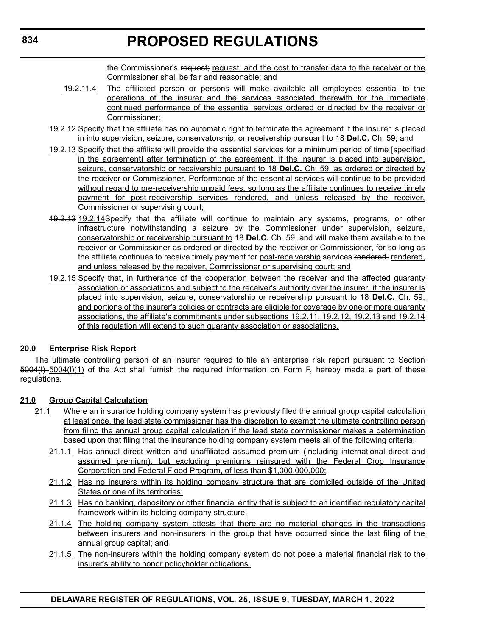the Commissioner's request; request, and the cost to transfer data to the receiver or the Commissioner shall be fair and reasonable; and

- 19.2.11.4 The affiliated person or persons will make available all employees essential to the operations of the insurer and the services associated therewith for the immediate continued performance of the essential services ordered or directed by the receiver or Commissioner;
- 19.2.12 Specify that the affiliate has no automatic right to terminate the agreement if the insurer is placed in into supervision, seizure, conservatorship, or receivership pursuant to 18 Del.C. Ch. 59; and
- 19.2.13 Specify that the affiliate will provide the essential services for a minimum period of time [specified in the agreement] after termination of the agreement, if the insurer is placed into supervision, seizure, conservatorship or receivership pursuant to 18 **Del.C.** Ch. 59, as ordered or directed by the receiver or Commissioner. Performance of the essential services will continue to be provided without regard to pre-receivership unpaid fees, so long as the affiliate continues to receive timely payment for post-receivership services rendered, and unless released by the receiver, Commissioner or supervising court;
- 19.2.13 19.2.14Specify that the affiliate will continue to maintain any systems, programs, or other infrastructure notwithstanding a seizure by the Commissioner under supervision, seizure, conservatorship or receivership pursuant to 18 **Del.C.** Ch. 59, and will make them available to the receiver or Commissioner as ordered or directed by the receiver or Commissioner, for so long as the affiliate continues to receive timely payment for post-receivership services rendered. rendered, and unless released by the receiver, Commissioner or supervising court; and
- 19.2.15 Specify that, in furtherance of the cooperation between the receiver and the affected guaranty association or associations and subject to the receiver's authority over the insurer, if the insurer is placed into supervision, seizure, conservatorship or receivership pursuant to 18 **Del.C.** Ch. 59, and portions of the insurer's policies or contracts are eligible for coverage by one or more guaranty associations, the affiliate's commitments under subsections 19.2.11, 19.2.12, 19.2.13 and 19.2.14 of this regulation will extend to such guaranty association or associations.

## **20.0 Enterprise Risk Report**

The ultimate controlling person of an insurer required to file an enterprise risk report pursuant to Section 5004(l) 5004(l)(1) of the Act shall furnish the required information on Form F, hereby made a part of these regulations.

# **21.0 Group Capital Calculation**

- 21.1 Where an insurance holding company system has previously filed the annual group capital calculation at least once, the lead state commissioner has the discretion to exempt the ultimate controlling person from filing the annual group capital calculation if the lead state commissioner makes a determination based upon that filing that the insurance holding company system meets all of the following criteria:
	- 21.1.1 Has annual direct written and unaffiliated assumed premium (including international direct and assumed premium), but excluding premiums reinsured with the Federal Crop Insurance Corporation and Federal Flood Program, of less than \$1,000,000,000;
	- 21.1.2 Has no insurers within its holding company structure that are domiciled outside of the United States or one of its territories;
	- 21.1.3 Has no banking, depository or other financial entity that is subject to an identified regulatory capital framework within its holding company structure;
	- 21.1.4 The holding company system attests that there are no material changes in the transactions between insurers and non-insurers in the group that have occurred since the last filing of the annual group capital; and
	- 21.1.5 The non-insurers within the holding company system do not pose a material financial risk to the insurer's ability to honor policyholder obligations.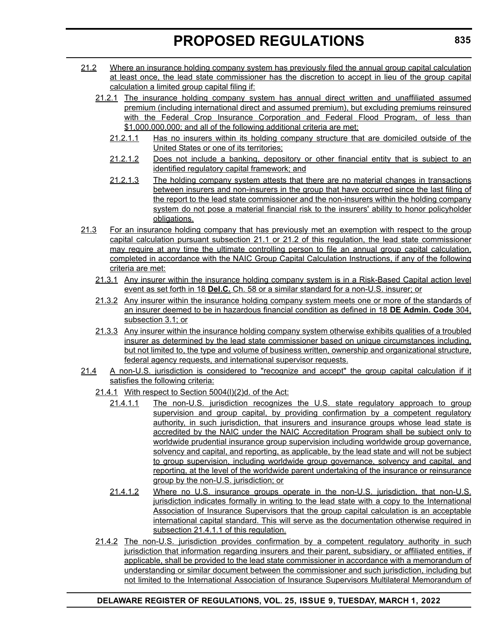- 21.2 Where an insurance holding company system has previously filed the annual group capital calculation at least once, the lead state commissioner has the discretion to accept in lieu of the group capital calculation a limited group capital filing if:
	- 21.2.1 The insurance holding company system has annual direct written and unaffiliated assumed premium (including international direct and assumed premium), but excluding premiums reinsured with the Federal Crop Insurance Corporation and Federal Flood Program, of less than \$1,000,000,000; and all of the following additional criteria are met:
		- 21.2.1.1 Has no insurers within its holding company structure that are domiciled outside of the United States or one of its territories;
		- 21.2.1.2 Does not include a banking, depository or other financial entity that is subject to an identified regulatory capital framework; and
		- 21.2.1.3 The holding company system attests that there are no material changes in transactions between insurers and non-insurers in the group that have occurred since the last filing of the report to the lead state commissioner and the non-insurers within the holding company system do not pose a material financial risk to the insurers' ability to honor policyholder obligations.
- 21.3 For an insurance holding company that has previously met an exemption with respect to the group capital calculation pursuant subsection 21.1 or 21.2 of this regulation, the lead state commissioner may require at any time the ultimate controlling person to file an annual group capital calculation, completed in accordance with the NAIC Group Capital Calculation Instructions, if any of the following criteria are met:
	- 21.3.1 Any insurer within the insurance holding company system is in a Risk-Based Capital action level event as set forth in 18 **Del.C.** Ch. 58 or a similar standard for a non-U.S. insurer; or
	- 21.3.2 Any insurer within the insurance holding company system meets one or more of the standards of an insurer deemed to be in hazardous financial condition as defined in 18 **DE Admin. Code** 304, subsection 3.1; or
	- 21.3.3 Any insurer within the insurance holding company system otherwise exhibits qualities of a troubled insurer as determined by the lead state commissioner based on unique circumstances including, but not limited to, the type and volume of business written, ownership and organizational structure, federal agency requests, and international supervisor requests.
- 21.4 A non-U.S. jurisdiction is considered to "recognize and accept" the group capital calculation if it satisfies the following criteria:
	- 21.4.1 With respect to Section 5004(l)(2)d. of the Act:
		- 21.4.1.1 The non-U.S. jurisdiction recognizes the U.S. state regulatory approach to group supervision and group capital, by providing confirmation by a competent regulatory authority, in such jurisdiction, that insurers and insurance groups whose lead state is accredited by the NAIC under the NAIC Accreditation Program shall be subject only to worldwide prudential insurance group supervision including worldwide group governance, solvency and capital, and reporting, as applicable, by the lead state and will not be subject to group supervision, including worldwide group governance, solvency and capital, and reporting, at the level of the worldwide parent undertaking of the insurance or reinsurance group by the non-U.S. jurisdiction; or
		- 21.4.1.2 Where no U.S. insurance groups operate in the non-U.S. jurisdiction, that non-U.S. jurisdiction indicates formally in writing to the lead state with a copy to the International Association of Insurance Supervisors that the group capital calculation is an acceptable international capital standard. This will serve as the documentation otherwise required in subsection 21.4.1.1 of this regulation.
	- 21.4.2 The non-U.S. jurisdiction provides confirmation by a competent regulatory authority in such jurisdiction that information regarding insurers and their parent, subsidiary, or affiliated entities, if applicable, shall be provided to the lead state commissioner in accordance with a memorandum of understanding or similar document between the commissioner and such jurisdiction, including but not limited to the International Association of Insurance Supervisors Multilateral Memorandum of

# **DELAWARE REGISTER OF REGULATIONS, VOL. 25, ISSUE 9, TUESDAY, MARCH 1, 2022**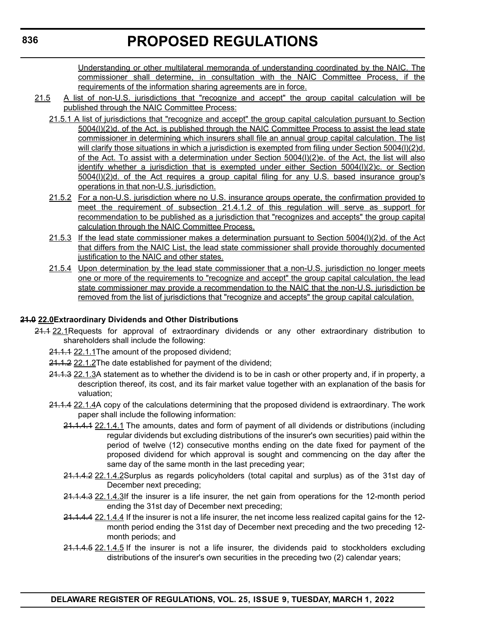Understanding or other multilateral memoranda of understanding coordinated by the NAIC. The commissioner shall determine, in consultation with the NAIC Committee Process, if the requirements of the information sharing agreements are in force.

- 21.5 A list of non-U.S. jurisdictions that "recognize and accept" the group capital calculation will be published through the NAIC Committee Process:
	- 21.5.1 A list of jurisdictions that "recognize and accept" the group capital calculation pursuant to Section 5004(l)(2)d. of the Act, is published through the NAIC Committee Process to assist the lead state commissioner in determining which insurers shall file an annual group capital calculation. The list will clarify those situations in which a jurisdiction is exempted from filing under Section 5004(l)(2)d. of the Act. To assist with a determination under Section 5004(l)(2)e. of the Act, the list will also identify whether a jurisdiction that is exempted under either Section 5004(l)(2)c. or Section 5004(l)(2)d. of the Act requires a group capital filing for any U.S. based insurance group's operations in that non-U.S. jurisdiction.
	- 21.5.2 For a non-U.S. jurisdiction where no U.S. insurance groups operate, the confirmation provided to meet the requirement of subsection 21.4.1.2 of this regulation will serve as support for recommendation to be published as a jurisdiction that "recognizes and accepts" the group capital calculation through the NAIC Committee Process.
	- 21.5.3 If the lead state commissioner makes a determination pursuant to Section 5004(l)(2)d. of the Act that differs from the NAIC List, the lead state commissioner shall provide thoroughly documented justification to the NAIC and other states.
	- 21.5.4 Upon determination by the lead state commissioner that a non-U.S. jurisdiction no longer meets one or more of the requirements to "recognize and accept" the group capital calculation, the lead state commissioner may provide a recommendation to the NAIC that the non-U.S. jurisdiction be removed from the list of jurisdictions that "recognize and accepts" the group capital calculation.

# **21.0 22.0Extraordinary Dividends and Other Distributions**

- 21.1 22.1 Requests for approval of extraordinary dividends or any other extraordinary distribution to shareholders shall include the following:
	- 21.1.1 22.1.1The amount of the proposed dividend;
	- 21.1.2 22.1.2The date established for payment of the dividend;
	- 21.1.3 22.1.3A statement as to whether the dividend is to be in cash or other property and, if in property, a description thereof, its cost, and its fair market value together with an explanation of the basis for valuation;
	- 21.1.4 22.1.4A copy of the calculations determining that the proposed dividend is extraordinary. The work paper shall include the following information:
		- 21.1.4.1 22.1.4.1 The amounts, dates and form of payment of all dividends or distributions (including regular dividends but excluding distributions of the insurer's own securities) paid within the period of twelve (12) consecutive months ending on the date fixed for payment of the proposed dividend for which approval is sought and commencing on the day after the same day of the same month in the last preceding year;
		- 21.1.4.2 22.1.4.2Surplus as regards policyholders (total capital and surplus) as of the 31st day of December next preceding;
		- 21.1.4.3 22.1.4.3If the insurer is a life insurer, the net gain from operations for the 12-month period ending the 31st day of December next preceding;
		- 21.1.4.4 22.1.4.4 If the insurer is not a life insurer, the net income less realized capital gains for the 12 month period ending the 31st day of December next preceding and the two preceding 12 month periods; and
		- 21.1.4.5 22.1.4.5 If the insurer is not a life insurer, the dividends paid to stockholders excluding distributions of the insurer's own securities in the preceding two (2) calendar years;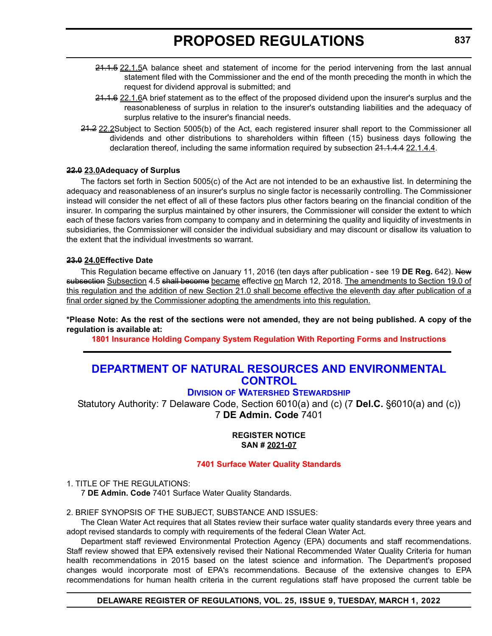- 24.1.5 22.1.5A balance sheet and statement of income for the period intervening from the last annual statement filed with the Commissioner and the end of the month preceding the month in which the request for dividend approval is submitted; and
- 21.1.6 22.1.6A brief statement as to the effect of the proposed dividend upon the insurer's surplus and the reasonableness of surplus in relation to the insurer's outstanding liabilities and the adequacy of surplus relative to the insurer's financial needs.
- 21.2 22.2Subject to Section 5005(b) of the Act, each registered insurer shall report to the Commissioner all dividends and other distributions to shareholders within fifteen (15) business days following the declaration thereof, including the same information required by subsection 21.1.4.4 22.1.4.4.

## **22.0 23.0Adequacy of Surplus**

The factors set forth in Section 5005(c) of the Act are not intended to be an exhaustive list. In determining the adequacy and reasonableness of an insurer's surplus no single factor is necessarily controlling. The Commissioner instead will consider the net effect of all of these factors plus other factors bearing on the financial condition of the insurer. In comparing the surplus maintained by other insurers, the Commissioner will consider the extent to which each of these factors varies from company to company and in determining the quality and liquidity of investments in subsidiaries, the Commissioner will consider the individual subsidiary and may discount or disallow its valuation to the extent that the individual investments so warrant.

## **23.0 24.0Effective Date**

This Regulation became effective on January 11, 2016 (ten days after publication - see 19 **DE Reg.** 642). New subsection Subsection 4.5 shall become became effective on March 12, 2018. The amendments to Section 19.0 of this regulation and the addition of new Section 21.0 shall become effective the eleventh day after publication of a final order signed by the Commissioner adopting the amendments into this regulation.

**\*Please Note: As the rest of the sections were not amended, they are not being published. A copy of the regulation is available at:**

**[1801 Insurance Holding Company System Regulation With Reporting Forms and Instructions](http://regulations.delaware.gov/register/march2022/proposed/25 DE Reg 832 03-01-22.htm)**

# **[DEPARTMENT OF NATURAL RESOURCES AND ENVIRONMENTAL](https://dnrec.alpha.delaware.gov/watershed-stewardship/)  CONTROL**

# **DIVISION OF WATERSHED STEWARDSHIP**

Statutory Authority: 7 Delaware Code, Section 6010(a) and (c) (7 **Del.C.** §6010(a) and (c)) 7 **DE Admin. Code** 7401

### **REGISTER NOTICE SAN # 2021-07**

## **[7401 Surface Water Quality Standards](#page-3-0)**

### 1. TITLE OF THE REGULATIONS:

7 **DE Admin. Code** 7401 Surface Water Quality Standards.

### 2. BRIEF SYNOPSIS OF THE SUBJECT, SUBSTANCE AND ISSUES:

The Clean Water Act requires that all States review their surface water quality standards every three years and adopt revised standards to comply with requirements of the federal Clean Water Act.

Department staff reviewed Environmental Protection Agency (EPA) documents and staff recommendations. Staff review showed that EPA extensively revised their National Recommended Water Quality Criteria for human health recommendations in 2015 based on the latest science and information. The Department's proposed changes would incorporate most of EPA's recommendations. Because of the extensive changes to EPA recommendations for human health criteria in the current regulations staff have proposed the current table be

### **DELAWARE REGISTER OF REGULATIONS, VOL. 25, ISSUE 9, TUESDAY, MARCH 1, 2022**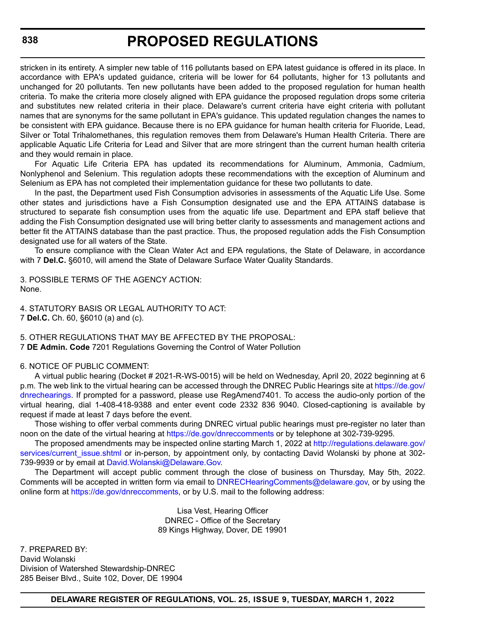stricken in its entirety. A simpler new table of 116 pollutants based on EPA latest guidance is offered in its place. In accordance with EPA's updated guidance, criteria will be lower for 64 pollutants, higher for 13 pollutants and unchanged for 20 pollutants. Ten new pollutants have been added to the proposed regulation for human health criteria. To make the criteria more closely aligned with EPA guidance the proposed regulation drops some criteria and substitutes new related criteria in their place. Delaware's current criteria have eight criteria with pollutant names that are synonyms for the same pollutant in EPA's guidance. This updated regulation changes the names to be consistent with EPA guidance. Because there is no EPA guidance for human health criteria for Fluoride, Lead, Silver or Total Trihalomethanes, this regulation removes them from Delaware's Human Health Criteria. There are applicable Aquatic Life Criteria for Lead and Silver that are more stringent than the current human health criteria and they would remain in place.

For Aquatic Life Criteria EPA has updated its recommendations for Aluminum, Ammonia, Cadmium, Nonlyphenol and Selenium. This regulation adopts these recommendations with the exception of Aluminum and Selenium as EPA has not completed their implementation guidance for these two pollutants to date.

In the past, the Department used Fish Consumption advisories in assessments of the Aquatic Life Use. Some other states and jurisdictions have a Fish Consumption designated use and the EPA ATTAINS database is structured to separate fish consumption uses from the aquatic life use. Department and EPA staff believe that adding the Fish Consumption designated use will bring better clarity to assessments and management actions and better fit the ATTAINS database than the past practice. Thus, the proposed regulation adds the Fish Consumption designated use for all waters of the State.

To ensure compliance with the Clean Water Act and EPA regulations, the State of Delaware, in accordance with 7 **Del.C.** §6010, will amend the State of Delaware Surface Water Quality Standards.

3. POSSIBLE TERMS OF THE AGENCY ACTION: None.

4. STATUTORY BASIS OR LEGAL AUTHORITY TO ACT: 7 **Del.C.** Ch. 60, §6010 (a) and (c).

5. OTHER REGULATIONS THAT MAY BE AFFECTED BY THE PROPOSAL: 7 **DE Admin. Code** 7201 Regulations Governing the Control of Water Pollution

### 6. NOTICE OF PUBLIC COMMENT:

A virtual public hearing (Docket # 2021-R-WS-0015) will be held on Wednesday, April 20, 2022 beginning at 6 p.m. The web link to the virtual hearing can be accessed through the DNREC Public Hearings site at [https://de.gov/](https://de.gov/dnrechearings) [dnrechearings](https://de.gov/dnrechearings). If prompted for a password, please use RegAmend7401. To access the audio-only portion of the virtual hearing, dial 1-408-418-9388 and enter event code 2332 836 9040. Closed-captioning is available by request if made at least 7 days before the event.

Those wishing to offer verbal comments during DNREC virtual public hearings must pre-register no later than noon on the date of the virtual hearing at<https://de.gov/dnreccomments> or by telephone at 302-739-9295.

The proposed amendments may be inspected online starting March 1, 2022 at [http://regulations.delaware.gov/](http://regulations.delaware.gov/services/current_issue.shtml) services/current issue.shtml or in-person, by appointment only, by contacting David Wolanski by phone at 302-739-9939 or by email at [David.Wolanski@Delaware.Gov.](mailto:David.Wolanski@Delaware.Gov)

The Department will accept public comment through the close of business on Thursday, May 5th, 2022. Comments will be accepted in written form via email to [DNRECHearingComments@delaware.gov,](mailto:DNRECHearingComments@delaware.gov) or by using the online form at<https://de.gov/dnreccomments>, or by U.S. mail to the following address:

> Lisa Vest, Hearing Officer DNREC - Office of the Secretary 89 Kings Highway, Dover, DE 19901

7. PREPARED BY: David Wolanski Division of Watershed Stewardship-DNREC 285 Beiser Blvd., Suite 102, Dover, DE 19904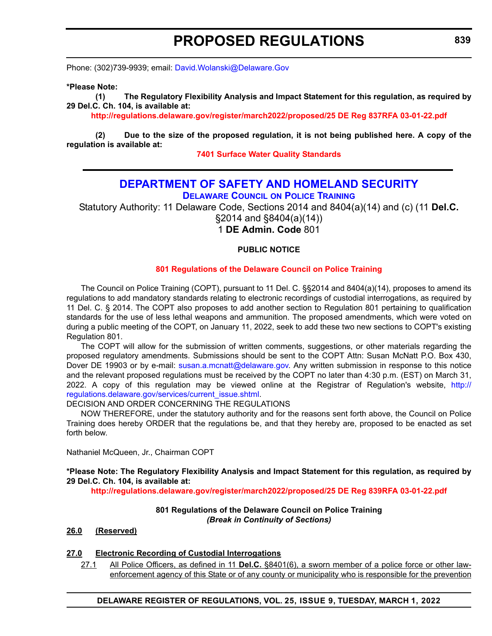Phone: (302)739-9939; email: [David.Wolanski@Delaware.Gov](mailto:David.Wolanski@Delaware.Gov)

### **\*Please Note:**

**(1) The Regulatory Flexibility Analysis and Impact Statement for this regulation, as required by 29 Del.C. Ch. 104, is available at:**

**<http://regulations.delaware.gov/register/march2022/proposed/25 DE Reg 837RFA 03-01-22.pdf>**

**(2) Due to the size of the proposed regulation, it is not being published here. A copy of the regulation is available at:**

**[7401 Surface Water Quality Standards](http://regulations.delaware.gov/register/march2022/proposed/25 DE Reg 837 03-01-22.htm)**

# **[DEPARTMENT OF SAFETY AND HOMELAND SECURITY](https://dshs.delaware.gov/)**

**DELAWARE COUNCIL ON POLICE TRAINING**

Statutory Authority: 11 Delaware Code, Sections 2014 and 8404(a)(14) and (c) (11 **Del.C.**

§2014 and §8404(a)(14))

1 **DE Admin. Code** 801

## **PUBLIC NOTICE**

## **[801 Regulations of the Delaware Council on Police Training](#page-3-0)**

The Council on Police Training (COPT), pursuant to 11 Del. C. §§2014 and 8404(a)(14), proposes to amend its regulations to add mandatory standards relating to electronic recordings of custodial interrogations, as required by 11 Del. C. § 2014. The COPT also proposes to add another section to Regulation 801 pertaining to qualification standards for the use of less lethal weapons and ammunition. The proposed amendments, which were voted on during a public meeting of the COPT, on January 11, 2022, seek to add these two new sections to COPT's existing Regulation 801.

The COPT will allow for the submission of written comments, suggestions, or other materials regarding the proposed regulatory amendments. Submissions should be sent to the COPT Attn: Susan McNatt P.O. Box 430, Dover DE 19903 or by e-mail: [susan.a.mcnatt@delaware.gov.](mailto:susan.a.mcnatt@delaware.gov) Any written submission in response to this notice and the relevant proposed regulations must be received by the COPT no later than 4:30 p.m. (EST) on March 31, 2022. A copy of this regulation may be viewed online at the Registrar of Regulation's website, [http://](http://regulations.delaware.gov/services/current_issue.shtml) [regulations.delaware.gov/services/current\\_issue.shtml.](http://regulations.delaware.gov/services/current_issue.shtml)

### DECISION AND ORDER CONCERNING THE REGULATIONS

NOW THEREFORE, under the statutory authority and for the reasons sent forth above, the Council on Police Training does hereby ORDER that the regulations be, and that they hereby are, proposed to be enacted as set forth below.

Nathaniel McQueen, Jr., Chairman COPT

### **\*Please Note: The Regulatory Flexibility Analysis and Impact Statement for this regulation, as required by 29 Del.C. Ch. 104, is available at:**

**<http://regulations.delaware.gov/register/march2022/proposed/25 DE Reg 839RFA 03-01-22.pdf>**

### **801 Regulations of the Delaware Council on Police Training** *(Break in Continuity of Sections)*

### **26.0 (Reserved)**

## **27.0 Electronic Recording of Custodial Interrogations**

27.1 All Police Officers, as defined in 11 **Del.C.** §8401(6), a sworn member of a police force or other lawenforcement agency of this State or of any county or municipality who is responsible for the prevention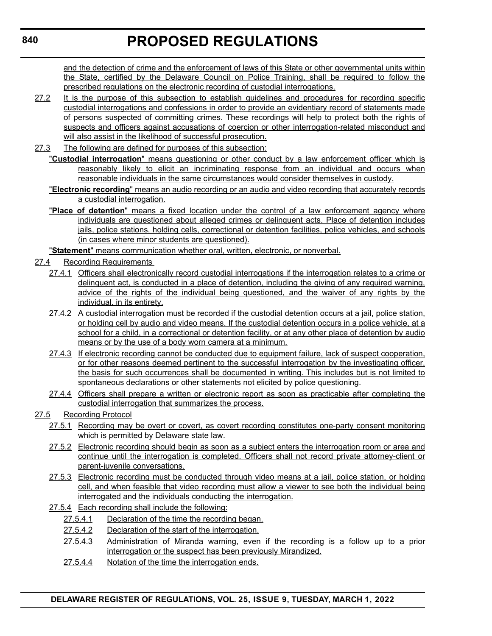and the detection of crime and the enforcement of laws of this State or other governmental units within the State, certified by the Delaware Council on Police Training, shall be required to follow the prescribed regulations on the electronic recording of custodial interrogations.

- 27.2 It is the purpose of this subsection to establish guidelines and procedures for recording specific custodial interrogations and confessions in order to provide an evidentiary record of statements made of persons suspected of committing crimes. These recordings will help to protect both the rights of suspects and officers against accusations of coercion or other interrogation-related misconduct and will also assist in the likelihood of successful prosecution.
- 27.3 The following are defined for purposes of this subsection:
	- "**Custodial interrogation**" means questioning or other conduct by a law enforcement officer which is reasonably likely to elicit an incriminating response from an individual and occurs when reasonable individuals in the same circumstances would consider themselves in custody.
	- "**Electronic recording**" means an audio recording or an audio and video recording that accurately records a custodial interrogation.
	- "**Place of detention**" means a fixed location under the control of a law enforcement agency where individuals are questioned about alleged crimes or delinquent acts. Place of detention includes jails, police stations, holding cells, correctional or detention facilities, police vehicles, and schools (in cases where minor students are questioned).
	- "**Statement**" means communication whether oral, written, electronic, or nonverbal.
- 27.4 Recording Requirements
	- 27.4.1 Officers shall electronically record custodial interrogations if the interrogation relates to a crime or delinquent act, is conducted in a place of detention, including the giving of any required warning, advice of the rights of the individual being questioned, and the waiver of any rights by the individual, in its entirety.
	- 27.4.2 A custodial interrogation must be recorded if the custodial detention occurs at a jail, police station, or holding cell by audio and video means. If the custodial detention occurs in a police vehicle, at a school for a child, in a correctional or detention facility, or at any other place of detention by audio means or by the use of a body worn camera at a minimum.
	- 27.4.3 If electronic recording cannot be conducted due to equipment failure, lack of suspect cooperation, or for other reasons deemed pertinent to the successful interrogation by the investigating officer, the basis for such occurrences shall be documented in writing. This includes but is not limited to spontaneous declarations or other statements not elicited by police questioning.
	- 27.4.4 Officers shall prepare a written or electronic report as soon as practicable after completing the custodial interrogation that summarizes the process.
- 27.5 Recording Protocol
	- 27.5.1 Recording may be overt or covert, as covert recording constitutes one-party consent monitoring which is permitted by Delaware state law.
	- 27.5.2 Electronic recording should begin as soon as a subject enters the interrogation room or area and continue until the interrogation is completed. Officers shall not record private attorney-client or parent-juvenile conversations.
	- 27.5.3 Electronic recording must be conducted through video means at a jail, police station, or holding cell, and when feasible that video recording must allow a viewer to see both the individual being interrogated and the individuals conducting the interrogation.
	- 27.5.4 Each recording shall include the following:
		- 27.5.4.1 Declaration of the time the recording began.
		- 27.5.4.2 Declaration of the start of the interrogation.
		- 27.5.4.3 Administration of Miranda warning, even if the recording is a follow up to a prior interrogation or the suspect has been previously Mirandized.
		- 27.5.4.4 Notation of the time the interrogation ends.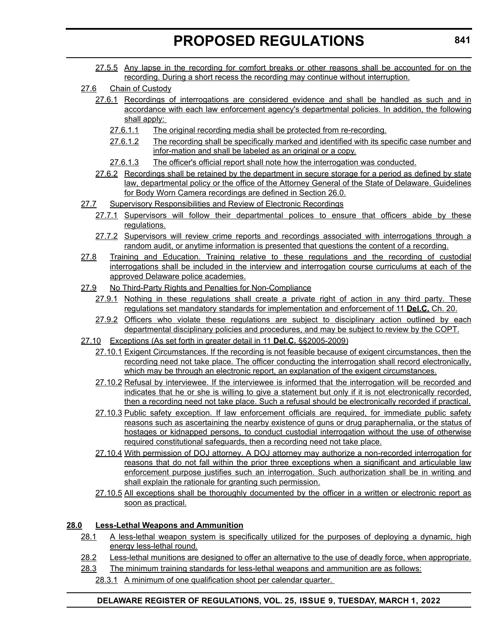- 27.5.5 Any lapse in the recording for comfort breaks or other reasons shall be accounted for on the recording. During a short recess the recording may continue without interruption.
- 27.6 Chain of Custody
	- 27.6.1 Recordings of interrogations are considered evidence and shall be handled as such and in accordance with each law enforcement agency's departmental policies. In addition, the following shall apply:
		- 27.6.1.1 The original recording media shall be protected from re-recording.
		- 27.6.1.2 The recording shall be specifically marked and identified with its specific case number and infor-mation and shall be labeled as an original or a copy.
		- 27.6.1.3 The officer's official report shall note how the interrogation was conducted.
	- 27.6.2 Recordings shall be retained by the department in secure storage for a period as defined by state law, departmental policy or the office of the Attorney General of the State of Delaware. Guidelines for Body Worn Camera recordings are defined in Section 26.0.
- 27.7 Supervisory Responsibilities and Review of Electronic Recordings
	- 27.7.1 Supervisors will follow their departmental polices to ensure that officers abide by these regulations.
	- 27.7.2 Supervisors will review crime reports and recordings associated with interrogations through a random audit, or anytime information is presented that questions the content of a recording.
- 27.8 Training and Education. Training relative to these regulations and the recording of custodial interrogations shall be included in the interview and interrogation course curriculums at each of the approved Delaware police academies.
- 27.9 No Third-Party Rights and Penalties for Non-Compliance
	- 27.9.1 Nothing in these regulations shall create a private right of action in any third party. These regulations set mandatory standards for implementation and enforcement of 11 **Del.C.** Ch. 20.
	- 27.9.2 Officers who violate these regulations are subject to disciplinary action outlined by each departmental disciplinary policies and procedures, and may be subject to review by the COPT.
- 27.10 Exceptions (As set forth in greater detail in 11 **Del.C.** §§2005-2009)
	- 27.10.1 Exigent Circumstances. If the recording is not feasible because of exigent circumstances, then the recording need not take place. The officer conducting the interrogation shall record electronically, which may be through an electronic report, an explanation of the exigent circumstances.
	- 27.10.2 Refusal by interviewee. If the interviewee is informed that the interrogation will be recorded and indicates that he or she is willing to give a statement but only if it is not electronically recorded, then a recording need not take place. Such a refusal should be electronically recorded if practical.
	- 27.10.3 Public safety exception. If law enforcement officials are required, for immediate public safety reasons such as ascertaining the nearby existence of guns or drug paraphernalia, or the status of hostages or kidnapped persons, to conduct custodial interrogation without the use of otherwise required constitutional safeguards, then a recording need not take place.
	- 27.10.4 With permission of DOJ attorney. A DOJ attorney may authorize a non-recorded interrogation for reasons that do not fall within the prior three exceptions when a significant and articulable law enforcement purpose justifies such an interrogation. Such authorization shall be in writing and shall explain the rationale for granting such permission.
	- 27.10.5 All exceptions shall be thoroughly documented by the officer in a written or electronic report as soon as practical.

# **28.0 Less-Lethal Weapons and Ammunition**

- 28.1 A less-lethal weapon system is specifically utilized for the purposes of deploying a dynamic, high energy less-lethal round.
- 28.2 Less-lethal munitions are designed to offer an alternative to the use of deadly force, when appropriate.
- 28.3 The minimum training standards for less-lethal weapons and ammunition are as follows:
	- 28.3.1 A minimum of one qualification shoot per calendar quarter.

# **DELAWARE REGISTER OF REGULATIONS, VOL. 25, ISSUE 9, TUESDAY, MARCH 1, 2022**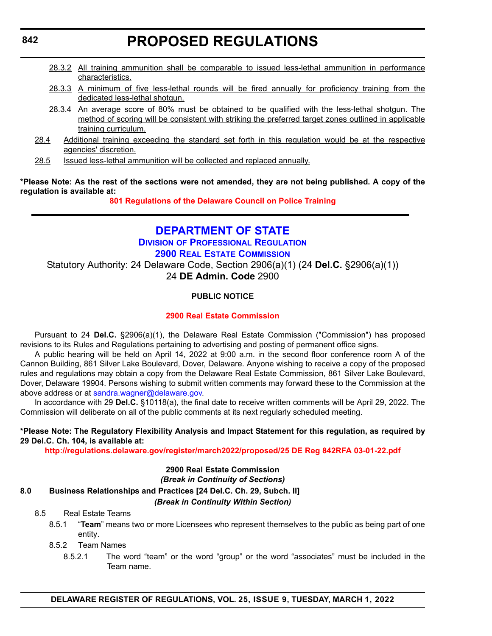- 28.3.2 All training ammunition shall be comparable to issued less-lethal ammunition in performance characteristics.
- 28.3.3 A minimum of five less-lethal rounds will be fired annually for proficiency training from the dedicated less-lethal shotgun.
- 28.3.4 An average score of 80% must be obtained to be qualified with the less-lethal shotgun. The method of scoring will be consistent with striking the preferred target zones outlined in applicable training curriculum.
- 28.4 Additional training exceeding the standard set forth in this regulation would be at the respective agencies' discretion.
- 28.5 **Issued less-lethal ammunition will be collected and replaced annually.**

**\*Please Note: As the rest of the sections were not amended, they are not being published. A copy of the regulation is available at:**

**[801 Regulations of the Delaware Council on Police Training](http://regulations.delaware.gov/register/march2022/proposed/25 DE Reg 839 03-01-22.htm)**

# **[DEPARTMENT OF STATE](https://dpr.delaware.gov/boards/realestate/) DIVISION OF PROFESSIONAL REGULATION 2900 REAL ESTATE COMMISSION** Statutory Authority: 24 Delaware Code, Section 2906(a)(1) (24 **Del.C.** §2906(a)(1)) 24 **DE Admin. Code** 2900

# **PUBLIC NOTICE**

# **[2900 Real Estate Commission](#page-3-0)**

Pursuant to 24 **Del.C.** §2906(a)(1), the Delaware Real Estate Commission ("Commission") has proposed revisions to its Rules and Regulations pertaining to advertising and posting of permanent office signs.

A public hearing will be held on April 14, 2022 at 9:00 a.m. in the second floor conference room A of the Cannon Building, 861 Silver Lake Boulevard, Dover, Delaware. Anyone wishing to receive a copy of the proposed rules and regulations may obtain a copy from the Delaware Real Estate Commission, 861 Silver Lake Boulevard, Dover, Delaware 19904. Persons wishing to submit written comments may forward these to the Commission at the above address or at [sandra.wagner@delaware.gov.](mailto:sandra.wagner@delaware.gov)

In accordance with 29 **Del.C.** §10118(a), the final date to receive written comments will be April 29, 2022. The Commission will deliberate on all of the public comments at its next regularly scheduled meeting.

## **\*Please Note: The Regulatory Flexibility Analysis and Impact Statement for this regulation, as required by 29 Del.C. Ch. 104, is available at:**

**<http://regulations.delaware.gov/register/march2022/proposed/25 DE Reg 842RFA 03-01-22.pdf>**

#### **2900 Real Estate Commission** *(Break in Continuity of Sections)*

**8.0 Business Relationships and Practices [24 Del.C. Ch. 29, Subch. II]**

*(Break in Continuity Within Section)*

## 8.5 Real Estate Teams

- 8.5.1 "**Team**" means two or more Licensees who represent themselves to the public as being part of one entity.
- 8.5.2 Team Names
	- 8.5.2.1 The word "team" or the word "group" or the word "associates" must be included in the Team name.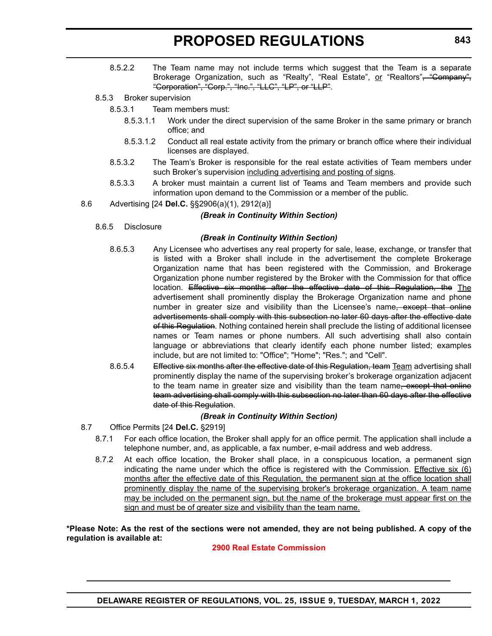- 8.5.2.2 The Team name may not include terms which suggest that the Team is a separate Brokerage Organization, such as "Realty", "Real Estate", or "Realtors"<del>, "Company",</del> "Corporation", "Corp.", "Inc.", "LLC", "LP", or "LLP".
- 8.5.3 Broker supervision
	- 8.5.3.1 Team members must:
		- 8.5.3.1.1 Work under the direct supervision of the same Broker in the same primary or branch office; and
		- 8.5.3.1.2 Conduct all real estate activity from the primary or branch office where their individual licenses are displayed.
	- 8.5.3.2 The Team's Broker is responsible for the real estate activities of Team members under such Broker's supervision including advertising and posting of signs.
	- 8.5.3.3 A broker must maintain a current list of Teams and Team members and provide such information upon demand to the Commission or a member of the public.
- 8.6 Advertising [24 **Del.C.** §§2906(a)(1), 2912(a)]

### *(Break in Continuity Within Section)*

8.6.5 Disclosure

### *(Break in Continuity Within Section)*

- 8.6.5.3 Any Licensee who advertises any real property for sale, lease, exchange, or transfer that is listed with a Broker shall include in the advertisement the complete Brokerage Organization name that has been registered with the Commission, and Brokerage Organization phone number registered by the Broker with the Commission for that office location. Effective six months after the effective date of this Regulation, the The advertisement shall prominently display the Brokerage Organization name and phone number in greater size and visibility than the Licensee's name, except that online advertisements shall comply with this subsection no later 60 days after the effective date of this Regulation. Nothing contained herein shall preclude the listing of additional licensee names or Team names or phone numbers. All such advertising shall also contain language or abbreviations that clearly identify each phone number listed; examples include, but are not limited to: "Office"; "Home"; "Res."; and "Cell".
- 8.6.5.4 Effective six months after the effective date of this Regulation, team Team advertising shall prominently display the name of the supervising broker's brokerage organization adjacent to the team name in greater size and visibility than the team name, except that online team advertising shall comply with this subsection no later than 60 days after the effective date of this Regulation.

## *(Break in Continuity Within Section)*

- 8.7 Office Permits [24 **Del.C.** §2919]
	- 8.7.1 For each office location, the Broker shall apply for an office permit. The application shall include a telephone number, and, as applicable, a fax number, e-mail address and web address.
	- 8.7.2 At each office location, the Broker shall place, in a conspicuous location, a permanent sign indicating the name under which the office is registered with the Commission. Effective six  $(6)$ months after the effective date of this Regulation, the permanent sign at the office location shall prominently display the name of the supervising broker's brokerage organization. A team name may be included on the permanent sign, but the name of the brokerage must appear first on the sign and must be of greater size and visibility than the team name.

**\*Please Note: As the rest of the sections were not amended, they are not being published. A copy of the regulation is available at:**

## **[2900 Real Estate Commission](http://regulations.delaware.gov/register/march2022/proposed/25 DE Reg 842 03-01-22.htm)**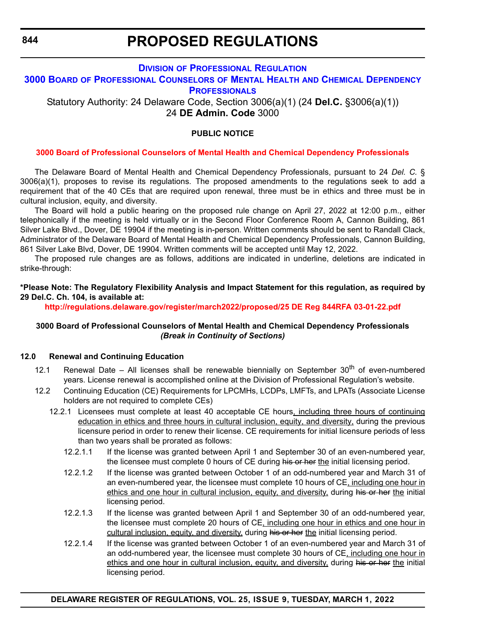**844**

# **PROPOSED REGULATIONS**

# **DIVISION OF PROFESSIONAL REGULATION**

## **3000 BOARD [OF PROFESSIONAL COUNSELORS](https://dpr.delaware.gov/) OF MENTAL HEALTH AND CHEMICAL DEPENDENCY PROFESSIONALS**

Statutory Authority: 24 Delaware Code, Section 3006(a)(1) (24 **Del.C.** §3006(a)(1)) 24 **DE Admin. Code** 3000

# **PUBLIC NOTICE**

# **[3000 Board of Professional Counselors of Mental Health and Chemical Dependency Professionals](#page-3-0)**

The Delaware Board of Mental Health and Chemical Dependency Professionals, pursuant to 24 *Del. C.* § 3006(a)(1), proposes to revise its regulations. The proposed amendments to the regulations seek to add a requirement that of the 40 CEs that are required upon renewal, three must be in ethics and three must be in cultural inclusion, equity, and diversity.

The Board will hold a public hearing on the proposed rule change on April 27, 2022 at 12:00 p.m., either telephonically if the meeting is held virtually or in the Second Floor Conference Room A, Cannon Building, 861 Silver Lake Blvd., Dover, DE 19904 if the meeting is in-person. Written comments should be sent to Randall Clack, Administrator of the Delaware Board of Mental Health and Chemical Dependency Professionals, Cannon Building, 861 Silver Lake Blvd, Dover, DE 19904. Written comments will be accepted until May 12, 2022.

The proposed rule changes are as follows, additions are indicated in underline, deletions are indicated in strike-through:

# **\*Please Note: The Regulatory Flexibility Analysis and Impact Statement for this regulation, as required by 29 Del.C. Ch. 104, is available at:**

**<http://regulations.delaware.gov/register/march2022/proposed/25 DE Reg 844RFA 03-01-22.pdf>**

## **3000 Board of Professional Counselors of Mental Health and Chemical Dependency Professionals** *(Break in Continuity of Sections)*

## **12.0 Renewal and Continuing Education**

- 12.1 Renewal Date All licenses shall be renewable biennially on September  $30<sup>th</sup>$  of even-numbered years. License renewal is accomplished online at the Division of Professional Regulation's website.
- 12.2 Continuing Education (CE) Requirements for LPCMHs, LCDPs, LMFTs, and LPATs (Associate License holders are not required to complete CEs)
	- 12.2.1 Licensees must complete at least 40 acceptable CE hours, including three hours of continuing education in ethics and three hours in cultural inclusion, equity, and diversity, during the previous licensure period in order to renew their license. CE requirements for initial licensure periods of less than two years shall be prorated as follows:
		- 12.2.1.1 If the license was granted between April 1 and September 30 of an even-numbered year, the licensee must complete 0 hours of CE during his or her the initial licensing period.
		- 12.2.1.2 If the license was granted between October 1 of an odd-numbered year and March 31 of an even-numbered year, the licensee must complete 10 hours of CE, including one hour in ethics and one hour in cultural inclusion, equity, and diversity, during his or her the initial licensing period.
		- 12.2.1.3 If the license was granted between April 1 and September 30 of an odd-numbered year, the licensee must complete 20 hours of CE, including one hour in ethics and one hour in cultural inclusion, equity, and diversity, during his or her the initial licensing period.
		- 12.2.1.4 If the license was granted between October 1 of an even-numbered year and March 31 of an odd-numbered year, the licensee must complete 30 hours of CE, including one hour in ethics and one hour in cultural inclusion, equity, and diversity, during his or her the initial licensing period.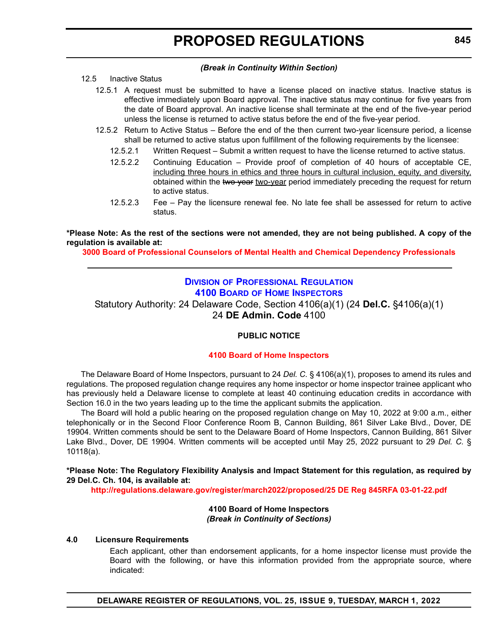### *(Break in Continuity Within Section)*

# 12.5 Inactive Status

- 12.5.1 A request must be submitted to have a license placed on inactive status. Inactive status is effective immediately upon Board approval. The inactive status may continue for five years from the date of Board approval. An inactive license shall terminate at the end of the five-year period unless the license is returned to active status before the end of the five-year period.
- 12.5.2 Return to Active Status Before the end of the then current two-year licensure period, a license shall be returned to active status upon fulfillment of the following requirements by the licensee:
	- 12.5.2.1 Written Request Submit a written request to have the license returned to active status.
	- 12.5.2.2 Continuing Education Provide proof of completion of 40 hours of acceptable CE, including three hours in ethics and three hours in cultural inclusion, equity, and diversity, obtained within the two year two-year period immediately preceding the request for return to active status.
	- 12.5.2.3 Fee Pay the licensure renewal fee. No late fee shall be assessed for return to active status.

### **\*Please Note: As the rest of the sections were not amended, they are not being published. A copy of the regulation is available at:**

**[3000 Board of Professional Counselors of Mental Health and Chemical Dependency Professionals](http://regulations.delaware.gov/register/march2022/proposed/25 DE Reg 844 03-01-22.htm)**

# **DIVISION [OF PROFESSIONAL REGULATION](https://dpr.delaware.gov/boards/homeinspector/) 4100 BOARD OF HOME INSPECTORS**

Statutory Authority: 24 Delaware Code, Section 4106(a)(1) (24 **Del.C.** §4106(a)(1) 24 **DE Admin. Code** 4100

# **PUBLIC NOTICE**

### **[4100 Board of Home Inspectors](#page-3-0)**

The Delaware Board of Home Inspectors, pursuant to 24 *Del. C.* § 4106(a)(1), proposes to amend its rules and regulations. The proposed regulation change requires any home inspector or home inspector trainee applicant who has previously held a Delaware license to complete at least 40 continuing education credits in accordance with Section 16.0 in the two years leading up to the time the applicant submits the application.

The Board will hold a public hearing on the proposed regulation change on May 10, 2022 at 9:00 a.m., either telephonically or in the Second Floor Conference Room B, Cannon Building, 861 Silver Lake Blvd., Dover, DE 19904. Written comments should be sent to the Delaware Board of Home Inspectors, Cannon Building, 861 Silver Lake Blvd., Dover, DE 19904. Written comments will be accepted until May 25, 2022 pursuant to 29 *Del. C.* § 10118(a).

### **\*Please Note: The Regulatory Flexibility Analysis and Impact Statement for this regulation, as required by 29 Del.C. Ch. 104, is available at:**

**<http://regulations.delaware.gov/register/march2022/proposed/25 DE Reg 845RFA 03-01-22.pdf>**

### **4100 Board of Home Inspectors** *(Break in Continuity of Sections)*

### **4.0 Licensure Requirements**

Each applicant, other than endorsement applicants, for a home inspector license must provide the Board with the following, or have this information provided from the appropriate source, where indicated: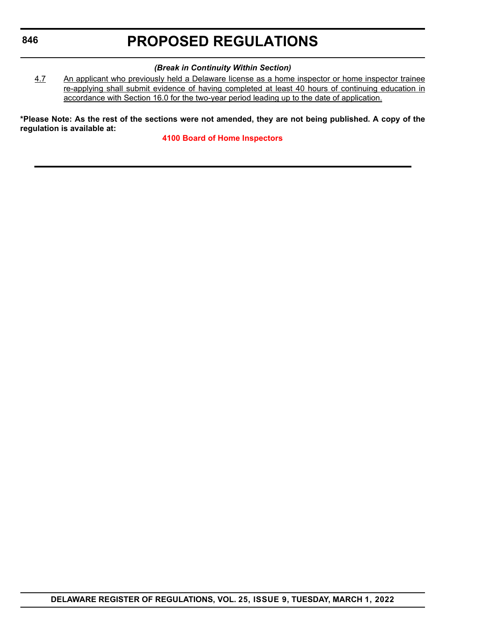# **846**

# **PROPOSED REGULATIONS**

### *(Break in Continuity Within Section)*

4.7 An applicant who previously held a Delaware license as a home inspector or home inspector trainee re-applying shall submit evidence of having completed at least 40 hours of continuing education in accordance with Section 16.0 for the two-year period leading up to the date of application.

**\*Please Note: As the rest of the sections were not amended, they are not being published. A copy of the regulation is available at:**

**[4100 Board of Home Inspectors](http://regulations.delaware.gov/register/march2022/proposed/25 DE Reg 845 03-01-22.htm)**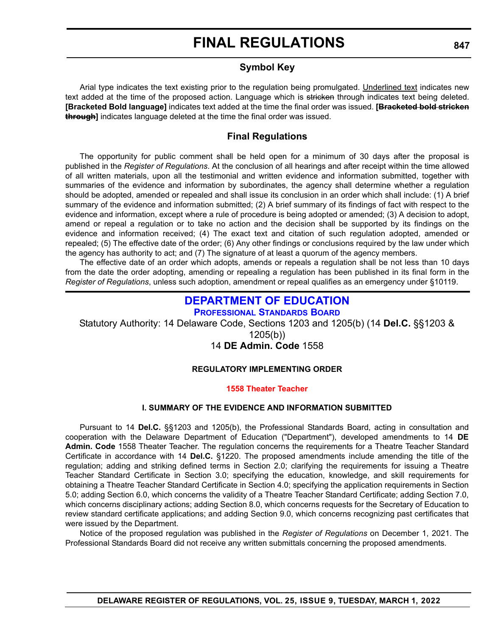# **Symbol Key**

Arial type indicates the text existing prior to the regulation being promulgated. Underlined text indicates new text added at the time of the proposed action. Language which is stricken through indicates text being deleted. **[Bracketed Bold language]** indicates text added at the time the final order was issued. **[Bracketed bold stricken through]** indicates language deleted at the time the final order was issued.

# **Final Regulations**

The opportunity for public comment shall be held open for a minimum of 30 days after the proposal is published in the *Register of Regulations*. At the conclusion of all hearings and after receipt within the time allowed of all written materials, upon all the testimonial and written evidence and information submitted, together with summaries of the evidence and information by subordinates, the agency shall determine whether a regulation should be adopted, amended or repealed and shall issue its conclusion in an order which shall include: (1) A brief summary of the evidence and information submitted; (2) A brief summary of its findings of fact with respect to the evidence and information, except where a rule of procedure is being adopted or amended; (3) A decision to adopt, amend or repeal a regulation or to take no action and the decision shall be supported by its findings on the evidence and information received; (4) The exact text and citation of such regulation adopted, amended or repealed; (5) The effective date of the order; (6) Any other findings or conclusions required by the law under which the agency has authority to act; and (7) The signature of at least a quorum of the agency members.

The effective date of an order which adopts, amends or repeals a regulation shall be not less than 10 days from the date the order adopting, amending or repealing a regulation has been published in its final form in the *Register of Regulations*, unless such adoption, amendment or repeal qualifies as an emergency under §10119.

# **[DEPARTMENT OF EDUCATION](https://www.doe.k12.de.us/domain/172)**

**PROFESSIONAL STANDARDS BOARD**

Statutory Authority: 14 Delaware Code, Sections 1203 and 1205(b) (14 **Del.C.** §§1203 &

1205(b))

# 14 **DE Admin. Code** 1558

# **REGULATORY IMPLEMENTING ORDER**

# **[1558 Theater Teacher](#page-3-0)**

# **I. SUMMARY OF THE EVIDENCE AND INFORMATION SUBMITTED**

Pursuant to 14 **Del.C.** §§1203 and 1205(b), the Professional Standards Board, acting in consultation and cooperation with the Delaware Department of Education ("Department"), developed amendments to 14 **DE Admin. Code** 1558 Theater Teacher. The regulation concerns the requirements for a Theatre Teacher Standard Certificate in accordance with 14 **Del.C.** §1220. The proposed amendments include amending the title of the regulation; adding and striking defined terms in Section 2.0; clarifying the requirements for issuing a Theatre Teacher Standard Certificate in Section 3.0; specifying the education, knowledge, and skill requirements for obtaining a Theatre Teacher Standard Certificate in Section 4.0; specifying the application requirements in Section 5.0; adding Section 6.0, which concerns the validity of a Theatre Teacher Standard Certificate; adding Section 7.0, which concerns disciplinary actions; adding Section 8.0, which concerns requests for the Secretary of Education to review standard certificate applications; and adding Section 9.0, which concerns recognizing past certificates that were issued by the Department.

Notice of the proposed regulation was published in the *Register of Regulations* on December 1, 2021. The Professional Standards Board did not receive any written submittals concerning the proposed amendments.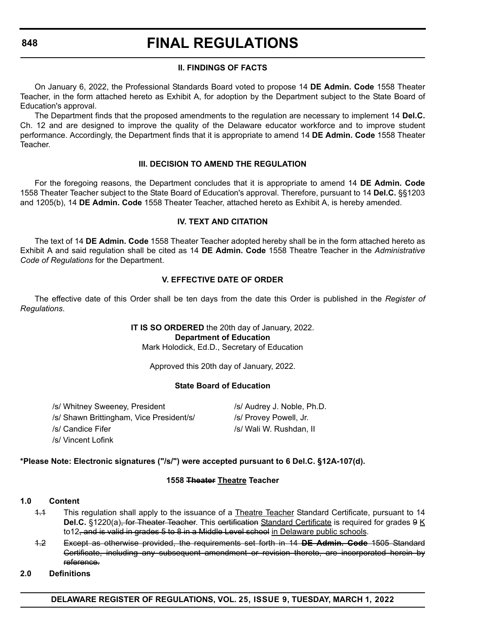### **848**

# **FINAL REGULATIONS**

## **II. FINDINGS OF FACTS**

On January 6, 2022, the Professional Standards Board voted to propose 14 **DE Admin. Code** 1558 Theater Teacher, in the form attached hereto as Exhibit A, for adoption by the Department subject to the State Board of Education's approval.

The Department finds that the proposed amendments to the regulation are necessary to implement 14 **Del.C.** Ch. 12 and are designed to improve the quality of the Delaware educator workforce and to improve student performance. Accordingly, the Department finds that it is appropriate to amend 14 **DE Admin. Code** 1558 Theater Teacher.

### **III. DECISION TO AMEND THE REGULATION**

For the foregoing reasons, the Department concludes that it is appropriate to amend 14 **DE Admin. Code** 1558 Theater Teacher subject to the State Board of Education's approval. Therefore, pursuant to 14 **Del.C.** §§1203 and 1205(b), 14 **DE Admin. Code** 1558 Theater Teacher, attached hereto as Exhibit A, is hereby amended.

### **IV. TEXT AND CITATION**

The text of 14 **DE Admin. Code** 1558 Theater Teacher adopted hereby shall be in the form attached hereto as Exhibit A and said regulation shall be cited as 14 **DE Admin. Code** 1558 Theatre Teacher in the *Administrative Code of Regulations* for the Department.

### **V. EFFECTIVE DATE OF ORDER**

The effective date of this Order shall be ten days from the date this Order is published in the *Register of Regulations*.

> **IT IS SO ORDERED** the 20th day of January, 2022. **Department of Education** Mark Holodick, Ed.D., Secretary of Education

> > Approved this 20th day of January, 2022.

### **State Board of Education**

/s/ Whitney Sweeney, President /s/ Audrey J. Noble, Ph.D. /s/ Shawn Brittingham, Vice President/s/ /s/ Provey Powell, Jr. /s/ Candice Fifer /s/ Wali W. Rushdan, II /s/ Vincent Lofink

## **\*Please Note: Electronic signatures ("/s/") were accepted pursuant to 6 Del.C. §12A-107(d).**

### **1558 Theater Theatre Teacher**

### **1.0 Content**

- 1.1 This regulation shall apply to the issuance of a Theatre Teacher Standard Certificate, pursuant to 14 **Del.C.** §1220(a), for Theater Teacher. This certification Standard Certificate is required for grades 9 K to12, and is valid in grades 5 to 8 in a Middle Level school in Delaware public schools.
- 1.2 Except as otherwise provided, the requirements set forth in 14 **DE Admin. Code** 1505 Standard Certificate, including any subsequent amendment or revision thereto, are incorporated herein by reference.

### **2.0 Definitions**

**DELAWARE REGISTER OF REGULATIONS, VOL. 25, ISSUE 9, TUESDAY, MARCH 1, 2022**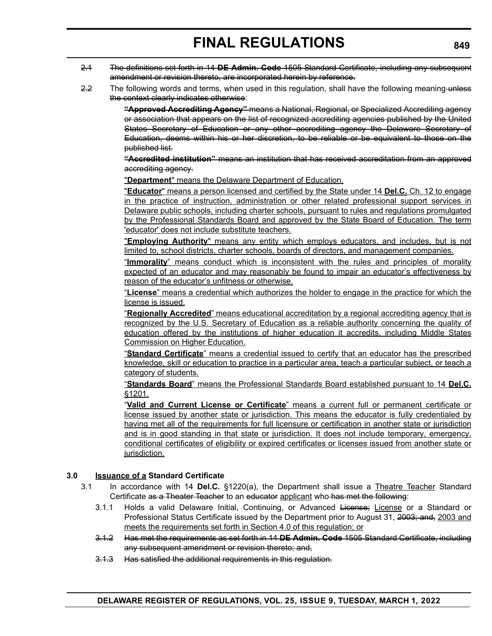- 2.1 The definitions set forth in 14 **DE Admin. Code** 1505 Standard Certificate, including any subsequent amendment or revision thereto, are incorporated herein by reference.
- 2.2 The following words and terms, when used in this regulation, shall have the following meaning-unless the context clearly indicates otherwise:

**"Approved Accrediting Agency"** means a National, Regional, or Specialized Accrediting agency or association that appears on the list of recognized accrediting agencies published by the United States Secretary of Education or any other accrediting agency the Delaware Secretary of Education, deems within his or her discretion, to be reliable or be equivalent to those on the published list.

**"Accredited institution"** means an institution that has received accreditation from an approved accrediting agency.

"**Department**" means the Delaware Department of Education.

"**Educator**" means a person licensed and certified by the State under 14 **Del.C.** Ch. 12 to engage in the practice of instruction, administration or other related professional support services in Delaware public schools, including charter schools, pursuant to rules and regulations promulgated by the Professional Standards Board and approved by the State Board of Education. The term 'educator' does not include substitute teachers.

"**Employing Authority**" means any entity which employs educators, and includes, but is not limited to, school districts, charter schools, boards of directors, and management companies.

"**Immorality**" means conduct which is inconsistent with the rules and principles of morality expected of an educator and may reasonably be found to impair an educator's effectiveness by reason of the educator's unfitness or otherwise.

"**License**" means a credential which authorizes the holder to engage in the practice for which the license is issued.

"**Regionally Accredited**" means educational accreditation by a regional accrediting agency that is recognized by the U.S. Secretary of Education as a reliable authority concerning the quality of education offered by the institutions of higher education it accredits, including Middle States Commission on Higher Education.

"**Standard Certificate**" means a credential issued to certify that an educator has the prescribed knowledge, skill or education to practice in a particular area, teach a particular subject, or teach a category of students.

"**Standards Board**" means the Professional Standards Board established pursuant to 14 **Del.C.** §1201.

"**Valid and Current License or Certificate**" means a current full or permanent certificate or license issued by another state or jurisdiction. This means the educator is fully credentialed by having met all of the requirements for full licensure or certification in another state or jurisdiction and is in good standing in that state or jurisdiction. It does not include temporary, emergency, conditional certificates of eligibility or expired certificates or licenses issued from another state or jurisdiction.

## **3.0 Issuance of a Standard Certificate**

- 3.1 In accordance with 14 **Del.C.** §1220(a), the Department shall issue a Theatre Teacher Standard Certificate as a Theater Teacher to an educator applicant who has met the following:
	- 3.1.1 Holds a valid Delaware Initial, Continuing, or Advanced License; License or a Standard or Professional Status Certificate issued by the Department prior to August 31, 2003; and, 2003 and meets the requirements set forth in Section 4.0 of this regulation; or
	- 3.1.2 Has met the requirements as set forth in 14 **DE Admin. Code** 1505 Standard Certificate, including any subsequent amendment or revision thereto; and,
	- 3.1.3 Has satisfied the additional requirements in this regulation.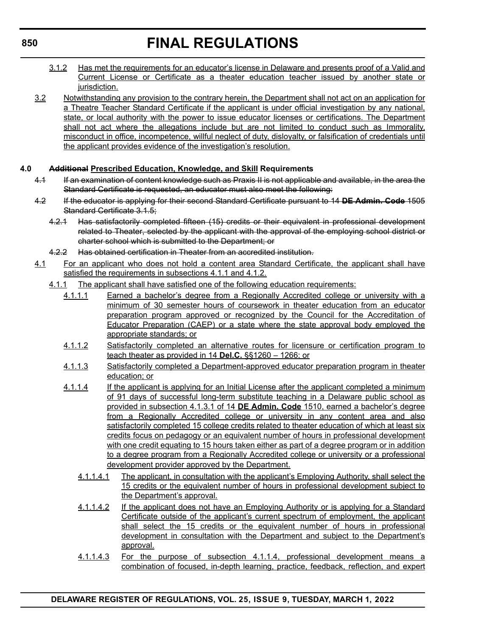- 3.1.2 Has met the requirements for an educator's license in Delaware and presents proof of a Valid and Current License or Certificate as a theater education teacher issued by another state or jurisdiction.
- 3.2 Notwithstanding any provision to the contrary herein, the Department shall not act on an application for a Theatre Teacher Standard Certificate if the applicant is under official investigation by any national, state, or local authority with the power to issue educator licenses or certifications. The Department shall not act where the allegations include but are not limited to conduct such as Immorality, misconduct in office, incompetence, willful neglect of duty, disloyalty, or falsification of credentials until the applicant provides evidence of the investigation's resolution.

# **4.0 Additional Prescribed Education, Knowledge, and Skill Requirements**

- 4.1 If an examination of content knowledge such as Praxis II is not applicable and available, in the area the Standard Certificate is requested, an educator must also meet the following:
- 4.2 If the educator is applying for their second Standard Certificate pursuant to 14 **DE Admin. Code** 1505 Standard Certificate 3.1.5;
	- 4.2.1 Has satisfactorily completed fifteen (15) credits or their equivalent in professional development related to Theater, selected by the applicant with the approval of the employing school district or charter school which is submitted to the Department; or
	- 4.2.2 Has obtained certification in Theater from an accredited institution.
- 4.1 For an applicant who does not hold a content area Standard Certificate, the applicant shall have satisfied the requirements in subsections 4.1.1 and 4.1.2.
	- 4.1.1 The applicant shall have satisfied one of the following education requirements:
		- 4.1.1.1 Earned a bachelor's degree from a Regionally Accredited college or university with a minimum of 30 semester hours of coursework in theater education from an educator preparation program approved or recognized by the Council for the Accreditation of Educator Preparation (CAEP) or a state where the state approval body employed the appropriate standards; or
		- 4.1.1.2 Satisfactorily completed an alternative routes for licensure or certification program to teach theater as provided in 14 **Del.C.** §§1260 – 1266; or
		- 4.1.1.3 Satisfactorily completed a Department-approved educator preparation program in theater education; or
		- 4.1.1.4 If the applicant is applying for an Initial License after the applicant completed a minimum of 91 days of successful long-term substitute teaching in a Delaware public school as provided in subsection 4.1.3.1 of 14 **DE Admin. Code** 1510, earned a bachelor's degree from a Regionally Accredited college or university in any content area and also satisfactorily completed 15 college credits related to theater education of which at least six credits focus on pedagogy or an equivalent number of hours in professional development with one credit equating to 15 hours taken either as part of a degree program or in addition to a degree program from a Regionally Accredited college or university or a professional development provider approved by the Department.
			- 4.1.1.4.1 The applicant, in consultation with the applicant's Employing Authority, shall select the 15 credits or the equivalent number of hours in professional development subject to the Department's approval.
			- 4.1.1.4.2 If the applicant does not have an Employing Authority or is applying for a Standard Certificate outside of the applicant's current spectrum of employment, the applicant shall select the 15 credits or the equivalent number of hours in professional development in consultation with the Department and subject to the Department's approval.
			- 4.1.1.4.3 For the purpose of subsection 4.1.1.4, professional development means a combination of focused, in-depth learning, practice, feedback, reflection, and expert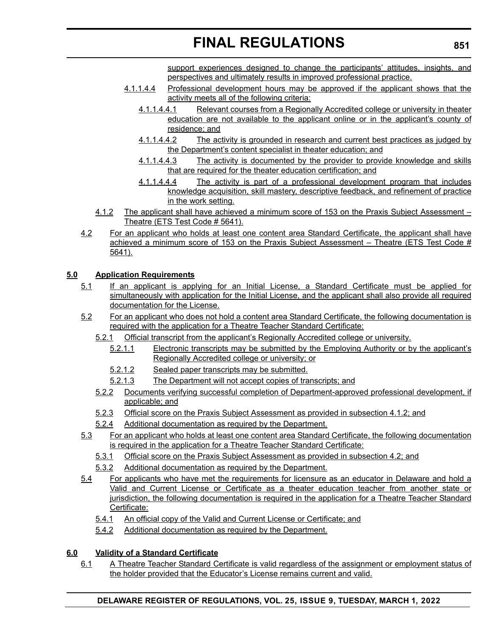support experiences designed to change the participants' attitudes, insights, and perspectives and ultimately results in improved professional practice.

- 4.1.1.4.4 Professional development hours may be approved if the applicant shows that the activity meets all of the following criteria:
	- 4.1.1.4.4.1 Relevant courses from a Regionally Accredited college or university in theater education are not available to the applicant online or in the applicant's county of residence; and
	- 4.1.1.4.4.2 The activity is grounded in research and current best practices as judged by the Department's content specialist in theater education; and
	- 4.1.1.4.4.3 The activity is documented by the provider to provide knowledge and skills that are required for the theater education certification; and
	- 4.1.1.4.4.4 The activity is part of a professional development program that includes knowledge acquisition, skill mastery, descriptive feedback, and refinement of practice in the work setting.
- 4.1.2 The applicant shall have achieved a minimum score of 153 on the Praxis Subject Assessment Theatre (ETS Test Code # 5641).
- 4.2 For an applicant who holds at least one content area Standard Certificate, the applicant shall have achieved a minimum score of 153 on the Praxis Subject Assessment - Theatre (ETS Test Code # 5641).

# **5.0 Application Requirements**

- 5.1 If an applicant is applying for an Initial License, a Standard Certificate must be applied for simultaneously with application for the Initial License, and the applicant shall also provide all required documentation for the License.
- 5.2 For an applicant who does not hold a content area Standard Certificate, the following documentation is required with the application for a Theatre Teacher Standard Certificate:
	- 5.2.1 Official transcript from the applicant's Regionally Accredited college or university.
		- 5.2.1.1 Electronic transcripts may be submitted by the Employing Authority or by the applicant's Regionally Accredited college or university; or
		- 5.2.1.2 Sealed paper transcripts may be submitted.
		- 5.2.1.3 The Department will not accept copies of transcripts; and
	- 5.2.2 Documents verifying successful completion of Department-approved professional development, if applicable; and
	- 5.2.3 Official score on the Praxis Subject Assessment as provided in subsection 4.1.2; and
	- 5.2.4 Additional documentation as required by the Department.
- 5.3 For an applicant who holds at least one content area Standard Certificate, the following documentation is required in the application for a Theatre Teacher Standard Certificate:
	- 5.3.1 Official score on the Praxis Subject Assessment as provided in subsection 4.2; and
	- 5.3.2 Additional documentation as required by the Department.
- 5.4 For applicants who have met the requirements for licensure as an educator in Delaware and hold a Valid and Current License or Certificate as a theater education teacher from another state or jurisdiction, the following documentation is required in the application for a Theatre Teacher Standard Certificate:
	- 5.4.1 An official copy of the Valid and Current License or Certificate; and
	- 5.4.2 Additional documentation as required by the Department.

# **6.0 Validity of a Standard Certificate**

6.1 A Theatre Teacher Standard Certificate is valid regardless of the assignment or employment status of the holder provided that the Educator's License remains current and valid.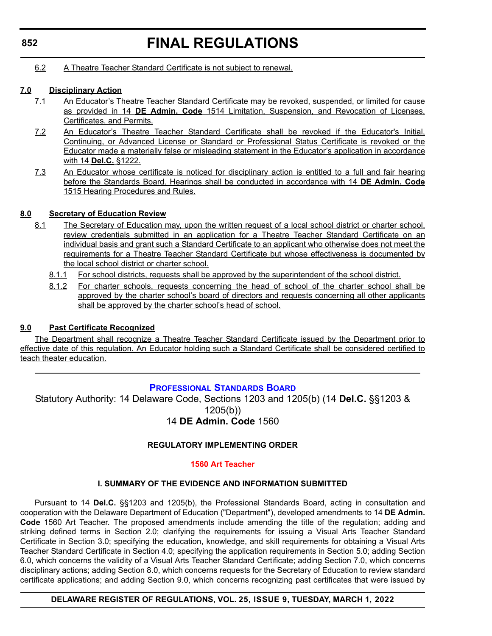6.2 A Theatre Teacher Standard Certificate is not subject to renewal.

# **7.0 Disciplinary Action**

- 7.1 An Educator's Theatre Teacher Standard Certificate may be revoked, suspended, or limited for cause as provided in 14 **DE Admin. Code** 1514 Limitation, Suspension, and Revocation of Licenses, Certificates, and Permits.
- 7.2 An Educator's Theatre Teacher Standard Certificate shall be revoked if the Educator's Initial, Continuing, or Advanced License or Standard or Professional Status Certificate is revoked or the Educator made a materially false or misleading statement in the Educator's application in accordance with 14 **Del.C.** §1222.
- 7.3 An Educator whose certificate is noticed for disciplinary action is entitled to a full and fair hearing before the Standards Board. Hearings shall be conducted in accordance with 14 **DE Admin. Code** 1515 Hearing Procedures and Rules.

# **8.0 Secretary of Education Review**

- 8.1 The Secretary of Education may, upon the written request of a local school district or charter school, review credentials submitted in an application for a Theatre Teacher Standard Certificate on an individual basis and grant such a Standard Certificate to an applicant who otherwise does not meet the requirements for a Theatre Teacher Standard Certificate but whose effectiveness is documented by the local school district or charter school.
	- 8.1.1 For school districts, requests shall be approved by the superintendent of the school district.
	- 8.1.2 For charter schools, requests concerning the head of school of the charter school shall be approved by the charter school's board of directors and requests concerning all other applicants shall be approved by the charter school's head of school.

# **9.0 Past Certificate Recognized**

The Department shall recognize a Theatre Teacher Standard Certificate issued by the Department prior to effective date of this regulation. An Educator holding such a Standard Certificate shall be considered certified to teach theater education.

# **[PROFESSIONAL STANDARDS BOARD](https://www.doe.k12.de.us/domain/172)**

Statutory Authority: 14 Delaware Code, Sections 1203 and 1205(b) (14 **Del.C.** §§1203 & 1205(b)) 14 **DE Admin. Code** 1560

## **REGULATORY IMPLEMENTING ORDER**

## **[1560 Art Teacher](#page-3-0)**

## **I. SUMMARY OF THE EVIDENCE AND INFORMATION SUBMITTED**

Pursuant to 14 **Del.C.** §§1203 and 1205(b), the Professional Standards Board, acting in consultation and cooperation with the Delaware Department of Education ("Department"), developed amendments to 14 **DE Admin. Code** 1560 Art Teacher. The proposed amendments include amending the title of the regulation; adding and striking defined terms in Section 2.0; clarifying the requirements for issuing a Visual Arts Teacher Standard Certificate in Section 3.0; specifying the education, knowledge, and skill requirements for obtaining a Visual Arts Teacher Standard Certificate in Section 4.0; specifying the application requirements in Section 5.0; adding Section 6.0, which concerns the validity of a Visual Arts Teacher Standard Certificate; adding Section 7.0, which concerns disciplinary actions; adding Section 8.0, which concerns requests for the Secretary of Education to review standard certificate applications; and adding Section 9.0, which concerns recognizing past certificates that were issued by

## **DELAWARE REGISTER OF REGULATIONS, VOL. 25, ISSUE 9, TUESDAY, MARCH 1, 2022**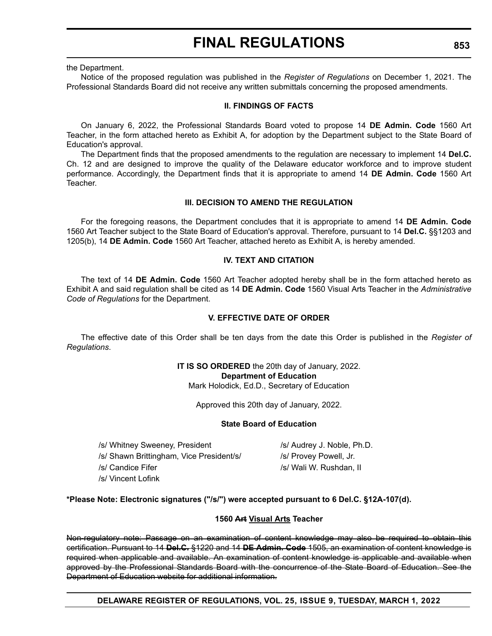the Department.

Notice of the proposed regulation was published in the *Register of Regulations* on December 1, 2021. The Professional Standards Board did not receive any written submittals concerning the proposed amendments.

### **II. FINDINGS OF FACTS**

On January 6, 2022, the Professional Standards Board voted to propose 14 **DE Admin. Code** 1560 Art Teacher, in the form attached hereto as Exhibit A, for adoption by the Department subject to the State Board of Education's approval.

The Department finds that the proposed amendments to the regulation are necessary to implement 14 **Del.C.** Ch. 12 and are designed to improve the quality of the Delaware educator workforce and to improve student performance. Accordingly, the Department finds that it is appropriate to amend 14 **DE Admin. Code** 1560 Art Teacher.

### **III. DECISION TO AMEND THE REGULATION**

For the foregoing reasons, the Department concludes that it is appropriate to amend 14 **DE Admin. Code** 1560 Art Teacher subject to the State Board of Education's approval. Therefore, pursuant to 14 **Del.C.** §§1203 and 1205(b), 14 **DE Admin. Code** 1560 Art Teacher, attached hereto as Exhibit A, is hereby amended.

## **IV. TEXT AND CITATION**

The text of 14 **DE Admin. Code** 1560 Art Teacher adopted hereby shall be in the form attached hereto as Exhibit A and said regulation shall be cited as 14 **DE Admin. Code** 1560 Visual Arts Teacher in the *Administrative Code of Regulations* for the Department.

### **V. EFFECTIVE DATE OF ORDER**

The effective date of this Order shall be ten days from the date this Order is published in the *Register of Regulations*.

> **IT IS SO ORDERED** the 20th day of January, 2022. **Department of Education** Mark Holodick, Ed.D., Secretary of Education

> > Approved this 20th day of January, 2022.

### **State Board of Education**

/s/ Whitney Sweeney, President /s/ Audrey J. Noble, Ph.D. /s/ Shawn Brittingham, Vice President/s/ /s/ Provey Powell, Jr. /s/ Candice Fifer /s/ Wali W. Rushdan, II /s/ Vincent Lofink

### **\*Please Note: Electronic signatures ("/s/") were accepted pursuant to 6 Del.C. §12A-107(d).**

### **1560 Art Visual Arts Teacher**

Non-regulatory note: Passage on an examination of content knowledge may also be required to obtain this certification. Pursuant to 14 **Del.C.** §1220 and 14 **DE Admin. Code** 1505, an examination of content knowledge is required when applicable and available. An examination of content knowledge is applicable and available when approved by the Professional Standards Board with the concurrence of the State Board of Education. See the Department of Education website for additional information.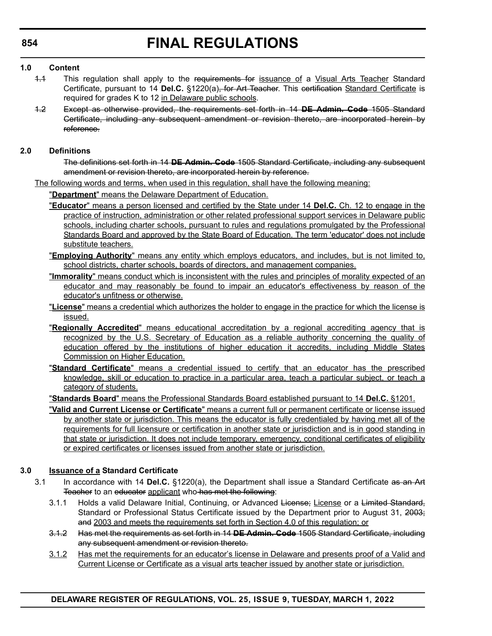# **1.0 Content**

- 4.4 This regulation shall apply to the requirements for issuance of a Visual Arts Teacher Standard Certificate, pursuant to 14 Del.C. §1220(a)<del>, for Art Teacher</del>. This certification Standard Certificate is required for grades K to 12 in Delaware public schools.
- 1.2 Except as otherwise provided, the requirements set forth in 14 **DE Admin. Code** 1505 Standard Certificate, including any subsequent amendment or revision thereto, are incorporated herein by reference.

### **2.0 Definitions**

The definitions set forth in 14 **DE Admin. Code** 1505 Standard Certificate, including any subsequent amendment or revision thereto, are incorporated herein by reference.

The following words and terms, when used in this regulation, shall have the following meaning:

"**Department**" means the Delaware Department of Education.

- "**Educator**" means a person licensed and certified by the State under 14 **Del.C.** Ch. 12 to engage in the practice of instruction, administration or other related professional support services in Delaware public schools, including charter schools, pursuant to rules and regulations promulgated by the Professional Standards Board and approved by the State Board of Education. The term 'educator' does not include substitute teachers.
- "**Employing Authority**" means any entity which employs educators, and includes, but is not limited to, school districts, charter schools, boards of directors, and management companies.
- "**Immorality**" means conduct which is inconsistent with the rules and principles of morality expected of an educator and may reasonably be found to impair an educator's effectiveness by reason of the educator's unfitness or otherwise.
- "**License**" means a credential which authorizes the holder to engage in the practice for which the license is issued.
- "**Regionally Accredited**" means educational accreditation by a regional accrediting agency that is recognized by the U.S. Secretary of Education as a reliable authority concerning the quality of education offered by the institutions of higher education it accredits, including Middle States Commission on Higher Education.
- "**Standard Certificate**" means a credential issued to certify that an educator has the prescribed knowledge, skill or education to practice in a particular area, teach a particular subject, or teach a category of students.

"**Standards Board**" means the Professional Standards Board established pursuant to 14 **Del.C.** §1201.

"**Valid and Current License or Certificate**" means a current full or permanent certificate or license issued by another state or jurisdiction. This means the educator is fully credentialed by having met all of the requirements for full licensure or certification in another state or jurisdiction and is in good standing in that state or jurisdiction. It does not include temporary, emergency, conditional certificates of eligibility or expired certificates or licenses issued from another state or jurisdiction.

## **3.0 Issuance of a Standard Certificate**

- 3.1 In accordance with 14 **Del.C.** §1220(a), the Department shall issue a Standard Certificate as an Art Teacher to an educator applicant who has met the following:
	- 3.1.1 Holds a valid Delaware Initial, Continuing, or Advanced License; License or a Limited Standard, Standard or Professional Status Certificate issued by the Department prior to August 31, 2003; and 2003 and meets the requirements set forth in Section 4.0 of this regulation; or
	- 3.1.2 Has met the requirements as set forth in 14 **DE Admin. Code** 1505 Standard Certificate, including any subsequent amendment or revision thereto.
	- 3.1.2 Has met the requirements for an educator's license in Delaware and presents proof of a Valid and Current License or Certificate as a visual arts teacher issued by another state or jurisdiction.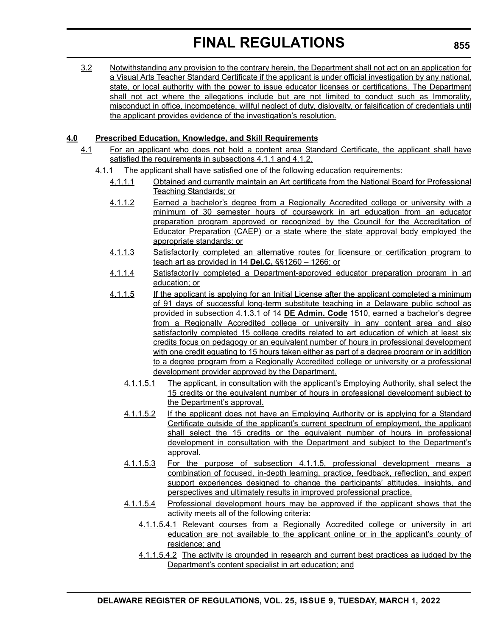3.2 Notwithstanding any provision to the contrary herein, the Department shall not act on an application for a Visual Arts Teacher Standard Certificate if the applicant is under official investigation by any national, state, or local authority with the power to issue educator licenses or certifications. The Department shall not act where the allegations include but are not limited to conduct such as Immorality, misconduct in office, incompetence, willful neglect of duty, disloyalty, or falsification of credentials until the applicant provides evidence of the investigation's resolution.

# **4.0 Prescribed Education, Knowledge, and Skill Requirements**

- 4.1 For an applicant who does not hold a content area Standard Certificate, the applicant shall have satisfied the requirements in subsections 4.1.1 and 4.1.2.
	- 4.1.1 The applicant shall have satisfied one of the following education requirements:
		- 4.1.1.1 Obtained and currently maintain an Art certificate from the National Board for Professional Teaching Standards; or
		- 4.1.1.2 Earned a bachelor's degree from a Regionally Accredited college or university with a minimum of 30 semester hours of coursework in art education from an educator preparation program approved or recognized by the Council for the Accreditation of Educator Preparation (CAEP) or a state where the state approval body employed the appropriate standards; or
		- 4.1.1.3 Satisfactorily completed an alternative routes for licensure or certification program to teach art as provided in 14 **Del.C.** §§1260 – 1266; or
		- 4.1.1.4 Satisfactorily completed a Department-approved educator preparation program in art education; or
		- 4.1.1.5 If the applicant is applying for an Initial License after the applicant completed a minimum of 91 days of successful long-term substitute teaching in a Delaware public school as provided in subsection 4.1.3.1 of 14 **DE Admin. Code** 1510, earned a bachelor's degree from a Regionally Accredited college or university in any content area and also satisfactorily completed 15 college credits related to art education of which at least six credits focus on pedagogy or an equivalent number of hours in professional development with one credit equating to 15 hours taken either as part of a degree program or in addition to a degree program from a Regionally Accredited college or university or a professional development provider approved by the Department.
			- 4.1.1.5.1 The applicant, in consultation with the applicant's Employing Authority, shall select the 15 credits or the equivalent number of hours in professional development subject to the Department's approval.
			- 4.1.1.5.2 If the applicant does not have an Employing Authority or is applying for a Standard Certificate outside of the applicant's current spectrum of employment, the applicant shall select the 15 credits or the equivalent number of hours in professional development in consultation with the Department and subject to the Department's approval.
			- 4.1.1.5.3 For the purpose of subsection 4.1.1.5, professional development means a combination of focused, in-depth learning, practice, feedback, reflection, and expert support experiences designed to change the participants' attitudes, insights, and perspectives and ultimately results in improved professional practice.
			- 4.1.1.5.4 Professional development hours may be approved if the applicant shows that the activity meets all of the following criteria:
				- 4.1.1.5.4.1 Relevant courses from a Regionally Accredited college or university in art education are not available to the applicant online or in the applicant's county of residence; and
				- 4.1.1.5.4.2 The activity is grounded in research and current best practices as judged by the Department's content specialist in art education; and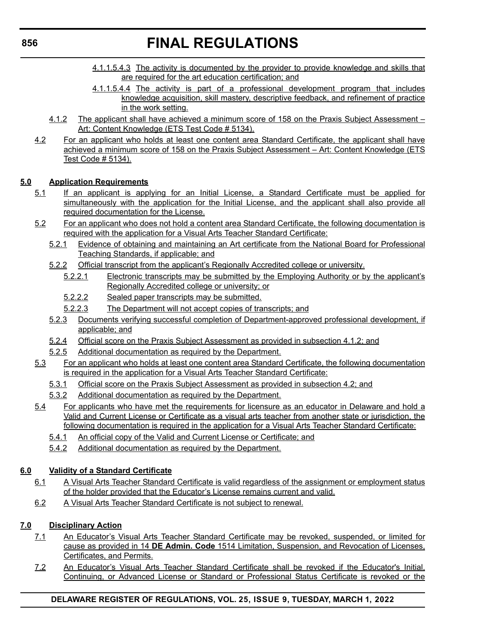- 4.1.1.5.4.3 The activity is documented by the provider to provide knowledge and skills that are required for the art education certification; and
- 4.1.1.5.4.4 The activity is part of a professional development program that includes knowledge acquisition, skill mastery, descriptive feedback, and refinement of practice in the work setting.
- 4.1.2 The applicant shall have achieved a minimum score of 158 on the Praxis Subject Assessment Art: Content Knowledge (ETS Test Code # 5134).
- 4.2 For an applicant who holds at least one content area Standard Certificate, the applicant shall have achieved a minimum score of 158 on the Praxis Subject Assessment – Art: Content Knowledge (ETS Test Code # 5134).

# **5.0 Application Requirements**

- 5.1 If an applicant is applying for an Initial License, a Standard Certificate must be applied for simultaneously with the application for the Initial License, and the applicant shall also provide all required documentation for the License.
- 5.2 For an applicant who does not hold a content area Standard Certificate, the following documentation is required with the application for a Visual Arts Teacher Standard Certificate:
	- 5.2.1 Evidence of obtaining and maintaining an Art certificate from the National Board for Professional Teaching Standards, if applicable; and
	- 5.2.2 Official transcript from the applicant's Regionally Accredited college or university.
		- 5.2.2.1 Electronic transcripts may be submitted by the Employing Authority or by the applicant's Regionally Accredited college or university; or
		- 5.2.2.2 Sealed paper transcripts may be submitted.
		- 5.2.2.3 The Department will not accept copies of transcripts; and
	- 5.2.3 Documents verifying successful completion of Department-approved professional development, if applicable; and
	- 5.2.4 Official score on the Praxis Subject Assessment as provided in subsection 4.1.2; and
	- 5.2.5 Additional documentation as required by the Department.
- 5.3 For an applicant who holds at least one content area Standard Certificate, the following documentation is required in the application for a Visual Arts Teacher Standard Certificate:
	- 5.3.1 Official score on the Praxis Subject Assessment as provided in subsection 4.2; and
	- 5.3.2 Additional documentation as required by the Department.
- 5.4 For applicants who have met the requirements for licensure as an educator in Delaware and hold a Valid and Current License or Certificate as a visual arts teacher from another state or jurisdiction, the following documentation is required in the application for a Visual Arts Teacher Standard Certificate:
	- 5.4.1 An official copy of the Valid and Current License or Certificate; and
	- 5.4.2 Additional documentation as required by the Department.

# **6.0 Validity of a Standard Certificate**

- 6.1 A Visual Arts Teacher Standard Certificate is valid regardless of the assignment or employment status of the holder provided that the Educator's License remains current and valid.
- 6.2 A Visual Arts Teacher Standard Certificate is not subject to renewal.

# **7.0 Disciplinary Action**

- 7.1 An Educator's Visual Arts Teacher Standard Certificate may be revoked, suspended, or limited for cause as provided in 14 **DE Admin. Code** 1514 Limitation, Suspension, and Revocation of Licenses, Certificates, and Permits.
- 7.2 An Educator's Visual Arts Teacher Standard Certificate shall be revoked if the Educator's Initial, Continuing, or Advanced License or Standard or Professional Status Certificate is revoked or the

# **DELAWARE REGISTER OF REGULATIONS, VOL. 25, ISSUE 9, TUESDAY, MARCH 1, 2022**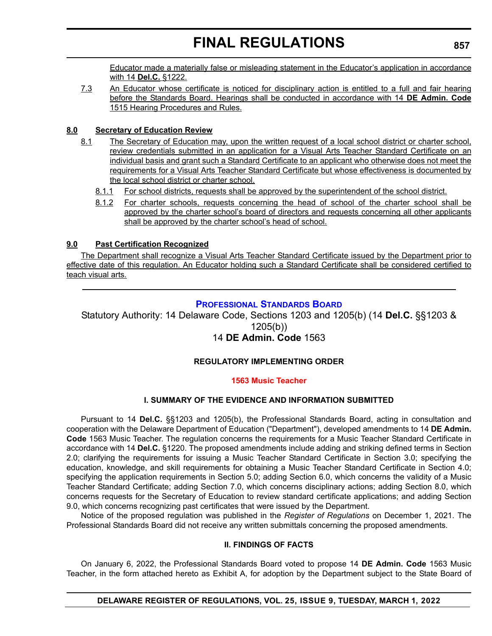Educator made a materially false or misleading statement in the Educator's application in accordance with 14 **Del.C.** §1222.

7.3 An Educator whose certificate is noticed for disciplinary action is entitled to a full and fair hearing before the Standards Board. Hearings shall be conducted in accordance with 14 **DE Admin. Code** 1515 Hearing Procedures and Rules.

# **8.0 Secretary of Education Review**

- 8.1 The Secretary of Education may, upon the written request of a local school district or charter school, review credentials submitted in an application for a Visual Arts Teacher Standard Certificate on an individual basis and grant such a Standard Certificate to an applicant who otherwise does not meet the requirements for a Visual Arts Teacher Standard Certificate but whose effectiveness is documented by the local school district or charter school.
	- 8.1.1 For school districts, requests shall be approved by the superintendent of the school district.
	- 8.1.2 For charter schools, requests concerning the head of school of the charter school shall be approved by the charter school's board of directors and requests concerning all other applicants shall be approved by the charter school's head of school.

# **9.0 Past Certification Recognized**

The Department shall recognize a Visual Arts Teacher Standard Certificate issued by the Department prior to effective date of this regulation. An Educator holding such a Standard Certificate shall be considered certified to teach visual arts.

# **[PROFESSIONAL STANDARDS BOARD](https://www.doe.k12.de.us/domain/172)**

Statutory Authority: 14 Delaware Code, Sections 1203 and 1205(b) (14 **Del.C.** §§1203 & 1205(b))

# 14 **DE Admin. Code** 1563

# **REGULATORY IMPLEMENTING ORDER**

## **[1563 Music Teacher](#page-3-0)**

# **I. SUMMARY OF THE EVIDENCE AND INFORMATION SUBMITTED**

Pursuant to 14 **Del.C.** §§1203 and 1205(b), the Professional Standards Board, acting in consultation and cooperation with the Delaware Department of Education ("Department"), developed amendments to 14 **DE Admin. Code** 1563 Music Teacher. The regulation concerns the requirements for a Music Teacher Standard Certificate in accordance with 14 **Del.C.** §1220. The proposed amendments include adding and striking defined terms in Section 2.0; clarifying the requirements for issuing a Music Teacher Standard Certificate in Section 3.0; specifying the education, knowledge, and skill requirements for obtaining a Music Teacher Standard Certificate in Section 4.0; specifying the application requirements in Section 5.0; adding Section 6.0, which concerns the validity of a Music Teacher Standard Certificate; adding Section 7.0, which concerns disciplinary actions; adding Section 8.0, which concerns requests for the Secretary of Education to review standard certificate applications; and adding Section 9.0, which concerns recognizing past certificates that were issued by the Department.

Notice of the proposed regulation was published in the *Register of Regulations* on December 1, 2021. The Professional Standards Board did not receive any written submittals concerning the proposed amendments.

### **II. FINDINGS OF FACTS**

On January 6, 2022, the Professional Standards Board voted to propose 14 **DE Admin. Code** 1563 Music Teacher, in the form attached hereto as Exhibit A, for adoption by the Department subject to the State Board of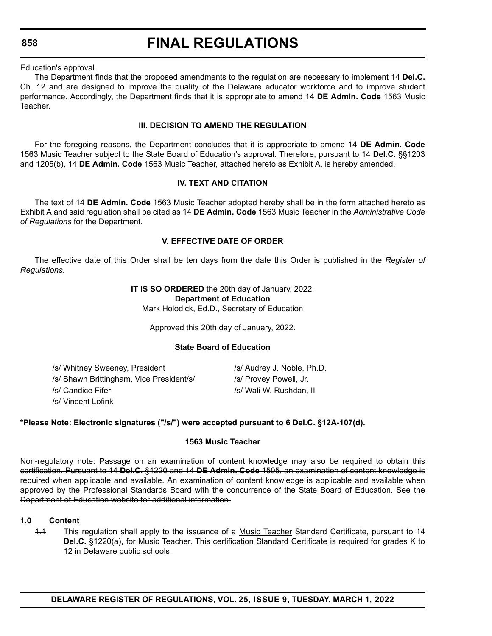**858**

# **FINAL REGULATIONS**

Education's approval.

The Department finds that the proposed amendments to the regulation are necessary to implement 14 **Del.C.** Ch. 12 and are designed to improve the quality of the Delaware educator workforce and to improve student performance. Accordingly, the Department finds that it is appropriate to amend 14 **DE Admin. Code** 1563 Music Teacher.

### **III. DECISION TO AMEND THE REGULATION**

For the foregoing reasons, the Department concludes that it is appropriate to amend 14 **DE Admin. Code** 1563 Music Teacher subject to the State Board of Education's approval. Therefore, pursuant to 14 **Del.C.** §§1203 and 1205(b), 14 **DE Admin. Code** 1563 Music Teacher, attached hereto as Exhibit A, is hereby amended.

## **IV. TEXT AND CITATION**

The text of 14 **DE Admin. Code** 1563 Music Teacher adopted hereby shall be in the form attached hereto as Exhibit A and said regulation shall be cited as 14 **DE Admin. Code** 1563 Music Teacher in the *Administrative Code of Regulations* for the Department.

## **V. EFFECTIVE DATE OF ORDER**

The effective date of this Order shall be ten days from the date this Order is published in the *Register of Regulations*.

> **IT IS SO ORDERED** the 20th day of January, 2022. **Department of Education**

Mark Holodick, Ed.D., Secretary of Education

Approved this 20th day of January, 2022.

### **State Board of Education**

/s/ Whitney Sweeney, President /s/ Audrey J. Noble, Ph.D. /s/ Shawn Brittingham, Vice President/s/ /s/ Provey Powell, Jr.

/s/ Vincent Lofink

**\*Please Note: Electronic signatures ("/s/") were accepted pursuant to 6 Del.C. §12A-107(d).**

## **1563 Music Teacher**

Non-regulatory note: Passage on an examination of content knowledge may also be required to obtain this certification. Pursuant to 14 **Del.C.** §1220 and 14 **DE Admin. Code** 1505, an examination of content knowledge is required when applicable and available. An examination of content knowledge is applicable and available when approved by the Professional Standards Board with the concurrence of the State Board of Education. See the Department of Education website for additional information.

### **1.0 Content**

1.1 This regulation shall apply to the issuance of a Music Teacher Standard Certificate, pursuant to 14 **Del.C.** §1220(a), for Music Teacher. This certification Standard Certificate is required for grades K to 12 in Delaware public schools.

/s/ Candice Fifer /s/ Wali W. Rushdan, II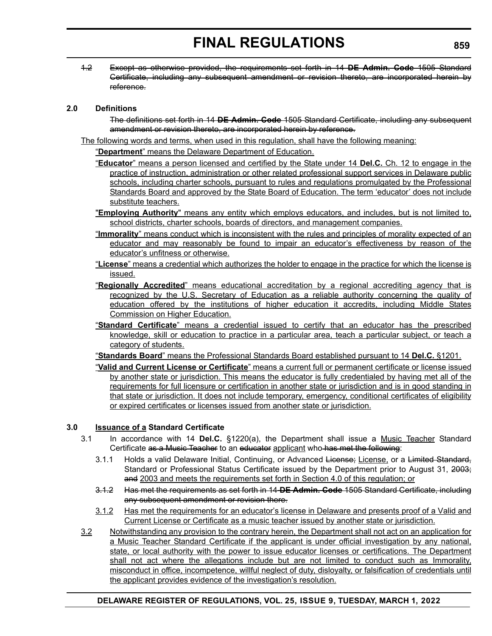1.2 Except as otherwise provided, the requirements set forth in 14 **DE Admin. Code** 1505 Standard Certificate, including any subsequent amendment or revision thereto, are incorporated herein by reference.

# **2.0 Definitions**

The definitions set forth in 14 **DE Admin. Code** 1505 Standard Certificate, including any subsequent amendment or revision thereto, are incorporated herein by reference.

The following words and terms, when used in this regulation, shall have the following meaning:

"**Department**" means the Delaware Department of Education.

- "**Educator**" means a person licensed and certified by the State under 14 **Del.C.** Ch. 12 to engage in the practice of instruction, administration or other related professional support services in Delaware public schools, including charter schools, pursuant to rules and regulations promulgated by the Professional Standards Board and approved by the State Board of Education. The term 'educator' does not include substitute teachers.
- "**Employing Authority**" means any entity which employs educators, and includes, but is not limited to, school districts, charter schools, boards of directors, and management companies.
- "**Immorality**" means conduct which is inconsistent with the rules and principles of morality expected of an educator and may reasonably be found to impair an educator's effectiveness by reason of the educator's unfitness or otherwise.
- "**License**" means a credential which authorizes the holder to engage in the practice for which the license is issued.
- "**Regionally Accredited**" means educational accreditation by a regional accrediting agency that is recognized by the U.S. Secretary of Education as a reliable authority concerning the quality of education offered by the institutions of higher education it accredits, including Middle States Commission on Higher Education.
- "**Standard Certificate**" means a credential issued to certify that an educator has the prescribed knowledge, skill or education to practice in a particular area, teach a particular subject, or teach a category of students.
- "**Standards Board**" means the Professional Standards Board established pursuant to 14 **Del.C.** §1201.
- "**Valid and Current License or Certificate**" means a current full or permanent certificate or license issued by another state or jurisdiction. This means the educator is fully credentialed by having met all of the requirements for full licensure or certification in another state or jurisdiction and is in good standing in that state or jurisdiction. It does not include temporary, emergency, conditional certificates of eligibility or expired certificates or licenses issued from another state or jurisdiction.

# **3.0 Issuance of a Standard Certificate**

- 3.1 In accordance with 14 **Del.C.** §1220(a), the Department shall issue a Music Teacher Standard Certificate as a Music Teacher to an educator applicant who has met the following:
	- 3.1.1 Holds a valid Delaware Initial, Continuing, or Advanced License; License, or a Limited Standard, Standard or Professional Status Certificate issued by the Department prior to August 31, 2003; and 2003 and meets the requirements set forth in Section 4.0 of this regulation; or
	- 3.1.2 Has met the requirements as set forth in 14 **DE Admin. Code** 1505 Standard Certificate, including any subsequent amendment or revision there.
	- 3.1.2 Has met the requirements for an educator's license in Delaware and presents proof of a Valid and Current License or Certificate as a music teacher issued by another state or jurisdiction.
- 3.2 Notwithstanding any provision to the contrary herein, the Department shall not act on an application for a Music Teacher Standard Certificate if the applicant is under official investigation by any national, state, or local authority with the power to issue educator licenses or certifications. The Department shall not act where the allegations include but are not limited to conduct such as Immorality, misconduct in office, incompetence, willful neglect of duty, disloyalty, or falsification of credentials until the applicant provides evidence of the investigation's resolution.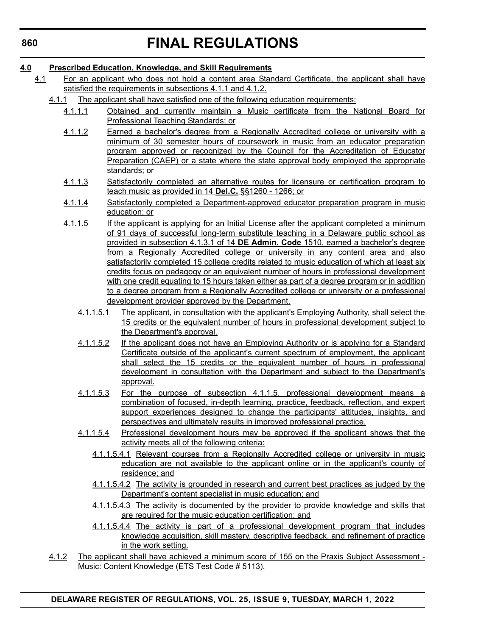# **4.0 Prescribed Education, Knowledge, and Skill Requirements**

- 4.1 For an applicant who does not hold a content area Standard Certificate, the applicant shall have satisfied the requirements in subsections 4.1.1 and 4.1.2.
	- 4.1.1 The applicant shall have satisfied one of the following education requirements:
		- 4.1.1.1 Obtained and currently maintain a Music certificate from the National Board for Professional Teaching Standards; or
		- 4.1.1.2 Earned a bachelor's degree from a Regionally Accredited college or university with a minimum of 30 semester hours of coursework in music from an educator preparation program approved or recognized by the Council for the Accreditation of Educator Preparation (CAEP) or a state where the state approval body employed the appropriate standards; or
		- 4.1.1.3 Satisfactorily completed an alternative routes for licensure or certification program to teach music as provided in 14 **Del.C.** §§1260 - 1266; or
		- 4.1.1.4 Satisfactorily completed a Department-approved educator preparation program in music education; or
		- 4.1.1.5 If the applicant is applying for an Initial License after the applicant completed a minimum of 91 days of successful long-term substitute teaching in a Delaware public school as provided in subsection 4.1.3.1 of 14 **DE Admin. Code** 1510, earned a bachelor's degree from a Regionally Accredited college or university in any content area and also satisfactorily completed 15 college credits related to music education of which at least six credits focus on pedagogy or an equivalent number of hours in professional development with one credit equating to 15 hours taken either as part of a degree program or in addition to a degree program from a Regionally Accredited college or university or a professional development provider approved by the Department.
			- 4.1.1.5.1 The applicant, in consultation with the applicant's Employing Authority, shall select the 15 credits or the equivalent number of hours in professional development subject to the Department's approval.
			- 4.1.1.5.2 If the applicant does not have an Employing Authority or is applying for a Standard Certificate outside of the applicant's current spectrum of employment, the applicant shall select the 15 credits or the equivalent number of hours in professional development in consultation with the Department and subject to the Department's approval.
			- 4.1.1.5.3 For the purpose of subsection 4.1.1.5, professional development means a combination of focused, in-depth learning, practice, feedback, reflection, and expert support experiences designed to change the participants' attitudes, insights, and perspectives and ultimately results in improved professional practice.
			- 4.1.1.5.4 Professional development hours may be approved if the applicant shows that the activity meets all of the following criteria:
				- 4.1.1.5.4.1 Relevant courses from a Regionally Accredited college or university in music education are not available to the applicant online or in the applicant's county of residence; and
				- 4.1.1.5.4.2 The activity is grounded in research and current best practices as judged by the Department's content specialist in music education; and
				- 4.1.1.5.4.3 The activity is documented by the provider to provide knowledge and skills that are required for the music education certification; and
				- 4.1.1.5.4.4 The activity is part of a professional development program that includes knowledge acquisition, skill mastery, descriptive feedback, and refinement of practice in the work setting.
	- 4.1.2 The applicant shall have achieved a minimum score of 155 on the Praxis Subject Assessment Music: Content Knowledge (ETS Test Code # 5113).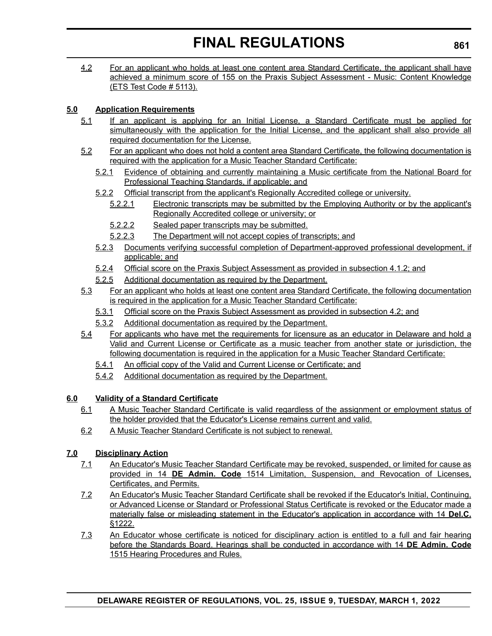4.2 For an applicant who holds at least one content area Standard Certificate, the applicant shall have achieved a minimum score of 155 on the Praxis Subject Assessment - Music: Content Knowledge (ETS Test Code # 5113).

# **5.0 Application Requirements**

- 5.1 If an applicant is applying for an Initial License, a Standard Certificate must be applied for simultaneously with the application for the Initial License, and the applicant shall also provide all required documentation for the License.
- 5.2 For an applicant who does not hold a content area Standard Certificate, the following documentation is required with the application for a Music Teacher Standard Certificate:
	- 5.2.1 Evidence of obtaining and currently maintaining a Music certificate from the National Board for Professional Teaching Standards, if applicable; and
	- 5.2.2 Official transcript from the applicant's Regionally Accredited college or university.
		- 5.2.2.1 Electronic transcripts may be submitted by the Employing Authority or by the applicant's Regionally Accredited college or university; or
		- 5.2.2.2 Sealed paper transcripts may be submitted.
		- 5.2.2.3 The Department will not accept copies of transcripts; and
	- 5.2.3 Documents verifying successful completion of Department-approved professional development, if applicable; and
	- 5.2.4 Official score on the Praxis Subject Assessment as provided in subsection 4.1.2; and
	- 5.2.5 Additional documentation as required by the Department.
- 5.3 For an applicant who holds at least one content area Standard Certificate, the following documentation is required in the application for a Music Teacher Standard Certificate:
	- 5.3.1 Official score on the Praxis Subject Assessment as provided in subsection 4.2; and
	- 5.3.2 Additional documentation as required by the Department.
- 5.4 For applicants who have met the requirements for licensure as an educator in Delaware and hold a Valid and Current License or Certificate as a music teacher from another state or jurisdiction, the following documentation is required in the application for a Music Teacher Standard Certificate:
	- 5.4.1 An official copy of the Valid and Current License or Certificate; and
	- 5.4.2 Additional documentation as required by the Department.

# **6.0 Validity of a Standard Certificate**

- 6.1 A Music Teacher Standard Certificate is valid regardless of the assignment or employment status of the holder provided that the Educator's License remains current and valid.
- 6.2 A Music Teacher Standard Certificate is not subject to renewal.

# **7.0 Disciplinary Action**

- 7.1 An Educator's Music Teacher Standard Certificate may be revoked, suspended, or limited for cause as provided in 14 **DE Admin. Code** 1514 Limitation, Suspension, and Revocation of Licenses, Certificates, and Permits.
- 7.2 An Educator's Music Teacher Standard Certificate shall be revoked if the Educator's Initial, Continuing, or Advanced License or Standard or Professional Status Certificate is revoked or the Educator made a materially false or misleading statement in the Educator's application in accordance with 14 **Del.C.** §1222.
- 7.3 An Educator whose certificate is noticed for disciplinary action is entitled to a full and fair hearing before the Standards Board. Hearings shall be conducted in accordance with 14 **DE Admin. Code** 1515 Hearing Procedures and Rules.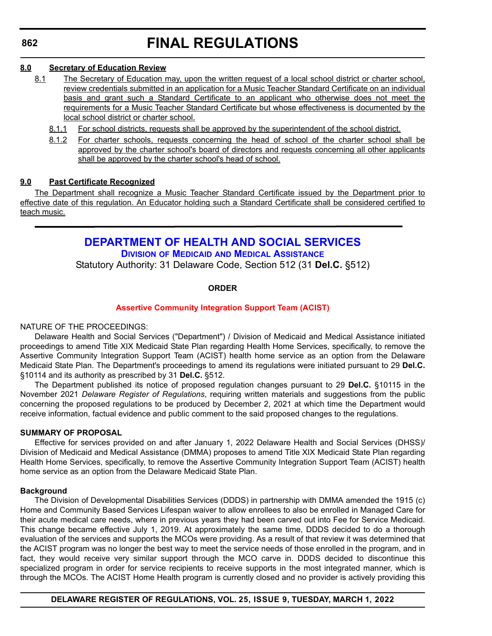## **8.0 Secretary of Education Review**

- 8.1 The Secretary of Education may, upon the written request of a local school district or charter school, review credentials submitted in an application for a Music Teacher Standard Certificate on an individual basis and grant such a Standard Certificate to an applicant who otherwise does not meet the requirements for a Music Teacher Standard Certificate but whose effectiveness is documented by the local school district or charter school.
	- 8.1.1 For school districts, requests shall be approved by the superintendent of the school district.
	- 8.1.2 For charter schools, requests concerning the head of school of the charter school shall be approved by the charter school's board of directors and requests concerning all other applicants shall be approved by the charter school's head of school.

# **9.0 Past Certificate Recognized**

The Department shall recognize a Music Teacher Standard Certificate issued by the Department prior to effective date of this regulation. An Educator holding such a Standard Certificate shall be considered certified to teach music.

# **[DEPARTMENT OF HEALTH AND SOCIAL SERVICES](https://www.dhss.delaware.gov/dhss/dmma/)**

**DIVISION OF MEDICAID AND MEDICAL ASSISTANCE**

Statutory Authority: 31 Delaware Code, Section 512 (31 **Del.C.** §512)

### **ORDER**

### **[Assertive Community Integration Support Team \(ACIST\)](#page-4-0)**

### NATURE OF THE PROCEEDINGS:

Delaware Health and Social Services ("Department") / Division of Medicaid and Medical Assistance initiated proceedings to amend Title XIX Medicaid State Plan regarding Health Home Services, specifically, to remove the Assertive Community Integration Support Team (ACIST) health home service as an option from the Delaware Medicaid State Plan. The Department's proceedings to amend its regulations were initiated pursuant to 29 **Del.C.** §10114 and its authority as prescribed by 31 **Del.C.** §512.

The Department published its notice of proposed regulation changes pursuant to 29 **Del.C.** §10115 in the November 2021 *Delaware Register of Regulations*, requiring written materials and suggestions from the public concerning the proposed regulations to be produced by December 2, 2021 at which time the Department would receive information, factual evidence and public comment to the said proposed changes to the regulations.

### **SUMMARY OF PROPOSAL**

Effective for services provided on and after January 1, 2022 Delaware Health and Social Services (DHSS)/ Division of Medicaid and Medical Assistance (DMMA) proposes to amend Title XIX Medicaid State Plan regarding Health Home Services, specifically, to remove the Assertive Community Integration Support Team (ACIST) health home service as an option from the Delaware Medicaid State Plan.

### **Background**

The Division of Developmental Disabilities Services (DDDS) in partnership with DMMA amended the 1915 (c) Home and Community Based Services Lifespan waiver to allow enrollees to also be enrolled in Managed Care for their acute medical care needs, where in previous years they had been carved out into Fee for Service Medicaid. This change became effective July 1, 2019. At approximately the same time, DDDS decided to do a thorough evaluation of the services and supports the MCOs were providing. As a result of that review it was determined that the ACIST program was no longer the best way to meet the service needs of those enrolled in the program, and in fact, they would receive very similar support through the MCO carve in. DDDS decided to discontinue this specialized program in order for service recipients to receive supports in the most integrated manner, which is through the MCOs. The ACIST Home Health program is currently closed and no provider is actively providing this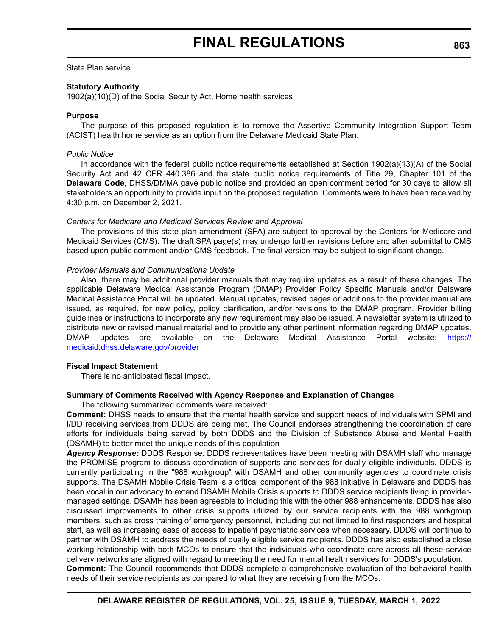State Plan service.

### **Statutory Authority**

1902(a)(10)(D) of the Social Security Act, Home health services

### **Purpose**

The purpose of this proposed regulation is to remove the Assertive Community Integration Support Team (ACIST) health home service as an option from the Delaware Medicaid State Plan.

### *Public Notice*

In accordance with the federal public notice requirements established at Section 1902(a)(13)(A) of the Social Security Act and 42 CFR 440.386 and the state public notice requirements of Title 29, Chapter 101 of the **Delaware Code**, DHSS/DMMA gave public notice and provided an open comment period for 30 days to allow all stakeholders an opportunity to provide input on the proposed regulation. Comments were to have been received by 4:30 p.m. on December 2, 2021.

### *Centers for Medicare and Medicaid Services Review and Approval*

The provisions of this state plan amendment (SPA) are subject to approval by the Centers for Medicare and Medicaid Services (CMS). The draft SPA page(s) may undergo further revisions before and after submittal to CMS based upon public comment and/or CMS feedback. The final version may be subject to significant change.

### *Provider Manuals and Communications Update*

Also, there may be additional provider manuals that may require updates as a result of these changes. The applicable Delaware Medical Assistance Program (DMAP) Provider Policy Specific Manuals and/or Delaware Medical Assistance Portal will be updated. Manual updates, revised pages or additions to the provider manual are issued, as required, for new policy, policy clarification, and/or revisions to the DMAP program. Provider billing guidelines or instructions to incorporate any new requirement may also be issued. A newsletter system is utilized to distribute new or revised manual material and to provide any other pertinent information regarding DMAP updates. DMAP updates are available on the Delaware Medical Assistance Portal website: [https://](https://medicaid.dhss.delaware.gov/provider) [medicaid.dhss.delaware.gov/provider](https://medicaid.dhss.delaware.gov/provider)

## **Fiscal Impact Statement**

There is no anticipated fiscal impact.

## **Summary of Comments Received with Agency Response and Explanation of Changes**

The following summarized comments were received:

**Comment:** DHSS needs to ensure that the mental health service and support needs of individuals with SPMI and I/DD receiving services from DDDS are being met. The Council endorses strengthening the coordination of care efforts for individuals being served by both DDDS and the Division of Substance Abuse and Mental Health (DSAMH) to better meet the unique needs of this population

*Agency Response:* DDDS Response: DDDS representatives have been meeting with DSAMH staff who manage the PROMISE program to discuss coordination of supports and services for dually eligible individuals. DDDS is currently participating in the "988 workgroup" with DSAMH and other community agencies to coordinate crisis supports. The DSAMH Mobile Crisis Team is a critical component of the 988 initiative in Delaware and DDDS has been vocal in our advocacy to extend DSAMH Mobile Crisis supports to DDDS service recipients living in providermanaged settings. DSAMH has been agreeable to including this with the other 988 enhancements. DDDS has also discussed improvements to other crisis supports utilized by our service recipients with the 988 workgroup members, such as cross training of emergency personnel, including but not limited to first responders and hospital staff, as well as increasing ease of access to inpatient psychiatric services when necessary. DDDS will continue to partner with DSAMH to address the needs of dually eligible service recipients. DDDS has also established a close working relationship with both MCOs to ensure that the individuals who coordinate care across all these service delivery networks are aligned with regard to meeting the need for mental health services for DDDS's population. **Comment:** The Council recommends that DDDS complete a comprehensive evaluation of the behavioral health

needs of their service recipients as compared to what they are receiving from the MCOs.

## **DELAWARE REGISTER OF REGULATIONS, VOL. 25, ISSUE 9, TUESDAY, MARCH 1, 2022**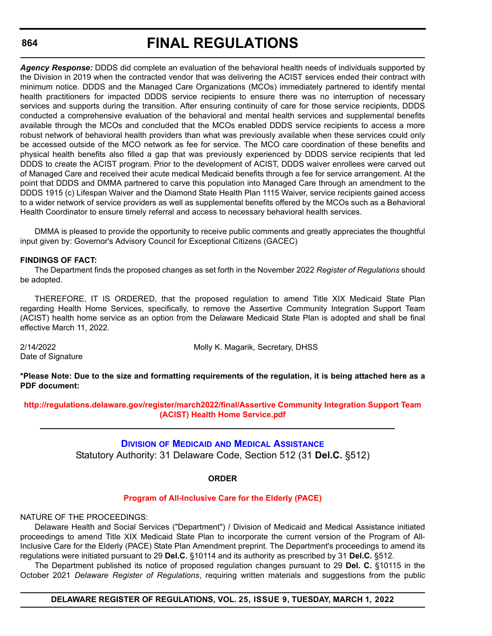*Agency Response:* DDDS did complete an evaluation of the behavioral health needs of individuals supported by the Division in 2019 when the contracted vendor that was delivering the ACIST services ended their contract with minimum notice. DDDS and the Managed Care Organizations (MCOs) immediately partnered to identify mental health practitioners for impacted DDDS service recipients to ensure there was no interruption of necessary services and supports during the transition. After ensuring continuity of care for those service recipients, DDDS conducted a comprehensive evaluation of the behavioral and mental health services and supplemental benefits available through the MCOs and concluded that the MCOs enabled DDDS service recipients to access a more robust network of behavioral health providers than what was previously available when these services could only be accessed outside of the MCO network as fee for service. The MCO care coordination of these benefits and physical health benefits also filled a gap that was previously experienced by DDDS service recipients that led DDDS to create the ACIST program. Prior to the development of ACIST, DDDS waiver enrollees were carved out of Managed Care and received their acute medical Medicaid benefits through a fee for service arrangement. At the point that DDDS and DMMA partnered to carve this population into Managed Care through an amendment to the DDDS 1915 (c) Lifespan Waiver and the Diamond State Health Plan 1115 Waiver, service recipients gained access to a wider network of service providers as well as supplemental benefits offered by the MCOs such as a Behavioral Health Coordinator to ensure timely referral and access to necessary behavioral health services.

DMMA is pleased to provide the opportunity to receive public comments and greatly appreciates the thoughtful input given by: Governor's Advisory Council for Exceptional Citizens (GACEC)

# **FINDINGS OF FACT:**

The Department finds the proposed changes as set forth in the November 2022 *Register of Regulations* should be adopted.

THEREFORE, IT IS ORDERED, that the proposed regulation to amend Title XIX Medicaid State Plan regarding Health Home Services, specifically, to remove the Assertive Community Integration Support Team (ACIST) health home service as an option from the Delaware Medicaid State Plan is adopted and shall be final effective March 11, 2022.

Date of Signature

2/14/2022 Molly K. Magarik, Secretary, DHSS

**\*Please Note: Due to the size and formatting requirements of the regulation, it is being attached here as a PDF document:**

**[http://regulations.delaware.gov/register/march2022/final/Assertive Community Integration Support Team](http://regulations.delaware.gov/register/march2022/final/Assertive Community Integration Support Team (ACIST) Health Home Service.pdf)  (ACIST) Health Home Service.pdf**

> **DIVISION OF MEDICAID [AND MEDICAL ASSISTANCE](https://www.dhss.delaware.gov/dhss/dmma/)** Statutory Authority: 31 Delaware Code, Section 512 (31 **Del.C.** §512)

## **ORDER**

### **[Program of All-Inclusive Care for the Elderly \(PACE\)](#page-4-0)**

NATURE OF THE PROCEEDINGS:

Delaware Health and Social Services ("Department") / Division of Medicaid and Medical Assistance initiated proceedings to amend Title XIX Medicaid State Plan to incorporate the current version of the Program of All-Inclusive Care for the Elderly (PACE) State Plan Amendment preprint. The Department's proceedings to amend its regulations were initiated pursuant to 29 **Del.C.** §10114 and its authority as prescribed by 31 **Del.C.** §512.

The Department published its notice of proposed regulation changes pursuant to 29 **Del. C.** §10115 in the October 2021 *Delaware Register of Regulations*, requiring written materials and suggestions from the public

## **DELAWARE REGISTER OF REGULATIONS, VOL. 25, ISSUE 9, TUESDAY, MARCH 1, 2022**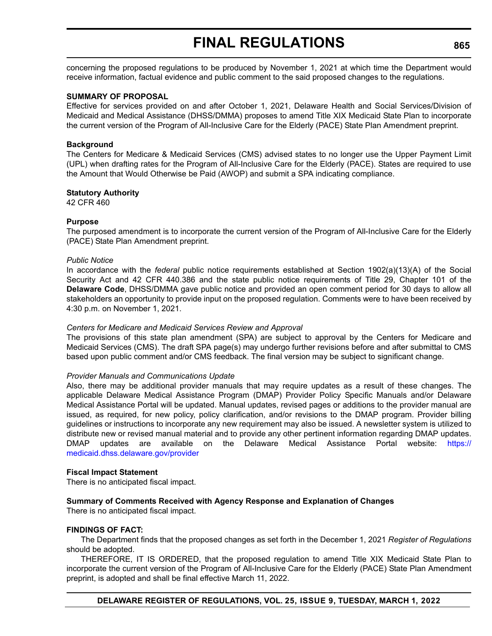concerning the proposed regulations to be produced by November 1, 2021 at which time the Department would receive information, factual evidence and public comment to the said proposed changes to the regulations.

#### **SUMMARY OF PROPOSAL**

Effective for services provided on and after October 1, 2021, Delaware Health and Social Services/Division of Medicaid and Medical Assistance (DHSS/DMMA) proposes to amend Title XIX Medicaid State Plan to incorporate the current version of the Program of All-Inclusive Care for the Elderly (PACE) State Plan Amendment preprint.

#### **Background**

The Centers for Medicare & Medicaid Services (CMS) advised states to no longer use the Upper Payment Limit (UPL) when drafting rates for the Program of All-Inclusive Care for the Elderly (PACE). States are required to use the Amount that Would Otherwise be Paid (AWOP) and submit a SPA indicating compliance.

#### **Statutory Authority**

42 CFR 460

#### **Purpose**

The purposed amendment is to incorporate the current version of the Program of All-Inclusive Care for the Elderly (PACE) State Plan Amendment preprint.

#### *Public Notice*

In accordance with the *federal* public notice requirements established at Section 1902(a)(13)(A) of the Social Security Act and 42 CFR 440.386 and the state public notice requirements of Title 29, Chapter 101 of the **Delaware Code**, DHSS/DMMA gave public notice and provided an open comment period for 30 days to allow all stakeholders an opportunity to provide input on the proposed regulation. Comments were to have been received by 4:30 p.m. on November 1, 2021.

### *Centers for Medicare and Medicaid Services Review and Approval*

The provisions of this state plan amendment (SPA) are subject to approval by the Centers for Medicare and Medicaid Services (CMS). The draft SPA page(s) may undergo further revisions before and after submittal to CMS based upon public comment and/or CMS feedback. The final version may be subject to significant change.

#### *Provider Manuals and Communications Update*

Also, there may be additional provider manuals that may require updates as a result of these changes. The applicable Delaware Medical Assistance Program (DMAP) Provider Policy Specific Manuals and/or Delaware Medical Assistance Portal will be updated. Manual updates, revised pages or additions to the provider manual are issued, as required, for new policy, policy clarification, and/or revisions to the DMAP program. Provider billing guidelines or instructions to incorporate any new requirement may also be issued. A newsletter system is utilized to distribute new or revised manual material and to provide any other pertinent information regarding DMAP updates. DMAP updates are available on the Delaware Medical Assistance Portal website: [https://](https://medicaid.dhss.delaware.gov/provider) [medicaid.dhss.delaware.gov/provider](https://medicaid.dhss.delaware.gov/provider)

#### **Fiscal Impact Statement**

There is no anticipated fiscal impact.

### **Summary of Comments Received with Agency Response and Explanation of Changes**

There is no anticipated fiscal impact.

#### **FINDINGS OF FACT:**

The Department finds that the proposed changes as set forth in the December 1, 2021 *Register of Regulations* should be adopted.

THEREFORE, IT IS ORDERED, that the proposed regulation to amend Title XIX Medicaid State Plan to incorporate the current version of the Program of All-Inclusive Care for the Elderly (PACE) State Plan Amendment preprint, is adopted and shall be final effective March 11, 2022.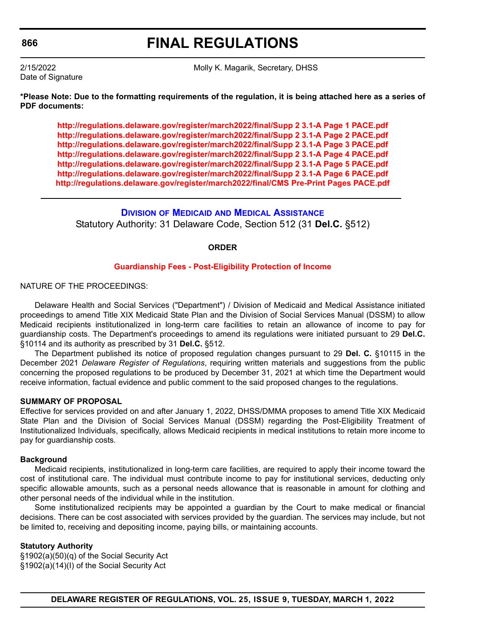**FINAL REGULATIONS**

Date of Signature

2/15/2022 Molly K. Magarik, Secretary, DHSS

**\*Please Note: Due to the formatting requirements of the regulation, it is being attached here as a series of PDF documents:**

**<http://regulations.delaware.gov/register/march2022/final/Supp 2 3.1-A Page 1 PACE.pdf> <http://regulations.delaware.gov/register/march2022/final/Supp 2 3.1-A Page 2 PACE.pdf> <http://regulations.delaware.gov/register/march2022/final/Supp 2 3.1-A Page 3 PACE.pdf> <http://regulations.delaware.gov/register/march2022/final/Supp 2 3.1-A Page 4 PACE.pdf> <http://regulations.delaware.gov/register/march2022/final/Supp 2 3.1-A Page 5 PACE.pdf> <http://regulations.delaware.gov/register/march2022/final/Supp 2 3.1-A Page 6 PACE.pdf> <http://regulations.delaware.gov/register/march2022/final/CMS Pre-Print Pages PACE.pdf>**

**DIVISION OF MEDICAID [AND MEDICAL ASSISTANCE](https://www.dhss.delaware.gov/dhss/dmma/)** Statutory Authority: 31 Delaware Code, Section 512 (31 **Del.C.** §512)

#### **ORDER**

#### **[Guardianship Fees - Post-Eligibility Protection of Income](#page-4-0)**

NATURE OF THE PROCEEDINGS:

Delaware Health and Social Services ("Department") / Division of Medicaid and Medical Assistance initiated proceedings to amend Title XIX Medicaid State Plan and the Division of Social Services Manual (DSSM) to allow Medicaid recipients institutionalized in long-term care facilities to retain an allowance of income to pay for guardianship costs. The Department's proceedings to amend its regulations were initiated pursuant to 29 **Del.C.** §10114 and its authority as prescribed by 31 **Del.C.** §512.

The Department published its notice of proposed regulation changes pursuant to 29 **Del. C.** §10115 in the December 2021 *Delaware Register of Regulations*, requiring written materials and suggestions from the public concerning the proposed regulations to be produced by December 31, 2021 at which time the Department would receive information, factual evidence and public comment to the said proposed changes to the regulations.

#### **SUMMARY OF PROPOSAL**

Effective for services provided on and after January 1, 2022, DHSS/DMMA proposes to amend Title XIX Medicaid State Plan and the Division of Social Services Manual (DSSM) regarding the Post-Eligibility Treatment of Institutionalized Individuals, specifically, allows Medicaid recipients in medical institutions to retain more income to pay for guardianship costs.

#### **Background**

Medicaid recipients, institutionalized in long-term care facilities, are required to apply their income toward the cost of institutional care. The individual must contribute income to pay for institutional services, deducting only specific allowable amounts, such as a personal needs allowance that is reasonable in amount for clothing and other personal needs of the individual while in the institution.

Some institutionalized recipients may be appointed a guardian by the Court to make medical or financial decisions. There can be cost associated with services provided by the guardian. The services may include, but not be limited to, receiving and depositing income, paying bills, or maintaining accounts.

#### **Statutory Authority**

§1902(a)(50)(q) of the Social Security Act §1902(a)(14)(I) of the Social Security Act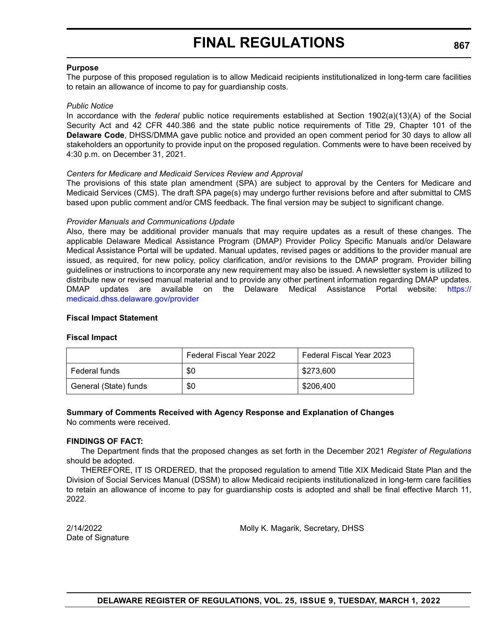#### **Purpose**

The purpose of this proposed regulation is to allow Medicaid recipients institutionalized in long-term care facilities to retain an allowance of income to pay for guardianship costs.

#### *Public Notice*

In accordance with the *federal* public notice requirements established at Section 1902(a)(13)(A) of the Social Security Act and 42 CFR 440.386 and the state public notice requirements of Title 29, Chapter 101 of the **Delaware Code**, DHSS/DMMA gave public notice and provided an open comment period for 30 days to allow all stakeholders an opportunity to provide input on the proposed regulation. Comments were to have been received by 4:30 p.m. on December 31, 2021.

#### *Centers for Medicare and Medicaid Services Review and Approval*

The provisions of this state plan amendment (SPA) are subject to approval by the Centers for Medicare and Medicaid Services (CMS). The draft SPA page(s) may undergo further revisions before and after submittal to CMS based upon public comment and/or CMS feedback. The final version may be subject to significant change.

#### *Provider Manuals and Communications Update*

Also, there may be additional provider manuals that may require updates as a result of these changes. The applicable Delaware Medical Assistance Program (DMAP) Provider Policy Specific Manuals and/or Delaware Medical Assistance Portal will be updated. Manual updates, revised pages or additions to the provider manual are issued, as required, for new policy, policy clarification, and/or revisions to the DMAP program. Provider billing guidelines or instructions to incorporate any new requirement may also be issued. A newsletter system is utilized to distribute new or revised manual material and to provide any other pertinent information regarding DMAP updates. DMAP updates are available on the Delaware Medical Assistance Portal website: [https://](https://medicaid.dhss.delaware.gov/provider) [medicaid.dhss.delaware.gov/provider](https://medicaid.dhss.delaware.gov/provider)

#### **Fiscal Impact Statement**

#### **Fiscal Impact**

|                       | <b>Federal Fiscal Year 2022</b> | Federal Fiscal Year 2023 |
|-----------------------|---------------------------------|--------------------------|
| Federal funds         | \$0                             | \$273,600                |
| General (State) funds | \$0                             | \$206,400                |

## **Summary of Comments Received with Agency Response and Explanation of Changes**

No comments were received.

### **FINDINGS OF FACT:**

The Department finds that the proposed changes as set forth in the December 2021 *Register of Regulations* should be adopted.

THEREFORE, IT IS ORDERED, that the proposed regulation to amend Title XIX Medicaid State Plan and the Division of Social Services Manual (DSSM) to allow Medicaid recipients institutionalized in long-term care facilities to retain an allowance of income to pay for guardianship costs is adopted and shall be final effective March 11, 2022.

Date of Signature

2/14/2022 Molly K. Magarik, Secretary, DHSS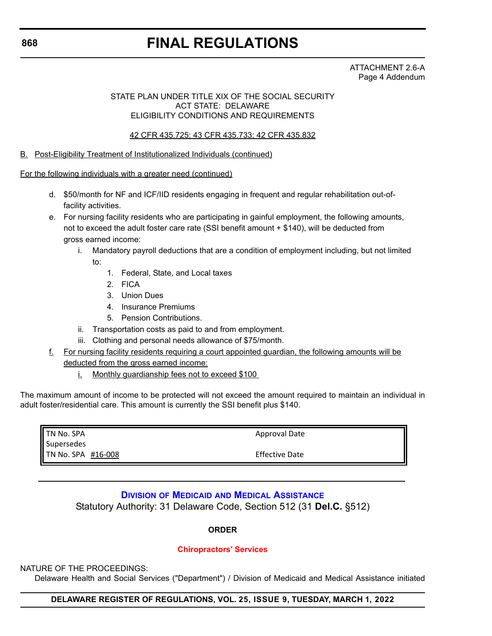# **FINAL REGULATIONS**

ATTACHMENT 2.6-A Page 4 Addendum

### STATE PLAN UNDER TITLE XIX OF THE SOCIAL SECURITY ACT STATE: DELAWARE ELIGIBILITY CONDITIONS AND REQUIREMENTS

42 CFR 435.725; 43 CFR 435.733; 42 CFR 435.832

B. Post-Eligibility Treatment of Institutionalized Individuals (continued)

For the following individuals with a greater need (continued)

- d. \$50/month for NF and ICF/IID residents engaging in frequent and regular rehabilitation out-offacility activities.
- e. For nursing facility residents who are participating in gainful employment, the following amounts, not to exceed the adult foster care rate (SSI benefit amount + \$140), will be deducted from gross earned income:
	- i. Mandatory payroll deductions that are a condition of employment including, but not limited to:
		- 1. Federal, State, and Local taxes
		- 2. FICA
		- 3. Union Dues
		- 4. Insurance Premiums
		- 5. Pension Contributions.
	- ii. Transportation costs as paid to and from employment.
	- iii. Clothing and personal needs allowance of \$75/month.
- f. For nursing facility residents requiring a court appointed guardian, the following amounts will be deducted from the gross earned income:
	- i. Monthly guardianship fees not to exceed \$100

The maximum amount of income to be protected will not exceed the amount required to maintain an individual in adult foster/residential care. This amount is currently the SSI benefit plus \$140.

| <b>TN No. SPA</b>  | Approval Date         |
|--------------------|-----------------------|
| Supersedes         |                       |
| TN No. SPA #16-008 | <b>Effective Date</b> |

## **DIVISION OF MEDICAID [AND MEDICAL ASSISTANCE](https://www.dhss.delaware.gov/dhss/dmma/)** Statutory Authority: 31 Delaware Code, Section 512 (31 **Del.C.** §512)

**ORDER**

### **[Chiropractors' Services](#page-4-0)**

### NATURE OF THE PROCEEDINGS:

Delaware Health and Social Services ("Department") / Division of Medicaid and Medical Assistance initiated

## **DELAWARE REGISTER OF REGULATIONS, VOL. 25, ISSUE 9, TUESDAY, MARCH 1, 2022**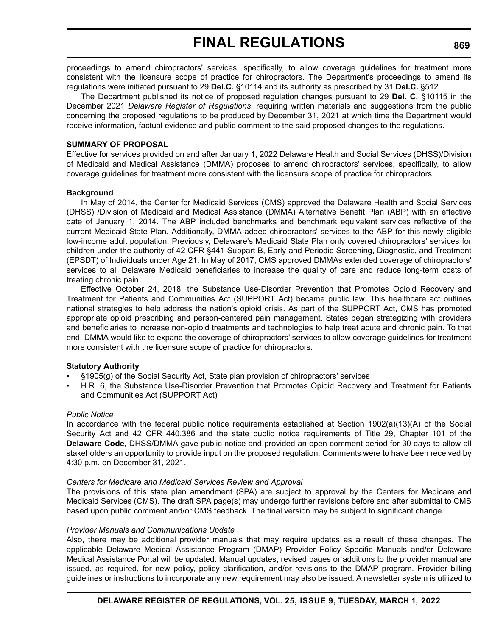proceedings to amend chiropractors' services, specifically, to allow coverage guidelines for treatment more consistent with the licensure scope of practice for chiropractors. The Department's proceedings to amend its regulations were initiated pursuant to 29 **Del.C.** §10114 and its authority as prescribed by 31 **Del.C.** §512.

The Department published its notice of proposed regulation changes pursuant to 29 **Del. C.** §10115 in the December 2021 *Delaware Register of Regulations*, requiring written materials and suggestions from the public concerning the proposed regulations to be produced by December 31, 2021 at which time the Department would receive information, factual evidence and public comment to the said proposed changes to the regulations.

#### **SUMMARY OF PROPOSAL**

Effective for services provided on and after January 1, 2022 Delaware Health and Social Services (DHSS)/Division of Medicaid and Medical Assistance (DMMA) proposes to amend chiropractors' services, specifically, to allow coverage guidelines for treatment more consistent with the licensure scope of practice for chiropractors.

#### **Background**

In May of 2014, the Center for Medicaid Services (CMS) approved the Delaware Health and Social Services (DHSS) /Division of Medicaid and Medical Assistance (DMMA) Alternative Benefit Plan (ABP) with an effective date of January 1, 2014. The ABP included benchmarks and benchmark equivalent services reflective of the current Medicaid State Plan. Additionally, DMMA added chiropractors' services to the ABP for this newly eligible low-income adult population. Previously, Delaware's Medicaid State Plan only covered chiropractors' services for children under the authority of 42 CFR §441 Subpart B, Early and Periodic Screening, Diagnostic, and Treatment (EPSDT) of Individuals under Age 21. In May of 2017, CMS approved DMMAs extended coverage of chiropractors' services to all Delaware Medicaid beneficiaries to increase the quality of care and reduce long-term costs of treating chronic pain.

Effective October 24, 2018, the Substance Use-Disorder Prevention that Promotes Opioid Recovery and Treatment for Patients and Communities Act (SUPPORT Act) became public law. This healthcare act outlines national strategies to help address the nation's opioid crisis. As part of the SUPPORT Act, CMS has promoted appropriate opioid prescribing and person-centered pain management. States began strategizing with providers and beneficiaries to increase non-opioid treatments and technologies to help treat acute and chronic pain. To that end, DMMA would like to expand the coverage of chiropractors' services to allow coverage guidelines for treatment more consistent with the licensure scope of practice for chiropractors.

### **Statutory Authority**

- $\S1905(g)$  of the Social Security Act, State plan provision of chiropractors' services
- H.R. 6, the Substance Use-Disorder Prevention that Promotes Opioid Recovery and Treatment for Patients and Communities Act (SUPPORT Act)

#### *Public Notice*

In accordance with the federal public notice requirements established at Section 1902(a)(13)(A) of the Social Security Act and 42 CFR 440.386 and the state public notice requirements of Title 29, Chapter 101 of the **Delaware Code**, DHSS/DMMA gave public notice and provided an open comment period for 30 days to allow all stakeholders an opportunity to provide input on the proposed regulation. Comments were to have been received by 4:30 p.m. on December 31, 2021.

#### *Centers for Medicare and Medicaid Services Review and Approval*

The provisions of this state plan amendment (SPA) are subject to approval by the Centers for Medicare and Medicaid Services (CMS). The draft SPA page(s) may undergo further revisions before and after submittal to CMS based upon public comment and/or CMS feedback. The final version may be subject to significant change.

#### *Provider Manuals and Communications Update*

Also, there may be additional provider manuals that may require updates as a result of these changes. The applicable Delaware Medical Assistance Program (DMAP) Provider Policy Specific Manuals and/or Delaware Medical Assistance Portal will be updated. Manual updates, revised pages or additions to the provider manual are issued, as required, for new policy, policy clarification, and/or revisions to the DMAP program. Provider billing guidelines or instructions to incorporate any new requirement may also be issued. A newsletter system is utilized to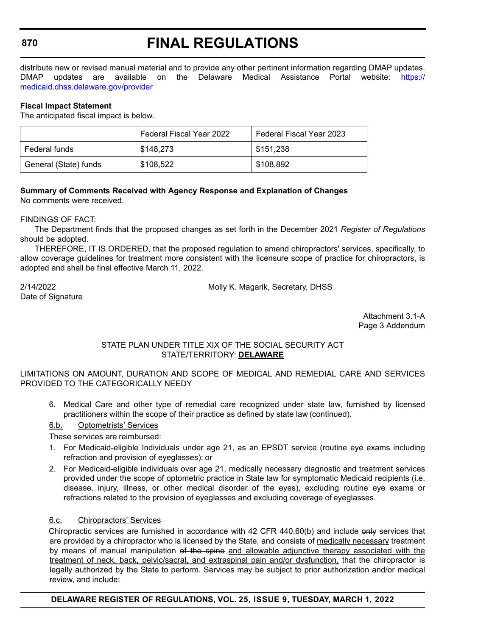# **FINAL REGULATIONS**

distribute new or revised manual material and to provide any other pertinent information regarding DMAP updates. DMAP updates are available on the Delaware Medical Assistance Portal website: [https://](https://medicaid.dhss.delaware.gov/provider) [medicaid.dhss.delaware.gov/provider](https://medicaid.dhss.delaware.gov/provider)

#### **Fiscal Impact Statement**

The anticipated fiscal impact is below.

|                       | Federal Fiscal Year 2022 | Federal Fiscal Year 2023 |
|-----------------------|--------------------------|--------------------------|
| Federal funds         | \$148,273                | \$151.238                |
| General (State) funds | \$108,522                | \$108,892                |

## **Summary of Comments Received with Agency Response and Explanation of Changes**

No comments were received.

FINDINGS OF FACT:

The Department finds that the proposed changes as set forth in the December 2021 *Register of Regulations* should be adopted.

THEREFORE, IT IS ORDERED, that the proposed regulation to amend chiropractors' services, specifically, to allow coverage guidelines for treatment more consistent with the licensure scope of practice for chiropractors, is adopted and shall be final effective March 11, 2022.

Date of Signature

2/14/2022 Molly K. Magarik, Secretary, DHSS

Attachment 3.1-A Page 3 Addendum

#### STATE PLAN UNDER TITLE XIX OF THE SOCIAL SECURITY ACT STATE/TERRITORY: **DELAWARE**

LIMITATIONS ON AMOUNT, DURATION AND SCOPE OF MEDICAL AND REMEDIAL CARE AND SERVICES PROVIDED TO THE CATEGORICALLY NEEDY

6. Medical Care and other type of remedial care recognized under state law, furnished by licensed practitioners within the scope of their practice as defined by state law (continued).

### 6.b. Optometrists' Services

These services are reimbursed:

- 1. For Medicaid-eligible Individuals under age 21, as an EPSDT service (routine eye exams including refraction and provision of eyeglasses); or
- 2. For Medicaid-eligible individuals over age 21, medically necessary diagnostic and treatment services provided under the scope of optometric practice in State law for symptomatic Medicaid recipients (i.e. disease, injury, illness, or other medical disorder of the eyes), excluding routine eye exams or refractions related to the provision of eyeglasses and excluding coverage of eyeglasses.

### 6.c. Chiropractors' Services

Chiropractic services are furnished in accordance with 42 CFR 440.60(b) and include only services that are provided by a chiropractor who is licensed by the State, and consists of medically necessary treatment by means of manual manipulation of the spine and allowable adjunctive therapy associated with the treatment of neck, back, pelvic/sacral, and extraspinal pain and/or dysfunction, that the chiropractor is legally authorized by the State to perform. Services may be subject to prior authorization and/or medical review, and include:

### **DELAWARE REGISTER OF REGULATIONS, VOL. 25, ISSUE 9, TUESDAY, MARCH 1, 2022**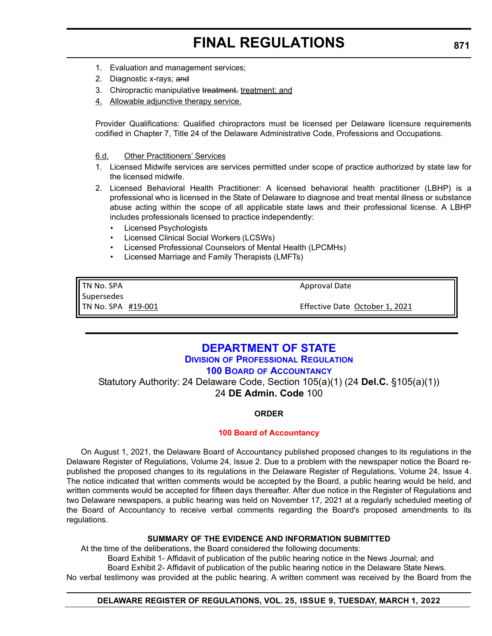# **FINAL REGULATIONS**

- 1. Evaluation and management services;
- 2. Diagnostic x-rays; and
- 3. Chiropractic manipulative treatment. treatment; and
- 4. Allowable adjunctive therapy service.

Provider Qualifications: Qualified chiropractors must be licensed per Delaware licensure requirements codified in Chapter 7, Title 24 of the Delaware Administrative Code, Professions and Occupations.

#### 6.d. Other Practitioners' Services

- 1. Licensed Midwife services are services permitted under scope of practice authorized by state law for the licensed midwife.
- 2. Licensed Behavioral Health Practitioner: A licensed behavioral health practitioner (LBHP) is a professional who is licensed in the State of Delaware to diagnose and treat mental illness or substance abuse acting within the scope of all applicable state laws and their professional license. A LBHP includes professionals licensed to practice independently:
	- Licensed Psychologists
	- Licensed Clinical Social Workers (LCSWs)
	- Licensed Professional Counselors of Mental Health (LPCMHs)
	- Licensed Marriage and Family Therapists (LMFTs)

TN No. SPA **Supersedes** TN No. SPA #19‐001 Approval Date

Effective Date October 1, 2021

# **[DEPARTMENT OF STATE](https://dpr.delaware.gov/boards/accountancy/)**

## **DIVISION OF PROFESSIONAL REGULATION**

## **100 BOARD OF ACCOUNTANCY**

Statutory Authority: 24 Delaware Code, Section 105(a)(1) (24 **Del.C.** §105(a)(1)) 24 **DE Admin. Code** 100

### **ORDER**

### **[100 Board of Accountancy](#page-4-0)**

On August 1, 2021, the Delaware Board of Accountancy published proposed changes to its regulations in the Delaware Register of Regulations, Volume 24, Issue 2. Due to a problem with the newspaper notice the Board republished the proposed changes to its regulations in the Delaware Register of Regulations, Volume 24, Issue 4. The notice indicated that written comments would be accepted by the Board, a public hearing would be held, and written comments would be accepted for fifteen days thereafter. After due notice in the Register of Regulations and two Delaware newspapers, a public hearing was held on November 17, 2021 at a regularly scheduled meeting of the Board of Accountancy to receive verbal comments regarding the Board's proposed amendments to its regulations.

### **SUMMARY OF THE EVIDENCE AND INFORMATION SUBMITTED**

At the time of the deliberations, the Board considered the following documents: Board Exhibit 1- Affidavit of publication of the public hearing notice in the News Journal; and Board Exhibit 2- Affidavit of publication of the public hearing notice in the Delaware State News. No verbal testimony was provided at the public hearing. A written comment was received by the Board from the

### **DELAWARE REGISTER OF REGULATIONS, VOL. 25, ISSUE 9, TUESDAY, MARCH 1, 2022**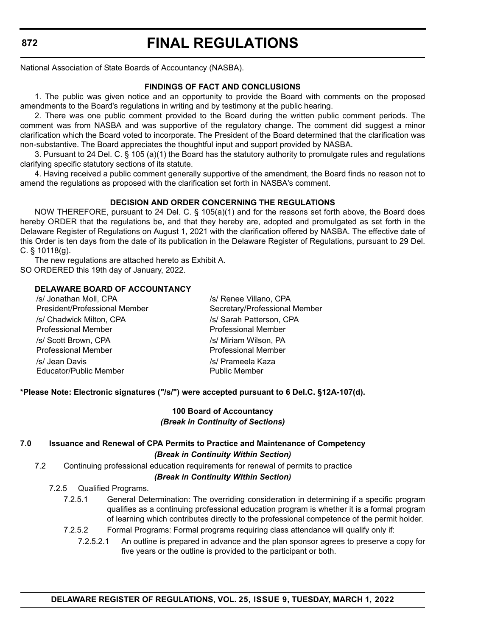# **FINAL REGULATIONS**

National Association of State Boards of Accountancy (NASBA).

### **FINDINGS OF FACT AND CONCLUSIONS**

1. The public was given notice and an opportunity to provide the Board with comments on the proposed amendments to the Board's regulations in writing and by testimony at the public hearing.

2. There was one public comment provided to the Board during the written public comment periods. The comment was from NASBA and was supportive of the regulatory change. The comment did suggest a minor clarification which the Board voted to incorporate. The President of the Board determined that the clarification was non-substantive. The Board appreciates the thoughtful input and support provided by NASBA.

3. Pursuant to 24 Del. C. § 105 (a)(1) the Board has the statutory authority to promulgate rules and regulations clarifying specific statutory sections of its statute.

4. Having received a public comment generally supportive of the amendment, the Board finds no reason not to amend the regulations as proposed with the clarification set forth in NASBA's comment.

### **DECISION AND ORDER CONCERNING THE REGULATIONS**

NOW THEREFORE, pursuant to 24 Del. C. § 105(a)(1) and for the reasons set forth above, the Board does hereby ORDER that the regulations be, and that they hereby are, adopted and promulgated as set forth in the Delaware Register of Regulations on August 1, 2021 with the clarification offered by NASBA. The effective date of this Order is ten days from the date of its publication in the Delaware Register of Regulations, pursuant to 29 Del. C. § 10118(g).

The new regulations are attached hereto as Exhibit A. SO ORDERED this 19th day of January, 2022.

### **DELAWARE BOARD OF ACCOUNTANCY**

| /s/ Jonathan Moll, CPA        | /s/ Renee Villano, CPA        |
|-------------------------------|-------------------------------|
| President/Professional Member | Secretary/Professional Member |
| /s/ Chadwick Milton, CPA      | /s/ Sarah Patterson, CPA      |
| <b>Professional Member</b>    | <b>Professional Member</b>    |
| /s/ Scott Brown, CPA          | /s/ Miriam Wilson, PA         |
| <b>Professional Member</b>    | <b>Professional Member</b>    |
| /s/ Jean Davis                | /s/ Prameela Kaza             |
| Educator/Public Member        | <b>Public Member</b>          |

### **\*Please Note: Electronic signatures ("/s/") were accepted pursuant to 6 Del.C. §12A-107(d).**

#### **100 Board of Accountancy** *(Break in Continuity of Sections)*

### **7.0 Issuance and Renewal of CPA Permits to Practice and Maintenance of Competency** *(Break in Continuity Within Section)*

7.2 Continuing professional education requirements for renewal of permits to practice

## *(Break in Continuity Within Section)*

7.2.5 Qualified Programs.

- 7.2.5.1 General Determination: The overriding consideration in determining if a specific program qualifies as a continuing professional education program is whether it is a formal program of learning which contributes directly to the professional competence of the permit holder.
- 7.2.5.2 Formal Programs: Formal programs requiring class attendance will qualify only if:
	- 7.2.5.2.1 An outline is prepared in advance and the plan sponsor agrees to preserve a copy for five years or the outline is provided to the participant or both.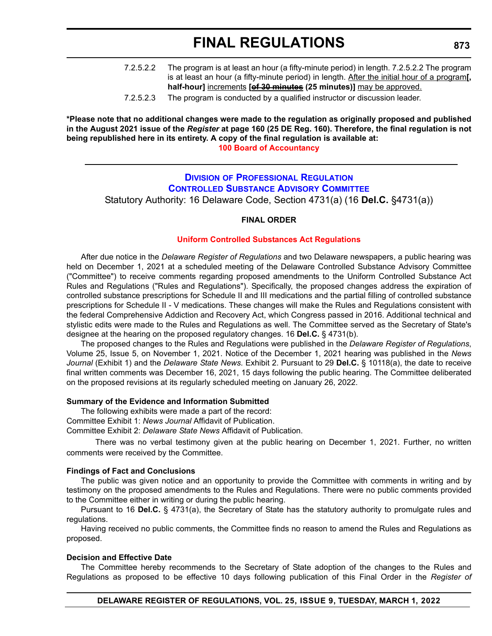| 7.2.5.2.2 | The program is at least an hour (a fifty-minute period) in length. 7.2.5.2.2 The program     |
|-----------|----------------------------------------------------------------------------------------------|
|           | is at least an hour (a fifty-minute period) in length. After the initial hour of a program[, |
|           | half-hour] increments [of 30 minutes (25 minutes)] may be approved.                          |

7.2.5.2.3 The program is conducted by a qualified instructor or discussion leader.

**\*Please note that no additional changes were made to the regulation as originally proposed and published in the August 2021 issue of the** *Register* **at page 160 (25 DE Reg. 160). Therefore, the final regulation is not being republished here in its entirety. A copy of the final regulation is available at: [100 Board of Accountancy](http://regulations.delaware.gov/register/march2022/final/25 DE Reg 871 03-01-22.htm)**

**DIVISION OF PROFESSIONAL REGULATION**

**[CONTROLLED SUBSTANCE ADVISORY COMMITTEE](https://dpr.delaware.gov/boards/controlledsubstances/)**

Statutory Authority: 16 Delaware Code, Section 4731(a) (16 **Del.C.** §4731(a))

#### **FINAL ORDER**

#### **[Uniform Controlled Substances Act Regulations](#page-4-0)**

After due notice in the *Delaware Register of Regulations* and two Delaware newspapers, a public hearing was held on December 1, 2021 at a scheduled meeting of the Delaware Controlled Substance Advisory Committee ("Committee") to receive comments regarding proposed amendments to the Uniform Controlled Substance Act Rules and Regulations ("Rules and Regulations"). Specifically, the proposed changes address the expiration of controlled substance prescriptions for Schedule II and III medications and the partial filling of controlled substance prescriptions for Schedule II - V medications. These changes will make the Rules and Regulations consistent with the federal Comprehensive Addiction and Recovery Act, which Congress passed in 2016. Additional technical and stylistic edits were made to the Rules and Regulations as well. The Committee served as the Secretary of State's designee at the hearing on the proposed regulatory changes. 16 **Del.C.** § 4731(b).

The proposed changes to the Rules and Regulations were published in the *Delaware Register of Regulations*, Volume 25, Issue 5, on November 1, 2021. Notice of the December 1, 2021 hearing was published in the *News Journal* (Exhibit 1) and the *Delaware State News*. Exhibit 2. Pursuant to 29 **Del.C.** § 10118(a), the date to receive final written comments was December 16, 2021, 15 days following the public hearing. The Committee deliberated on the proposed revisions at its regularly scheduled meeting on January 26, 2022.

#### **Summary of the Evidence and Information Submitted**

The following exhibits were made a part of the record: Committee Exhibit 1: *News Journal* Affidavit of Publication.

Committee Exhibit 2: *Delaware State News* Affidavit of Publication.

There was no verbal testimony given at the public hearing on December 1, 2021. Further, no written comments were received by the Committee.

#### **Findings of Fact and Conclusions**

The public was given notice and an opportunity to provide the Committee with comments in writing and by testimony on the proposed amendments to the Rules and Regulations. There were no public comments provided to the Committee either in writing or during the public hearing.

Pursuant to 16 **Del.C.** § 4731(a), the Secretary of State has the statutory authority to promulgate rules and regulations.

Having received no public comments, the Committee finds no reason to amend the Rules and Regulations as proposed.

#### **Decision and Effective Date**

The Committee hereby recommends to the Secretary of State adoption of the changes to the Rules and Regulations as proposed to be effective 10 days following publication of this Final Order in the *Register of*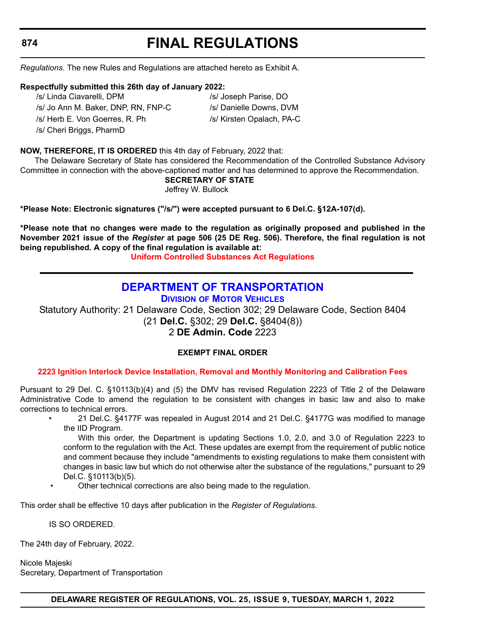# **FINAL REGULATIONS**

*Regulations*. The new Rules and Regulations are attached hereto as Exhibit A.

#### **Respectfully submitted this 26th day of January 2022:**

/s/ Linda Ciavarelli, DPM /s/ Joseph Parise, DO

/s/ Cheri Briggs, PharmD

/s/ Jo Ann M. Baker, DNP, RN, FNP-C /s/ Danielle Downs, DVM /s/ Herb E. Von Goerres, R. Ph /s/ Kirsten Opalach, PA-C

#### **NOW, THEREFORE, IT IS ORDERED** this 4th day of February, 2022 that:

The Delaware Secretary of State has considered the Recommendation of the Controlled Substance Advisory Committee in connection with the above-captioned matter and has determined to approve the Recommendation.

**SECRETARY OF STATE**

Jeffrey W. Bullock

**\*Please Note: Electronic signatures ("/s/") were accepted pursuant to 6 Del.C. §12A-107(d).**

**\*Please note that no changes were made to the regulation as originally proposed and published in the November 2021 issue of the** *Register* **at page 506 (25 DE Reg. 506). Therefore, the final regulation is not being republished. A copy of the final regulation is available at:**

**[Uniform Controlled Substances Act Regulations](http://regulations.delaware.gov/register/march2022/final/25 DE Reg 873 03-01-22.htm)**

# **[DEPARTMENT OF TRANSPORTATION](https://www.dmv.de.gov/)**

**DIVISION OF MOTOR VEHICLES**

Statutory Authority: 21 Delaware Code, Section 302; 29 Delaware Code, Section 8404 (21 **Del.C.** §302; 29 **Del.C.** §8404(8)) 2 **DE Admin. Code** 2223

### **EXEMPT FINAL ORDER**

### **[2223 Ignition Interlock Device Installation, Removal and Monthly Monitoring and Calibration Fees](#page-4-0)**

Pursuant to 29 Del. C. §10113(b)(4) and (5) the DMV has revised Regulation 2223 of Title 2 of the Delaware Administrative Code to amend the regulation to be consistent with changes in basic law and also to make corrections to technical errors.

> • 21 Del.C. §4177F was repealed in August 2014 and 21 Del.C. §4177G was modified to manage the IID Program.

> With this order, the Department is updating Sections 1.0, 2.0, and 3.0 of Regulation 2223 to conform to the regulation with the Act. These updates are exempt from the requirement of public notice and comment because they include "amendments to existing regulations to make them consistent with changes in basic law but which do not otherwise alter the substance of the regulations," pursuant to 29 Del.C. §10113(b)(5).

Other technical corrections are also being made to the regulation.

This order shall be effective 10 days after publication in the *Register of Regulations*.

IS SO ORDERED.

The 24th day of February, 2022.

Nicole Majeski Secretary, Department of Transportation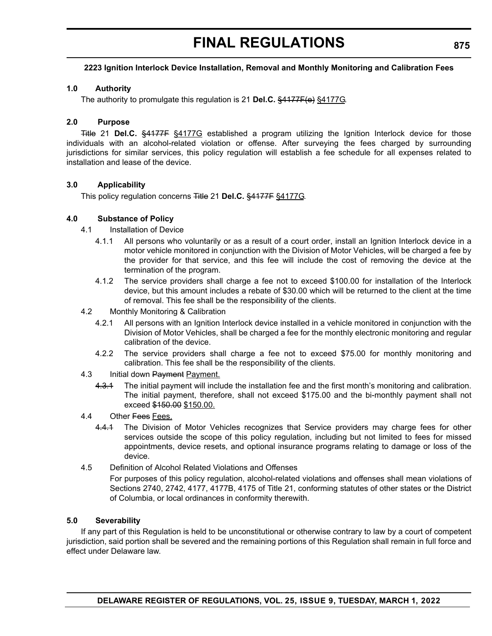# **FINAL REGULATIONS**

### **2223 Ignition Interlock Device Installation, Removal and Monthly Monitoring and Calibration Fees**

#### **1.0 Authority**

The authority to promulgate this regulation is 21 **Del.C.** §4177F(e) §4177G.

#### **2.0 Purpose**

Title 21 **Del.C.** §4177F §4177G established a program utilizing the Ignition Interlock device for those individuals with an alcohol-related violation or offense. After surveying the fees charged by surrounding jurisdictions for similar services, this policy regulation will establish a fee schedule for all expenses related to installation and lease of the device.

### **3.0 Applicability**

This policy regulation concerns Title 21 **Del.C.** §4177F §4177G.

#### **4.0 Substance of Policy**

- 4.1 Installation of Device
	- 4.1.1 All persons who voluntarily or as a result of a court order, install an Ignition Interlock device in a motor vehicle monitored in conjunction with the Division of Motor Vehicles, will be charged a fee by the provider for that service, and this fee will include the cost of removing the device at the termination of the program.
	- 4.1.2 The service providers shall charge a fee not to exceed \$100.00 for installation of the Interlock device, but this amount includes a rebate of \$30.00 which will be returned to the client at the time of removal. This fee shall be the responsibility of the clients.
- 4.2 Monthly Monitoring & Calibration
	- 4.2.1 All persons with an Ignition Interlock device installed in a vehicle monitored in conjunction with the Division of Motor Vehicles, shall be charged a fee for the monthly electronic monitoring and regular calibration of the device.
	- 4.2.2 The service providers shall charge a fee not to exceed \$75.00 for monthly monitoring and calibration. This fee shall be the responsibility of the clients.
- 4.3 Initial down Payment Payment.
	- 4.3.1 The initial payment will include the installation fee and the first month's monitoring and calibration. The initial payment, therefore, shall not exceed \$175.00 and the bi-monthly payment shall not exceed \$150.00 \$150.00.
- 4.4 Other Fees Fees.
	- 4.4.1 The Division of Motor Vehicles recognizes that Service providers may charge fees for other services outside the scope of this policy regulation, including but not limited to fees for missed appointments, device resets, and optional insurance programs relating to damage or loss of the device.
- 4.5 Definition of Alcohol Related Violations and Offenses

For purposes of this policy regulation, alcohol-related violations and offenses shall mean violations of Sections 2740, 2742, 4177, 4177B, 4175 of Title 21, conforming statutes of other states or the District of Columbia, or local ordinances in conformity therewith.

#### **5.0 Severability**

If any part of this Regulation is held to be unconstitutional or otherwise contrary to law by a court of competent jurisdiction, said portion shall be severed and the remaining portions of this Regulation shall remain in full force and effect under Delaware law.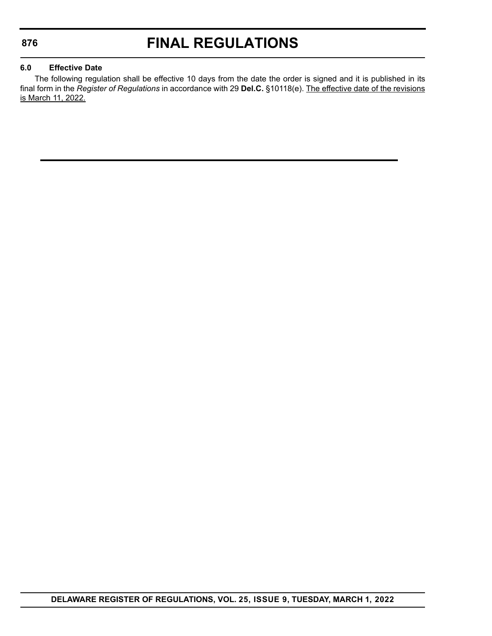# **FINAL REGULATIONS**

### **6.0 Effective Date**

The following regulation shall be effective 10 days from the date the order is signed and it is published in its final form in the *Register of Regulations* in accordance with 29 **Del.C.** §10118(e). The effective date of the revisions is March 11, 2022.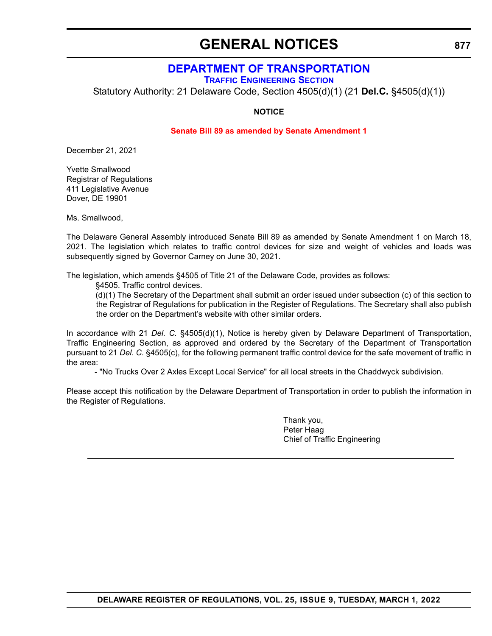# **GENERAL NOTICES**

## **[DEPARTMENT OF TRANSPORTATION](https://www.deldot.gov/index.shtml)**

**TRAFFIC ENGINEERING SECTION**

Statutory Authority: 21 Delaware Code, Section 4505(d)(1) (21 **Del.C.** §4505(d)(1))

#### **NOTICE**

#### **[Senate Bill 89 as amended by Senate Amendment 1](#page-4-0)**

December 21, 2021

Yvette Smallwood Registrar of Regulations 411 Legislative Avenue Dover, DE 19901

Ms. Smallwood,

The Delaware General Assembly introduced Senate Bill 89 as amended by Senate Amendment 1 on March 18, 2021. The legislation which relates to traffic control devices for size and weight of vehicles and loads was subsequently signed by Governor Carney on June 30, 2021.

The legislation, which amends §4505 of Title 21 of the Delaware Code, provides as follows:

§4505. Traffic control devices.

(d)(1) The Secretary of the Department shall submit an order issued under subsection (c) of this section to the Registrar of Regulations for publication in the Register of Regulations. The Secretary shall also publish the order on the Department's website with other similar orders.

In accordance with 21 *Del. C.* §4505(d)(1), Notice is hereby given by Delaware Department of Transportation, Traffic Engineering Section, as approved and ordered by the Secretary of the Department of Transportation pursuant to 21 *Del. C.* §4505(c), for the following permanent traffic control device for the safe movement of traffic in the area:

- "No Trucks Over 2 Axles Except Local Service" for all local streets in the Chaddwyck subdivision.

Please accept this notification by the Delaware Department of Transportation in order to publish the information in the Register of Regulations.

> Thank you, Peter Haag Chief of Traffic Engineering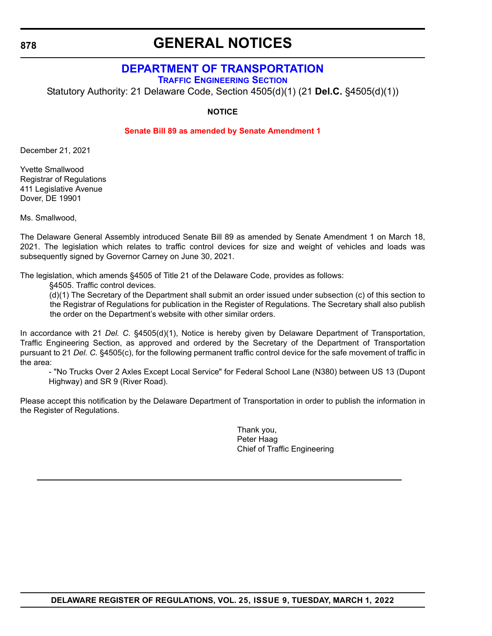# **GENERAL NOTICES**

## **[DEPARTMENT OF TRANSPORTATION](https://www.deldot.gov/index.shtml)**

**TRAFFIC ENGINEERING SECTION**

Statutory Authority: 21 Delaware Code, Section 4505(d)(1) (21 **Del.C.** §4505(d)(1))

**NOTICE**

#### **[Senate Bill 89 as amended by Senate Amendment 1](#page-4-0)**

December 21, 2021

Yvette Smallwood Registrar of Regulations 411 Legislative Avenue Dover, DE 19901

Ms. Smallwood,

The Delaware General Assembly introduced Senate Bill 89 as amended by Senate Amendment 1 on March 18, 2021. The legislation which relates to traffic control devices for size and weight of vehicles and loads was subsequently signed by Governor Carney on June 30, 2021.

The legislation, which amends §4505 of Title 21 of the Delaware Code, provides as follows:

§4505. Traffic control devices.

(d)(1) The Secretary of the Department shall submit an order issued under subsection (c) of this section to the Registrar of Regulations for publication in the Register of Regulations. The Secretary shall also publish the order on the Department's website with other similar orders.

In accordance with 21 *Del. C.* §4505(d)(1), Notice is hereby given by Delaware Department of Transportation, Traffic Engineering Section, as approved and ordered by the Secretary of the Department of Transportation pursuant to 21 *Del. C.* §4505(c), for the following permanent traffic control device for the safe movement of traffic in the area:

- "No Trucks Over 2 Axles Except Local Service" for Federal School Lane (N380) between US 13 (Dupont Highway) and SR 9 (River Road).

Please accept this notification by the Delaware Department of Transportation in order to publish the information in the Register of Regulations.

> Thank you, Peter Haag Chief of Traffic Engineering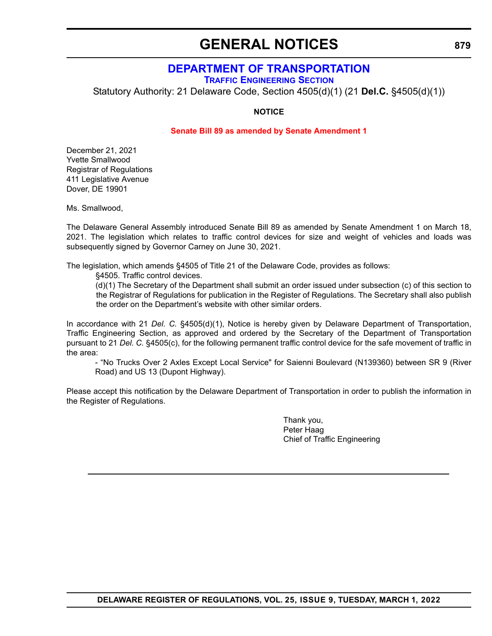# **GENERAL NOTICES**

## **[DEPARTMENT OF TRANSPORTATION](https://www.deldot.gov/index.shtml)**

**TRAFFIC ENGINEERING SECTION**

Statutory Authority: 21 Delaware Code, Section 4505(d)(1) (21 **Del.C.** §4505(d)(1))

#### **NOTICE**

#### **[Senate Bill 89 as amended by Senate Amendment 1](#page-4-0)**

December 21, 2021 Yvette Smallwood Registrar of Regulations 411 Legislative Avenue Dover, DE 19901

Ms. Smallwood,

The Delaware General Assembly introduced Senate Bill 89 as amended by Senate Amendment 1 on March 18, 2021. The legislation which relates to traffic control devices for size and weight of vehicles and loads was subsequently signed by Governor Carney on June 30, 2021.

The legislation, which amends §4505 of Title 21 of the Delaware Code, provides as follows:

§4505. Traffic control devices.

(d)(1) The Secretary of the Department shall submit an order issued under subsection (c) of this section to the Registrar of Regulations for publication in the Register of Regulations. The Secretary shall also publish the order on the Department's website with other similar orders.

In accordance with 21 *Del. C.* §4505(d)(1), Notice is hereby given by Delaware Department of Transportation, Traffic Engineering Section, as approved and ordered by the Secretary of the Department of Transportation pursuant to 21 *Del. C.* §4505(c), for the following permanent traffic control device for the safe movement of traffic in the area:

- "No Trucks Over 2 Axles Except Local Service" for Saienni Boulevard (N139360) between SR 9 (River Road) and US 13 (Dupont Highway).

Please accept this notification by the Delaware Department of Transportation in order to publish the information in the Register of Regulations.

> Thank you, Peter Haag Chief of Traffic Engineering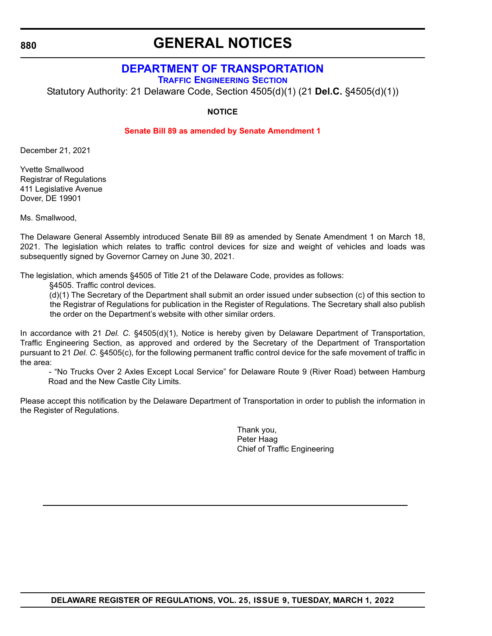# **GENERAL NOTICES**

# **[DEPARTMENT OF TRANSPORTATION](https://www.deldot.gov/index.shtml)**

**TRAFFIC ENGINEERING SECTION**

Statutory Authority: 21 Delaware Code, Section 4505(d)(1) (21 **Del.C.** §4505(d)(1))

**NOTICE**

### **[Senate Bill 89 as amended by Senate Amendment 1](#page-4-0)**

December 21, 2021

Yvette Smallwood Registrar of Regulations 411 Legislative Avenue Dover, DE 19901

Ms. Smallwood,

The Delaware General Assembly introduced Senate Bill 89 as amended by Senate Amendment 1 on March 18, 2021. The legislation which relates to traffic control devices for size and weight of vehicles and loads was subsequently signed by Governor Carney on June 30, 2021.

The legislation, which amends §4505 of Title 21 of the Delaware Code, provides as follows:

§4505. Traffic control devices.

(d)(1) The Secretary of the Department shall submit an order issued under subsection (c) of this section to the Registrar of Regulations for publication in the Register of Regulations. The Secretary shall also publish the order on the Department's website with other similar orders.

In accordance with 21 *Del. C.* §4505(d)(1), Notice is hereby given by Delaware Department of Transportation, Traffic Engineering Section, as approved and ordered by the Secretary of the Department of Transportation pursuant to 21 *Del. C.* §4505(c), for the following permanent traffic control device for the safe movement of traffic in the area:

- "No Trucks Over 2 Axles Except Local Service" for Delaware Route 9 (River Road) between Hamburg Road and the New Castle City Limits.

Please accept this notification by the Delaware Department of Transportation in order to publish the information in the Register of Regulations.

> Thank you, Peter Haag Chief of Traffic Engineering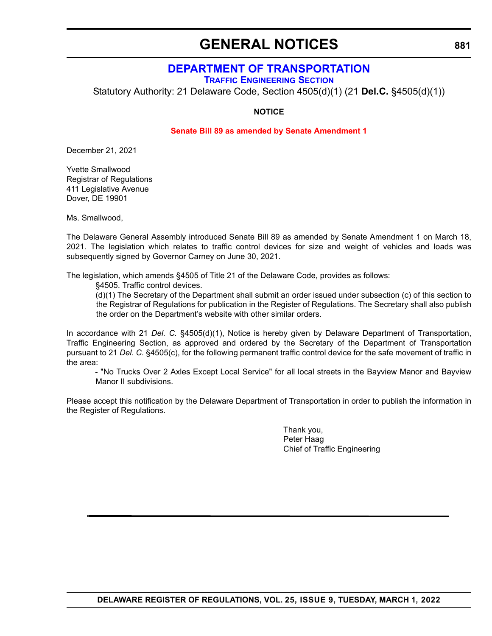# **GENERAL NOTICES**

## **[DEPARTMENT OF TRANSPORTATION](https://www.deldot.gov/index.shtml)**

**TRAFFIC ENGINEERING SECTION**

Statutory Authority: 21 Delaware Code, Section 4505(d)(1) (21 **Del.C.** §4505(d)(1))

#### **NOTICE**

#### **[Senate Bill 89 as amended by Senate Amendment 1](#page-4-0)**

December 21, 2021

Yvette Smallwood Registrar of Regulations 411 Legislative Avenue Dover, DE 19901

Ms. Smallwood,

The Delaware General Assembly introduced Senate Bill 89 as amended by Senate Amendment 1 on March 18, 2021. The legislation which relates to traffic control devices for size and weight of vehicles and loads was subsequently signed by Governor Carney on June 30, 2021.

The legislation, which amends §4505 of Title 21 of the Delaware Code, provides as follows:

§4505. Traffic control devices.

(d)(1) The Secretary of the Department shall submit an order issued under subsection (c) of this section to the Registrar of Regulations for publication in the Register of Regulations. The Secretary shall also publish the order on the Department's website with other similar orders.

In accordance with 21 *Del. C.* §4505(d)(1), Notice is hereby given by Delaware Department of Transportation, Traffic Engineering Section, as approved and ordered by the Secretary of the Department of Transportation pursuant to 21 *Del. C.* §4505(c), for the following permanent traffic control device for the safe movement of traffic in the area:

- "No Trucks Over 2 Axles Except Local Service" for all local streets in the Bayview Manor and Bayview Manor II subdivisions.

Please accept this notification by the Delaware Department of Transportation in order to publish the information in the Register of Regulations.

> Thank you, Peter Haag Chief of Traffic Engineering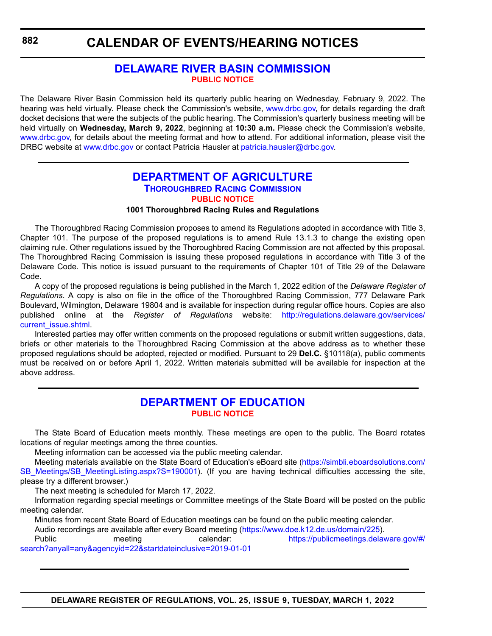# **CALENDAR OF EVENTS/HEARING NOTICES**

## **[DELAWARE RIVER BASIN COMMISSION](https://www.drbc.gov) [PUBLIC NOTICE](#page-4-0)**

The Delaware River Basin Commission held its quarterly public hearing on Wednesday, February 9, 2022. The hearing was held virtually. Please check the Commission's website, [www.drbc.gov,](https://www.nj.gov/drbc/) for details regarding the draft docket decisions that were the subjects of the public hearing. The Commission's quarterly business meeting will be held virtually on **Wednesday, March 9, 2022**, beginning at **10:30 a.m.** Please check the Commission's website, [www.drbc.gov,](https://www.nj.gov/drbc/) for details about the meeting format and how to attend. For additional information, please visit the DRBC website at [www.drbc.gov](https://www.nj.gov/drbc/) or contact Patricia Hausler at [patricia.hausler@drbc.gov.](mailto:patricia.hausler@drbc.gov)

## **[DEPARTMENT OF AGRICULTURE](https://agriculture.delaware.gov/thoroughbred-racing-commission/) THOROUGHBRED RACING COMMISSION [PUBLIC NOTICE](#page-4-0)**

**1001 Thoroughbred Racing Rules and Regulations**

The Thoroughbred Racing Commission proposes to amend its Regulations adopted in accordance with Title 3, Chapter 101. The purpose of the proposed regulations is to amend Rule 13.1.3 to change the existing open claiming rule. Other regulations issued by the Thoroughbred Racing Commission are not affected by this proposal. The Thoroughbred Racing Commission is issuing these proposed regulations in accordance with Title 3 of the Delaware Code. This notice is issued pursuant to the requirements of Chapter 101 of Title 29 of the Delaware Code.

A copy of the proposed regulations is being published in the March 1, 2022 edition of the *Delaware Register of Regulations*. A copy is also on file in the office of the Thoroughbred Racing Commission, 777 Delaware Park Boulevard, Wilmington, Delaware 19804 and is available for inspection during regular office hours. Copies are also published online at the *Register of Regulations* website: [http://regulations.delaware.gov/services/](http://regulations.delaware.gov/services/current_issue.shtml) [current\\_issue.shtml.](http://regulations.delaware.gov/services/current_issue.shtml)

Interested parties may offer written comments on the proposed regulations or submit written suggestions, data, briefs or other materials to the Thoroughbred Racing Commission at the above address as to whether these proposed regulations should be adopted, rejected or modified. Pursuant to 29 **Del.C.** §10118(a), public comments must be received on or before April 1, 2022. Written materials submitted will be available for inspection at the above address.

## **[DEPARTMENT OF EDUCATION](https://www.doe.k12.de.us/) [PUBLIC NOTICE](#page-4-0)**

The State Board of Education meets monthly. These meetings are open to the public. The Board rotates locations of regular meetings among the three counties.

Meeting information can be accessed via the public meeting calendar.

Meeting materials available on the State Board of Education's eBoard site [\(https://simbli.eboardsolutions.com/](https://simbli.eboardsolutions.com/SB_Meetings/SB_MeetingListing.aspx?S=190001) [SB\\_Meetings/SB\\_MeetingListing.aspx?S=190001](https://simbli.eboardsolutions.com/SB_Meetings/SB_MeetingListing.aspx?S=190001)). (If you are having technical difficulties accessing the site, please try a different browser.)

The next meeting is scheduled for March 17, 2022.

Information regarding special meetings or Committee meetings of the State Board will be posted on the public meeting calendar.

Minutes from recent State Board of Education meetings can be found on the public meeting calendar.

Audio recordings are available after every Board meeting [\(https://www.doe.k12.de.us/domain/225\)](https://www.doe.k12.de.us/domain/225).

Public meeting calendar: [https://publicmeetings.delaware.gov/#/](https://publicmeetings.delaware.gov/#/search?anyall=any&agencyid=22&startdateinclusive=2019-01-01) [search?anyall=any&agencyid=22&startdateinclusive=2019-01-01](https://publicmeetings.delaware.gov/#/search?anyall=any&agencyid=22&startdateinclusive=2019-01-01)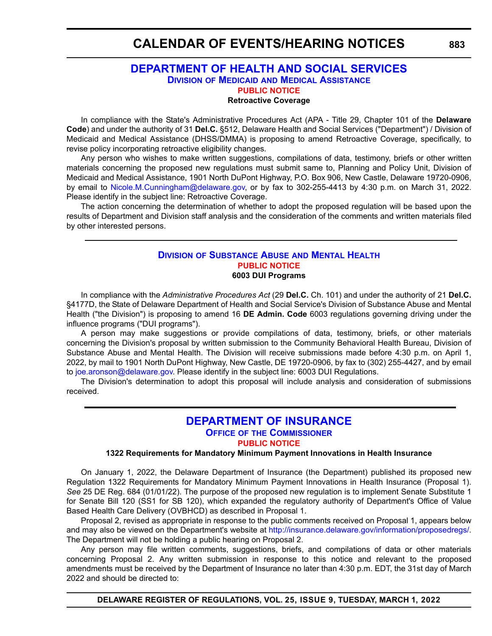# **CALENDAR OF EVENTS/HEARING NOTICES**

## **[DEPARTMENT OF HEALTH AND SOCIAL SERVICES](https://www.dhss.delaware.gov/dhss/dmma/) DIVISION OF MEDICAID AND MEDICAL ASSISTANCE [PUBLIC NOTICE](#page-4-0)**

**Retroactive Coverage**

In compliance with the State's Administrative Procedures Act (APA - Title 29, Chapter 101 of the **Delaware Code**) and under the authority of 31 **Del.C.** §512, Delaware Health and Social Services ("Department") / Division of Medicaid and Medical Assistance (DHSS/DMMA) is proposing to amend Retroactive Coverage, specifically, to revise policy incorporating retroactive eligibility changes.

Any person who wishes to make written suggestions, compilations of data, testimony, briefs or other written materials concerning the proposed new regulations must submit same to, Planning and Policy Unit, Division of Medicaid and Medical Assistance, 1901 North DuPont Highway, P.O. Box 906, New Castle, Delaware 19720-0906, by email to [Nicole.M.Cunningham@delaware.gov,](mailto:Nicole.M.Cunningham@delaware.gov) or by fax to 302-255-4413 by 4:30 p.m. on March 31, 2022. Please identify in the subject line: Retroactive Coverage.

The action concerning the determination of whether to adopt the proposed regulation will be based upon the results of Department and Division staff analysis and the consideration of the comments and written materials filed by other interested persons.

#### **DIVISION [OF SUBSTANCE ABUSE](https://dhss.delaware.gov/dsamh/) AND MENTAL HEALTH [PUBLIC NOTICE](#page-4-0) 6003 DUI Programs**

In compliance with the *Administrative Procedures Act* (29 **Del.C.** Ch. 101) and under the authority of 21 **Del.C.** §4177D, the State of Delaware Department of Health and Social Service's Division of Substance Abuse and Mental Health ("the Division") is proposing to amend 16 **DE Admin. Code** 6003 regulations governing driving under the influence programs ("DUI programs").

A person may make suggestions or provide compilations of data, testimony, briefs, or other materials concerning the Division's proposal by written submission to the Community Behavioral Health Bureau, Division of Substance Abuse and Mental Health. The Division will receive submissions made before 4:30 p.m. on April 1, 2022, by mail to 1901 North DuPont Highway, New Castle, DE 19720-0906, by fax to (302) 255-4427, and by email to [joe.aronson@delaware.gov.](
mailto:joe.aronson@delaware.gov) Please identify in the subject line: 6003 DUI Regulations.

The Division's determination to adopt this proposal will include analysis and consideration of submissions received.

### **[DEPARTMENT OF INSURANCE](https://insurance.delaware.gov/) OFFICE OF THE COMMISSIONER**

#### **[PUBLIC NOTICE](#page-4-0)**

#### **1322 Requirements for Mandatory Minimum Payment Innovations in Health Insurance**

On January 1, 2022, the Delaware Department of Insurance (the Department) published its proposed new Regulation 1322 Requirements for Mandatory Minimum Payment Innovations in Health Insurance (Proposal 1). *See* 25 DE Reg. 684 (01/01/22). The purpose of the proposed new regulation is to implement Senate Substitute 1 for Senate Bill 120 (SS1 for SB 120), which expanded the regulatory authority of Department's Office of Value Based Health Care Delivery (OVBHCD) as described in Proposal 1.

Proposal 2, revised as appropriate in response to the public comments received on Proposal 1, appears below and may also be viewed on the Department's website at <http://insurance.delaware.gov/information/proposedregs/>. The Department will not be holding a public hearing on Proposal 2.

Any person may file written comments, suggestions, briefs, and compilations of data or other materials concerning Proposal 2. Any written submission in response to this notice and relevant to the proposed amendments must be received by the Department of Insurance no later than 4:30 p.m. EDT, the 31st day of March 2022 and should be directed to:

**DELAWARE REGISTER OF REGULATIONS, VOL. 25, ISSUE 9, TUESDAY, MARCH 1, 2022**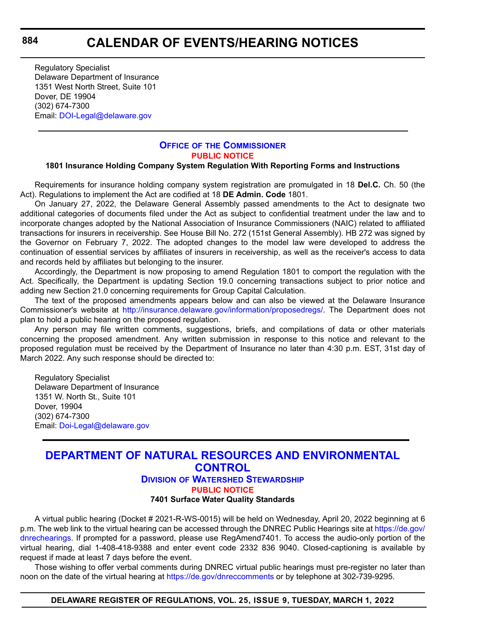Regulatory Specialist Delaware Department of Insurance 1351 West North Street, Suite 101 Dover, DE 19904 (302) 674-7300 Email: [DOI-Legal@delaware.gov](mailto:DOI-Legal@delaware.gov)

### **OFFICE OF [THE COMMISSIONER](https://insurance.delaware.gov/) [PUBLIC NOTICE](#page-4-0)**

#### **1801 Insurance Holding Company System Regulation With Reporting Forms and Instructions**

Requirements for insurance holding company system registration are promulgated in 18 **Del.C.** Ch. 50 (the Act). Regulations to implement the Act are codified at 18 **DE Admin. Code** 1801.

On January 27, 2022, the Delaware General Assembly passed amendments to the Act to designate two additional categories of documents filed under the Act as subject to confidential treatment under the law and to incorporate changes adopted by the National Association of Insurance Commissioners (NAIC) related to affiliated transactions for insurers in receivership. See House Bill No. 272 (151st General Assembly). HB 272 was signed by the Governor on February 7, 2022. The adopted changes to the model law were developed to address the continuation of essential services by affiliates of insurers in receivership, as well as the receiver's access to data and records held by affiliates but belonging to the insurer.

Accordingly, the Department is now proposing to amend Regulation 1801 to comport the regulation with the Act. Specifically, the Department is updating Section 19.0 concerning transactions subject to prior notice and adding new Section 21.0 concerning requirements for Group Capital Calculation.

The text of the proposed amendments appears below and can also be viewed at the Delaware Insurance Commissioner's website at <http://insurance.delaware.gov/information/proposedregs/>. The Department does not plan to hold a public hearing on the proposed regulation.

Any person may file written comments, suggestions, briefs, and compilations of data or other materials concerning the proposed amendment. Any written submission in response to this notice and relevant to the proposed regulation must be received by the Department of Insurance no later than 4:30 p.m. EST, 31st day of March 2022. Any such response should be directed to:

Regulatory Specialist Delaware Department of Insurance 1351 W. North St., Suite 101 Dover, 19904 (302) 674-7300 Email: [Doi-Legal@delaware.gov](mailto:Doi-Legal@delaware.gov)

# **[DEPARTMENT OF NATURAL RESOURCES AND ENVIRONMENTAL](https://dnrec.alpha.delaware.gov/watershed-stewardship/)  CONTROL**

## **DIVISION OF WATERSHED STEWARDSHIP**

**[PUBLIC NOTICE](#page-4-0)**

### **7401 Surface Water Quality Standards**

A virtual public hearing (Docket # 2021-R-WS-0015) will be held on Wednesday, April 20, 2022 beginning at 6 p.m. The web link to the virtual hearing can be accessed through the DNREC Public Hearings site at [https://de.gov/](https://de.gov/dnrechearings) [dnrechearings](https://de.gov/dnrechearings). If prompted for a password, please use RegAmend7401. To access the audio-only portion of the virtual hearing, dial 1-408-418-9388 and enter event code 2332 836 9040. Closed-captioning is available by request if made at least 7 days before the event.

Those wishing to offer verbal comments during DNREC virtual public hearings must pre-register no later than noon on the date of the virtual hearing at<https://de.gov/dnreccomments> or by telephone at 302-739-9295.

### **DELAWARE REGISTER OF REGULATIONS, VOL. 25, ISSUE 9, TUESDAY, MARCH 1, 2022**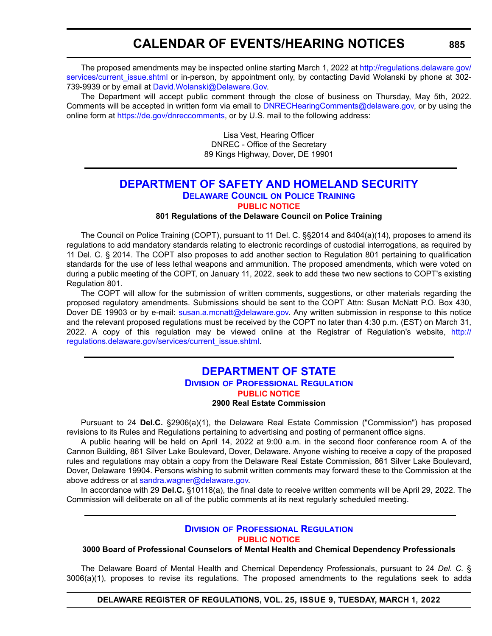# **CALENDAR OF EVENTS/HEARING NOTICES**

The proposed amendments may be inspected online starting March 1, 2022 at [http://regulations.delaware.gov/](http://regulations.delaware.gov/services/current_issue.shtml) services/current issue.shtml or in-person, by appointment only, by contacting David Wolanski by phone at 302-739-9939 or by email at [David.Wolanski@Delaware.Gov.](mailto:David.Wolanski@Delaware.Gov)

The Department will accept public comment through the close of business on Thursday, May 5th, 2022. Comments will be accepted in written form via email to [DNRECHearingComments@delaware.gov,](mailto:DNRECHearingComments@delaware.gov) or by using the online form at [https://de.gov/dnreccomments,](https://de.gov/dnreccomments) or by U.S. mail to the following address:

> Lisa Vest, Hearing Officer DNREC - Office of the Secretary 89 Kings Highway, Dover, DE 19901

## **[DEPARTMENT OF SAFETY AND HOMELAND SECURITY](https://dshs.delaware.gov/) DELAWARE COUNCIL ON POLICE TRAINING [PUBLIC NOTICE](#page-4-0)**

#### **801 Regulations of the Delaware Council on Police Training**

The Council on Police Training (COPT), pursuant to 11 Del. C. §§2014 and 8404(a)(14), proposes to amend its regulations to add mandatory standards relating to electronic recordings of custodial interrogations, as required by 11 Del. C. § 2014. The COPT also proposes to add another section to Regulation 801 pertaining to qualification standards for the use of less lethal weapons and ammunition. The proposed amendments, which were voted on during a public meeting of the COPT, on January 11, 2022, seek to add these two new sections to COPT's existing Regulation 801.

The COPT will allow for the submission of written comments, suggestions, or other materials regarding the proposed regulatory amendments. Submissions should be sent to the COPT Attn: Susan McNatt P.O. Box 430, Dover DE 19903 or by e-mail: [susan.a.mcnatt@delaware.gov.](mailto:susan.a.mcnatt@delaware.gov) Any written submission in response to this notice and the relevant proposed regulations must be received by the COPT no later than 4:30 p.m. (EST) on March 31, 2022. A copy of this regulation may be viewed online at the Registrar of Regulation's website, [http://](http://regulations.delaware.gov/services/current_issue.shtml) [regulations.delaware.gov/services/current\\_issue.shtml.](http://regulations.delaware.gov/services/current_issue.shtml)

### **[DEPARTMENT OF STATE](https://dpr.delaware.gov/) DIVISION OF PROFESSIONAL REGULATION [PUBLIC NOTICE](#page-4-0) 2900 Real Estate Commission**

Pursuant to 24 **Del.C.** §2906(a)(1), the Delaware Real Estate Commission ("Commission") has proposed revisions to its Rules and Regulations pertaining to advertising and posting of permanent office signs.

A public hearing will be held on April 14, 2022 at 9:00 a.m. in the second floor conference room A of the Cannon Building, 861 Silver Lake Boulevard, Dover, Delaware. Anyone wishing to receive a copy of the proposed rules and regulations may obtain a copy from the Delaware Real Estate Commission, 861 Silver Lake Boulevard, Dover, Delaware 19904. Persons wishing to submit written comments may forward these to the Commission at the above address or at [sandra.wagner@delaware.gov.](mailto:sandra.wagner@delaware.gov)

In accordance with 29 **Del.C.** §10118(a), the final date to receive written comments will be April 29, 2022. The Commission will deliberate on all of the public comments at its next regularly scheduled meeting.

#### **DIVISION [OF PROFESSIONAL REGULATION](https://dpr.delaware.gov/) [PUBLIC NOTICE](#page-4-0)**

**3000 Board of Professional Counselors of Mental Health and Chemical Dependency Professionals**

The Delaware Board of Mental Health and Chemical Dependency Professionals, pursuant to 24 *Del. C.* § 3006(a)(1), proposes to revise its regulations. The proposed amendments to the regulations seek to adda

**DELAWARE REGISTER OF REGULATIONS, VOL. 25, ISSUE 9, TUESDAY, MARCH 1, 2022**